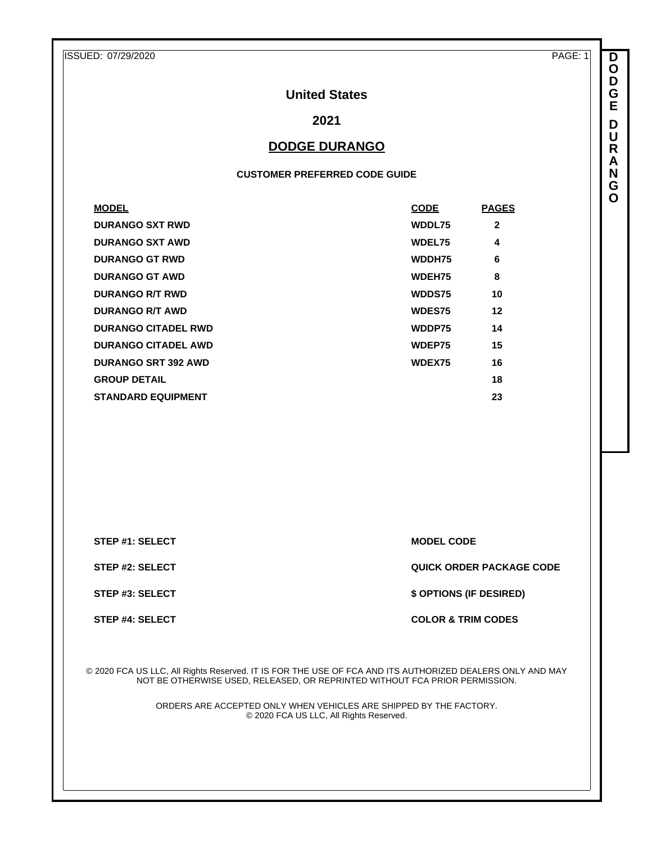ISSUED: 07/29/2020 PAGE: 1

**D O D G E D U R A N G O**

## **United States**

**2021**

## **DODGE DURANGO**

#### **CUSTOMER PREFERRED CODE GUIDE**

| <b>MODEL</b>               | <b>CODE</b>   | <b>PAGES</b> |
|----------------------------|---------------|--------------|
| <b>DURANGO SXT RWD</b>     | WDDL75        | $\mathbf{2}$ |
| <b>DURANGO SXT AWD</b>     | <b>WDEL75</b> | 4            |
| <b>DURANGO GT RWD</b>      | WDDH75        | 6            |
| <b>DURANGO GT AWD</b>      | <b>WDEH75</b> | 8            |
| <b>DURANGO R/T RWD</b>     | WDDS75        | 10           |
| <b>DURANGO R/T AWD</b>     | <b>WDES75</b> | 12           |
| <b>DURANGO CITADEL RWD</b> | WDDP75        | 14           |
| <b>DURANGO CITADEL AWD</b> | WDEP75        | 15           |
| <b>DURANGO SRT 392 AWD</b> | WDEX75        | 16           |
| <b>GROUP DETAIL</b>        |               | 18           |
| <b>STANDARD EQUIPMENT</b>  |               | 23           |

**STEP #1: SELECT MODEL CODE** 

**STEP #2: SELECT QUICK ORDER PACKAGE CODE**

**STEP #3: SELECT \$ OPTIONS (IF DESIRED)**

**STEP #4: SELECT COLOR & TRIM CODES** 

© 2020 FCA US LLC, All Rights Reserved. IT IS FOR THE USE OF FCA AND ITS AUTHORIZED DEALERS ONLY AND MAY NOT BE OTHERWISE USED, RELEASED, OR REPRINTED WITHOUT FCA PRIOR PERMISSION.

> ORDERS ARE ACCEPTED ONLY WHEN VEHICLES ARE SHIPPED BY THE FACTORY. © 2020 FCA US LLC, All Rights Reserved.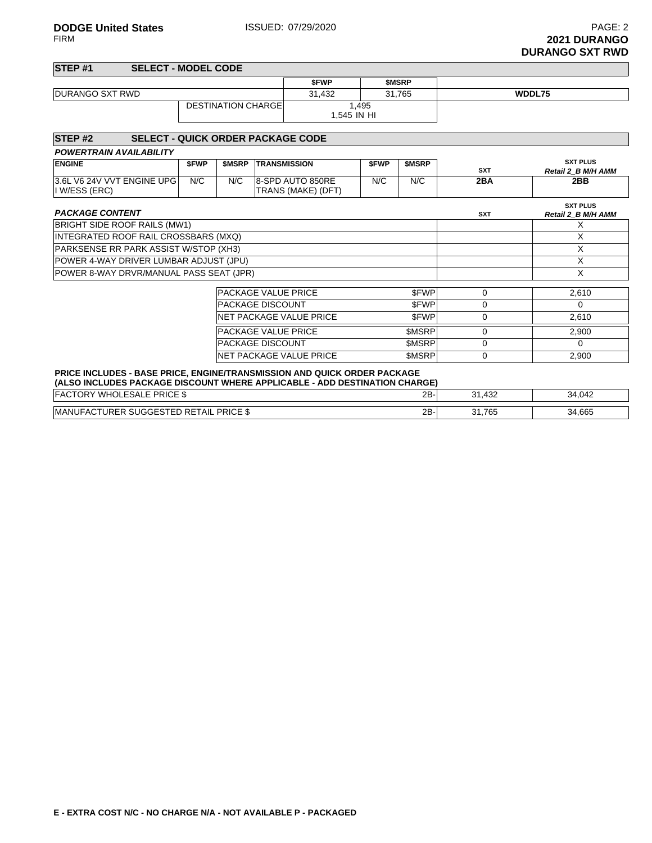| STEP <sub>#1</sub> | <b>SELECT - MODEL CODE</b> |             |              |        |
|--------------------|----------------------------|-------------|--------------|--------|
|                    |                            | <b>SFWP</b> | <b>SMSRP</b> |        |
| DURANGO SXT RWD    |                            | 31.432      | 31.765       | WDDL75 |
|                    | <b>DESTINATION CHARGEL</b> | 1,495       |              |        |
|                    |                            | 1.545 IN HI |              |        |
|                    |                            |             |              |        |

| STEP <sub>#2</sub>                                                                                                                                     |             |              | <b>SELECT - QUICK ORDER PACKAGE CODE</b> |             |               |            |                                       |
|--------------------------------------------------------------------------------------------------------------------------------------------------------|-------------|--------------|------------------------------------------|-------------|---------------|------------|---------------------------------------|
| <b>POWERTRAIN AVAILABILITY</b>                                                                                                                         |             |              |                                          |             |               |            |                                       |
| <b>ENGINE</b>                                                                                                                                          | <b>SFWP</b> | <b>SMSRP</b> | <b>TRANSMISSION</b>                      | <b>SFWP</b> | <b>SMSRP</b>  | <b>SXT</b> | <b>SXT PLUS</b><br>Retail 2_B M/H AMM |
| 3.6L V6 24V VVT ENGINE UPG<br>I W/ESS (ERC)                                                                                                            | N/C         | N/C          | 8-SPD AUTO 850RE<br>TRANS (MAKE) (DFT)   | N/C         | N/C           | 2BA        | 2BB                                   |
| <b>PACKAGE CONTENT</b>                                                                                                                                 |             |              |                                          |             |               | <b>SXT</b> | <b>SXT PLUS</b><br>Retail 2 B M/H AMM |
| BRIGHT SIDE ROOF RAILS (MW1)                                                                                                                           |             |              |                                          |             |               |            | X                                     |
| INTEGRATED ROOF RAIL CROSSBARS (MXQ)                                                                                                                   |             |              |                                          |             |               |            | X                                     |
| PARKSENSE RR PARK ASSIST W/STOP (XH3)                                                                                                                  |             |              |                                          |             |               |            | X                                     |
| POWER 4-WAY DRIVER LUMBAR ADJUST (JPU)                                                                                                                 |             |              |                                          |             |               |            | X                                     |
| POWER 8-WAY DRVR/MANUAL PASS SEAT (JPR)                                                                                                                |             |              |                                          |             |               |            | X                                     |
|                                                                                                                                                        |             |              |                                          |             |               |            |                                       |
|                                                                                                                                                        |             |              | PACKAGE VALUE PRICE                      |             | \$FWP         | 0          | 2,610                                 |
|                                                                                                                                                        |             |              | <b>PACKAGE DISCOUNT</b>                  |             | \$FWP         | 0          | 0                                     |
|                                                                                                                                                        |             |              | NET PACKAGE VALUE PRICE                  |             | \$FWP         | 0          | 2,610                                 |
|                                                                                                                                                        |             |              | <b>PACKAGE VALUE PRICE</b>               |             | \$MSRP        | 0          | 2,900                                 |
|                                                                                                                                                        |             |              | <b>PACKAGE DISCOUNT</b>                  |             | <b>\$MSRP</b> | 0          | 0                                     |
|                                                                                                                                                        | \$MSRP      | 0            | 2,900                                    |             |               |            |                                       |
| PRICE INCLUDES - BASE PRICE, ENGINE/TRANSMISSION AND QUICK ORDER PACKAGE<br>(ALSO INCLUDES PACKAGE DISCOUNT WHERE APPLICABLE - ADD DESTINATION CHARGE) |             |              |                                          |             |               |            |                                       |
| <b>FACTORY WHOLESALE PRICE \$</b>                                                                                                                      |             |              |                                          |             | $2B -$        | 31,432     | 34,042                                |

| <b>DDICE</b><br><b>MANUF</b><br>UR′<br>RETAIL<br>--<br>י ∆י<br>.<br>′หเ∪⊏ ง<br>nu<br>- 9 I L D I | 2R.<br><u>_</u> | .765 | $\cdots$<br>-34.66. |
|--------------------------------------------------------------------------------------------------|-----------------|------|---------------------|
|                                                                                                  |                 |      |                     |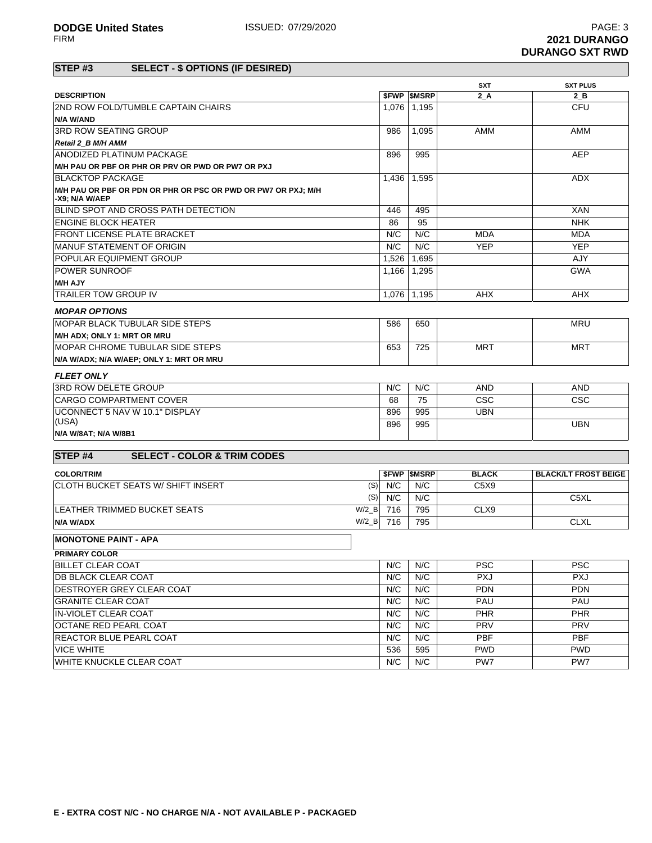|                                                                                 |         |              |                          | <b>SXT</b>   | <b>SXT PLUS</b>             |
|---------------------------------------------------------------------------------|---------|--------------|--------------------------|--------------|-----------------------------|
| <b>DESCRIPTION</b>                                                              |         |              | <b><i>SFWP SMSRP</i></b> | 2A           | $2_B$                       |
| <b>2ND ROW FOLD/TUMBLE CAPTAIN CHAIRS</b>                                       |         | 1,076        | 1,195                    |              | <b>CFU</b>                  |
| N/A W/AND                                                                       |         |              |                          |              |                             |
| <b>3RD ROW SEATING GROUP</b>                                                    |         | 986          | 1,095                    | <b>AMM</b>   | <b>AMM</b>                  |
| Retail 2 B M/H AMM                                                              |         |              |                          |              |                             |
| <b>ANODIZED PLATINUM PACKAGE</b>                                                |         | 896          | 995                      |              | <b>AEP</b>                  |
| M/H PAU OR PBF OR PHR OR PRV OR PWD OR PW7 OR PXJ                               |         |              |                          |              |                             |
| <b>BLACKTOP PACKAGE</b>                                                         |         | 1,436        | 1,595                    |              | <b>ADX</b>                  |
| M/H PAU OR PBF OR PDN OR PHR OR PSC OR PWD OR PW7 OR PXJ; M/H<br>-X9; N/A W/AEP |         |              |                          |              |                             |
| BLIND SPOT AND CROSS PATH DETECTION                                             |         | 446          | 495                      |              | <b>XAN</b>                  |
| <b>ENGINE BLOCK HEATER</b>                                                      |         | 86           | 95                       |              | <b>NHK</b>                  |
| <b>FRONT LICENSE PLATE BRACKET</b>                                              |         | N/C          | N/C                      | <b>MDA</b>   | <b>MDA</b>                  |
| MANUF STATEMENT OF ORIGIN                                                       |         | N/C          | N/C                      | <b>YEP</b>   | <b>YEP</b>                  |
| <b>POPULAR EQUIPMENT GROUP</b>                                                  |         | 1.526        | 1.695                    |              | AJY                         |
| <b>POWER SUNROOF</b>                                                            |         | 1,166        | 1,295                    |              | <b>GWA</b>                  |
| <b>M/H AJY</b>                                                                  |         |              |                          |              |                             |
| <b>TRAILER TOW GROUP IV</b>                                                     |         | 1,076        | 1,195                    | AHX          | <b>AHX</b>                  |
| <b>MOPAR OPTIONS</b>                                                            |         |              |                          |              |                             |
| MOPAR BLACK TUBULAR SIDE STEPS                                                  |         | 586          | 650                      |              | <b>MRU</b>                  |
| M/H ADX; ONLY 1: MRT OR MRU                                                     |         |              |                          |              |                             |
| <b>MOPAR CHROME TUBULAR SIDE STEPS</b>                                          |         | 653          | 725                      | <b>MRT</b>   | <b>MRT</b>                  |
| N/A W/ADX; N/A W/AEP; ONLY 1: MRT OR MRU                                        |         |              |                          |              |                             |
| <b>FLEET ONLY</b>                                                               |         |              |                          |              |                             |
| 3RD ROW DELETE GROUP                                                            |         | N/C          | N/C                      | <b>AND</b>   | <b>AND</b>                  |
| <b>CARGO COMPARTMENT COVER</b>                                                  |         | 68           | 75                       | <b>CSC</b>   | CSC                         |
| UCONNECT 5 NAV W 10.1" DISPLAY                                                  |         | 896          | 995                      | <b>UBN</b>   |                             |
| (USA)                                                                           |         | 896          | 995                      |              | <b>UBN</b>                  |
| N/A W/8AT; N/A W/8B1                                                            |         |              |                          |              |                             |
| STEP <sub>#4</sub><br><b>SELECT - COLOR &amp; TRIM CODES</b>                    |         |              |                          |              |                             |
| <b>COLOR/TRIM</b>                                                               |         |              | <b><i>SFWP SMSRP</i></b> | <b>BLACK</b> | <b>BLACK/LT FROST BEIGE</b> |
| <b>CLOTH BUCKET SEATS W/ SHIFT INSERT</b>                                       | (S)     | N/C          | N/C                      | C5X9         |                             |
|                                                                                 | (S)     | N/C          | N/C                      |              | C5XL                        |
| LEATHER TRIMMED BUCKET SEATS                                                    | $W/2$ B | 716          | 795                      | CLX9         |                             |
| N/A W/ADX                                                                       | $W/2$ B | 716          | 795                      |              | <b>CLXL</b>                 |
| <b>MONOTONE PAINT - APA</b>                                                     |         |              |                          |              |                             |
| <b>PRIMARY COLOR</b>                                                            |         |              |                          |              |                             |
| <b>BILLET CLEAR COAT</b>                                                        |         | N/C          | N/C                      | <b>PSC</b>   | <b>PSC</b>                  |
| <b>DB BLACK CLEAR COAT</b>                                                      |         | N/C          | N/C                      | <b>PXJ</b>   | <b>PXJ</b>                  |
| DECTROVED CREV OLEAD COAT                                                       |         | $\mathbf{N}$ | $\mathbf{N}$             | <b>DDM</b>   | <b>DDM</b>                  |

| DESTROYER GREY CLEAR COAT | N/C | N/C | <b>PDN</b> | <b>PDN</b> |
|---------------------------|-----|-----|------------|------------|
| <b>GRANITE CLEAR COAT</b> | N/C | N/C | <b>PAU</b> | <b>PAU</b> |
| IN-VIOLET CLEAR COAT      | N/C | N/C | <b>PHR</b> | <b>PHR</b> |
| OCTANE RED PEARL COAT     | N/C | N/C | <b>PRV</b> | <b>PRV</b> |
| REACTOR BLUE PEARL COAT   | N/C | N/C | <b>PBF</b> | <b>PBF</b> |
| <b>VICE WHITE</b>         | 536 | 595 | <b>PWD</b> | <b>PWD</b> |
| WHITE KNUCKLE CLEAR COAT  | N/C | N/C | PW7        | PW7        |
|                           |     |     |            |            |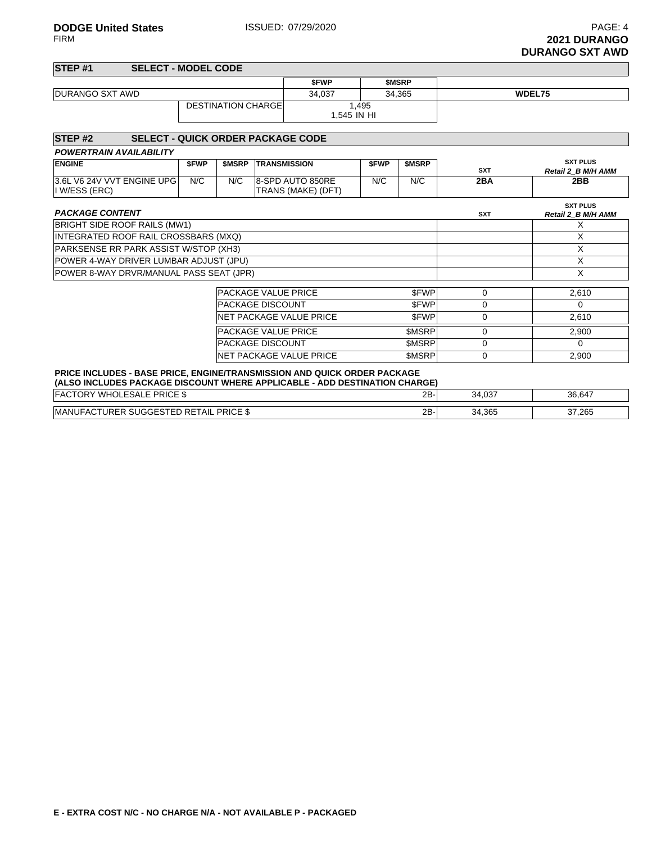| STEP <sub>#1</sub>     |  | <b>SELECT - MODEL CODE</b> |             |              |  |
|------------------------|--|----------------------------|-------------|--------------|--|
|                        |  |                            | <b>SFWP</b> | <b>SMSRP</b> |  |
| <b>DURANGO SXT AWD</b> |  | 34.037                     | 34.365      | WDEL75       |  |
|                        |  | <b>DESTINATION CHARGEL</b> | 1.545 IN HI | 1,495        |  |

| STEP <sub>#2</sub>                                                                                                                                            |             |              | <b>SELECT - QUICK ORDER PACKAGE CODE</b> |             |              |             |                                       |
|---------------------------------------------------------------------------------------------------------------------------------------------------------------|-------------|--------------|------------------------------------------|-------------|--------------|-------------|---------------------------------------|
| <b>POWERTRAIN AVAILABILITY</b>                                                                                                                                |             |              |                                          |             |              |             |                                       |
| <b>ENGINE</b>                                                                                                                                                 | <b>SFWP</b> | <b>SMSRP</b> | <b>TRANSMISSION</b>                      | <b>SFWP</b> | <b>SMSRP</b> | <b>SXT</b>  | <b>SXT PLUS</b><br>Retail 2 B M/H AMM |
| 3.6L V6 24V VVT ENGINE UPG<br>I W/ESS (ERC)                                                                                                                   | N/C         | N/C          | 8-SPD AUTO 850RE<br>TRANS (MAKE) (DFT)   | N/C         | N/C          | 2BA         | 2BB                                   |
| <b>PACKAGE CONTENT</b>                                                                                                                                        |             |              |                                          |             |              | <b>SXT</b>  | <b>SXT PLUS</b><br>Retail 2 B M/H AMM |
| BRIGHT SIDE ROOF RAILS (MW1)                                                                                                                                  |             |              |                                          |             |              |             | х                                     |
| INTEGRATED ROOF RAIL CROSSBARS (MXQ)                                                                                                                          |             |              |                                          |             |              |             | X                                     |
| PARKSENSE RR PARK ASSIST W/STOP (XH3)                                                                                                                         |             |              |                                          |             |              |             | X                                     |
| POWER 4-WAY DRIVER LUMBAR ADJUST (JPU)                                                                                                                        |             |              |                                          |             |              |             | X                                     |
| POWER 8-WAY DRVR/MANUAL PASS SEAT (JPR)                                                                                                                       |             |              |                                          |             |              |             | X                                     |
|                                                                                                                                                               |             |              |                                          |             |              |             |                                       |
|                                                                                                                                                               |             |              | <b>PACKAGE VALUE PRICE</b>               |             | \$FWP        | $\mathbf 0$ | 2,610                                 |
|                                                                                                                                                               |             |              | <b>PACKAGE DISCOUNT</b>                  |             | \$FWP        | 0           | $\Omega$                              |
|                                                                                                                                                               |             |              | NET PACKAGE VALUE PRICE                  |             | <b>SFWP</b>  | 0           | 2,610                                 |
|                                                                                                                                                               |             |              | <b>PACKAGE VALUE PRICE</b>               |             | \$MSRP       | 0           | 2,900                                 |
|                                                                                                                                                               |             |              | <b>PACKAGE DISCOUNT</b>                  |             | <b>SMSRP</b> | $\Omega$    | $\Omega$                              |
|                                                                                                                                                               | 0           | 2,900        |                                          |             |              |             |                                       |
| <b>PRICE INCLUDES - BASE PRICE, ENGINE/TRANSMISSION AND QUICK ORDER PACKAGE</b><br>(ALSO INCLUDES PACKAGE DISCOUNT WHERE APPLICABLE - ADD DESTINATION CHARGE) |             |              |                                          |             |              |             |                                       |
| <b>FACTORY WHOLESALE PRICE \$</b>                                                                                                                             |             |              |                                          |             | $2B -$       | 34,037      | 36,647                                |

| <b>PRICE \$</b><br>… TURER ∩∵<br>ED RETAIL<br>MANUF<br>`SUGGE.<br>. 11 | 2B | 34,365 | 37,265 |
|------------------------------------------------------------------------|----|--------|--------|
|                                                                        |    |        |        |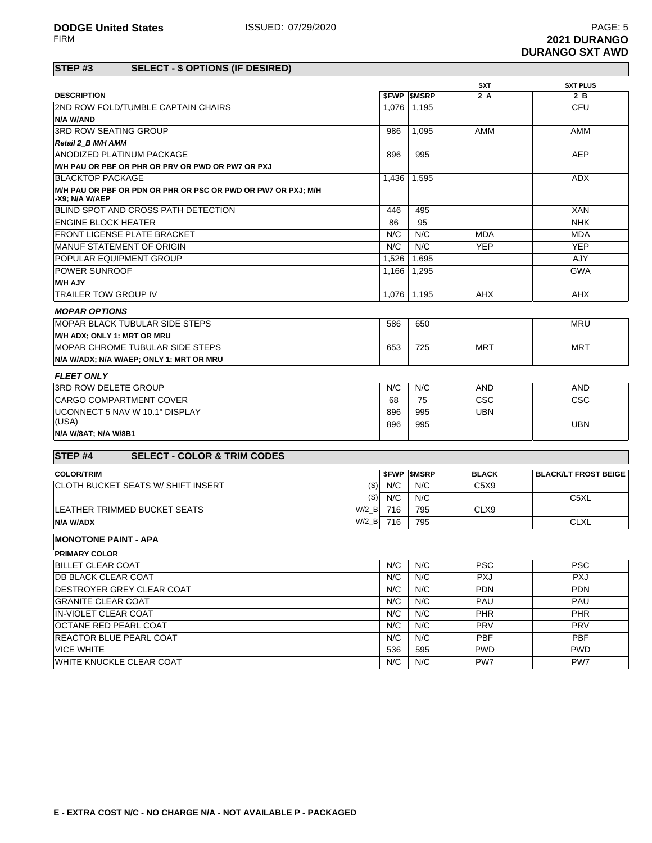|                                                                                 |          |       |                          | <b>SXT</b>   | <b>SXT PLUS</b>             |
|---------------------------------------------------------------------------------|----------|-------|--------------------------|--------------|-----------------------------|
| <b>DESCRIPTION</b>                                                              |          |       | <b><i>SFWP SMSRP</i></b> | 2 A          | $2$ B                       |
| <b>2ND ROW FOLD/TUMBLE CAPTAIN CHAIRS</b>                                       |          |       | 1,076 1,195              |              | <b>CFU</b>                  |
| N/A W/AND                                                                       |          |       |                          |              |                             |
| <b>3RD ROW SEATING GROUP</b>                                                    |          | 986   | 1,095                    | <b>AMM</b>   | <b>AMM</b>                  |
| Retail 2 B M/H AMM                                                              |          |       |                          |              |                             |
| ANODIZED PLATINUM PACKAGE                                                       |          | 896   | 995                      |              | <b>AEP</b>                  |
| M/H PAU OR PBF OR PHR OR PRV OR PWD OR PW7 OR PXJ                               |          |       |                          |              |                             |
| <b>BLACKTOP PACKAGE</b>                                                         |          | 1,436 | 1,595                    |              | <b>ADX</b>                  |
| M/H PAU OR PBF OR PDN OR PHR OR PSC OR PWD OR PW7 OR PXJ; M/H<br>-X9; N/A W/AEP |          |       |                          |              |                             |
| BLIND SPOT AND CROSS PATH DETECTION                                             |          | 446   | 495                      |              | <b>XAN</b>                  |
| <b>ENGINE BLOCK HEATER</b>                                                      |          | 86    | 95                       |              | <b>NHK</b>                  |
| <b>FRONT LICENSE PLATE BRACKET</b>                                              |          | N/C   | N/C                      | <b>MDA</b>   | <b>MDA</b>                  |
| <b>MANUF STATEMENT OF ORIGIN</b>                                                |          | N/C   | N/C                      | <b>YEP</b>   | <b>YEP</b>                  |
| POPULAR EQUIPMENT GROUP                                                         |          | 1,526 | 1,695                    |              | AJY                         |
| <b>POWER SUNROOF</b>                                                            |          | 1.166 | 1.295                    |              | <b>GWA</b>                  |
| <b>M/H AJY</b>                                                                  |          |       |                          |              |                             |
| <b>TRAILER TOW GROUP IV</b>                                                     |          |       | 1,076 1,195              | <b>AHX</b>   | <b>AHX</b>                  |
| <b>MOPAR OPTIONS</b>                                                            |          |       |                          |              |                             |
| <b>MOPAR BLACK TUBULAR SIDE STEPS</b>                                           |          | 586   | 650                      |              | <b>MRU</b>                  |
| M/H ADX; ONLY 1: MRT OR MRU                                                     |          |       |                          |              |                             |
| IMOPAR CHROME TUBULAR SIDE STEPS                                                |          | 653   | 725                      | <b>MRT</b>   | <b>MRT</b>                  |
| N/A W/ADX; N/A W/AEP; ONLY 1: MRT OR MRU                                        |          |       |                          |              |                             |
| <b>FLEET ONLY</b>                                                               |          |       |                          |              |                             |
| 3RD ROW DELETE GROUP                                                            |          | N/C   | N/C                      | <b>AND</b>   | <b>AND</b>                  |
| <b>CARGO COMPARTMENT COVER</b>                                                  |          | 68    | 75                       | CSC          | CSC                         |
| UCONNECT 5 NAV W 10.1" DISPLAY                                                  |          | 896   | 995                      | <b>UBN</b>   |                             |
| (USA)                                                                           |          | 896   | 995                      |              | <b>UBN</b>                  |
| N/A W/8AT; N/A W/8B1                                                            |          |       |                          |              |                             |
| STEP <sub>#4</sub><br><b>SELECT - COLOR &amp; TRIM CODES</b>                    |          |       |                          |              |                             |
| <b>COLOR/TRIM</b>                                                               |          |       | <b>SFWP SMSRP</b>        | <b>BLACK</b> | <b>BLACK/LT FROST BEIGE</b> |
| CLOTH BUCKET SEATS W/ SHIFT INSERT                                              | (S)      | N/C   | N/C                      | C5X9         |                             |
|                                                                                 | (S)      | N/C   | N/C                      |              | C5XL                        |
| <b>LEATHER TRIMMED BUCKET SEATS</b>                                             | $W/2$ B  | 716   | 795                      | CLX9         |                             |
| N/A W/ADX                                                                       | $W/2$ _B | 716   | 795                      |              | <b>CLXL</b>                 |
|                                                                                 |          |       |                          |              |                             |
| <b>MONOTONE PAINT - APA</b>                                                     |          |       |                          |              |                             |
| PRIMARY COLOR                                                                   |          |       |                          |              |                             |
| <b>BILLET CLEAR COAT</b>                                                        |          | N/C   | N/C                      | <b>PSC</b>   | <b>PSC</b>                  |
| <b>DB BLACK CLEAR COAT</b>                                                      |          | N/C   | N/C                      | <b>PXJ</b>   | <b>PXJ</b>                  |
| <b>DESTROYER GREY CLEAR COAT</b>                                                |          | N/C   | N/C                      | <b>PDN</b>   | <b>PDN</b>                  |

GRANITE CLEAR COAT **NAU PAU PAU PAU PAU PAU PAU PAU PAU** IN-VIOLET CLEAR COAT PHR PHR PHR OCTANE RED PEARL COAT THE RED OF THE REDUCT OF THE REDUCTANE REDUCT AND REDUCT A PRV PRV PRV PRV PRV REACTOR BLUE PEARL COAT **N/C** N/C N/C PBF PBF PBF VICE WHITE 536 595 PWD PWD WHITE KNUCKLE CLEAR COAT **N/C** N/C N/C PW7 PW7 PW7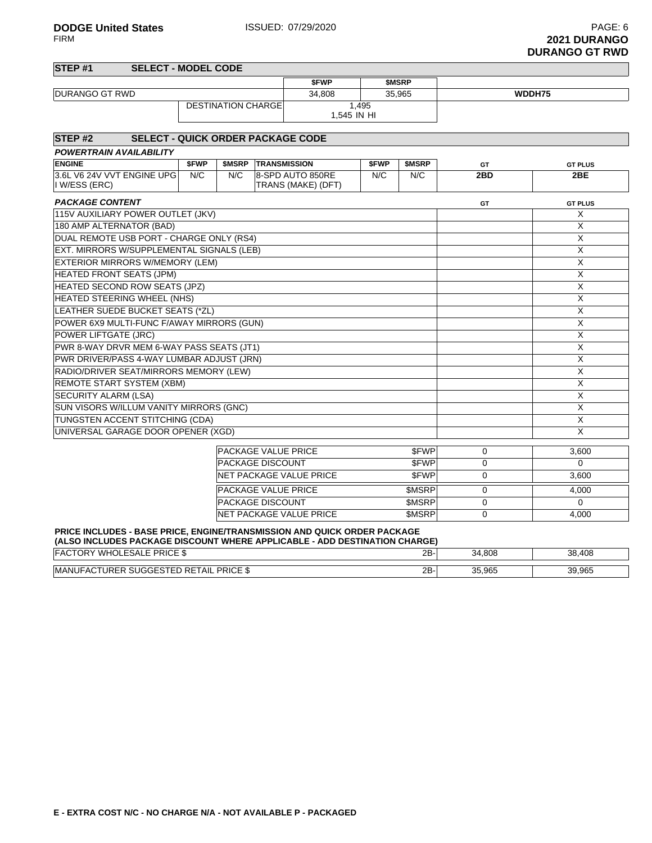| STEP <sub>#1</sub><br><b>SELECT - MODEL CODE</b>               |       |                            |                     |                                        |       |              |             |                |
|----------------------------------------------------------------|-------|----------------------------|---------------------|----------------------------------------|-------|--------------|-------------|----------------|
|                                                                |       |                            |                     | <b>SFWP</b>                            |       | <b>SMSRP</b> |             |                |
| <b>DURANGO GT RWD</b>                                          |       |                            |                     | 34.808                                 |       | 35.965       |             | WDDH75         |
|                                                                |       | <b>DESTINATION CHARGE</b>  |                     | 1.545 IN HI                            | 1,495 |              |             |                |
| STEP <sub>#2</sub><br><b>SELECT - QUICK ORDER PACKAGE CODE</b> |       |                            |                     |                                        |       |              |             |                |
| <b>POWERTRAIN AVAILABILITY</b>                                 |       |                            |                     |                                        |       |              |             |                |
| <b>ENGINE</b>                                                  | \$FWP | \$MSRP                     | <b>TRANSMISSION</b> |                                        | \$FWP | \$MSRP       | GT          | <b>GT PLUS</b> |
| 3.6L V6 24V VVT ENGINE UPG<br>I W/ESS (ERC)                    | N/C   | N/C                        |                     | 8-SPD AUTO 850RE<br>TRANS (MAKE) (DFT) | N/C   | N/C          | 2BD         | 2BE            |
| <b>PACKAGE CONTENT</b>                                         |       |                            |                     |                                        |       |              | <b>GT</b>   | <b>GT PLUS</b> |
| 115V AUXILIARY POWER OUTLET (JKV)                              |       |                            |                     |                                        |       |              |             | X              |
| 180 AMP ALTERNATOR (BAD)                                       |       |                            |                     |                                        |       |              |             | X              |
| DUAL REMOTE USB PORT - CHARGE ONLY (RS4)                       |       |                            |                     |                                        |       |              |             | X              |
| EXT. MIRRORS W/SUPPLEMENTAL SIGNALS (LEB)                      |       |                            |                     |                                        |       |              |             | X              |
| <b>EXTERIOR MIRRORS W/MEMORY (LEM)</b>                         |       |                            |                     |                                        |       |              |             | X              |
| <b>HEATED FRONT SEATS (JPM)</b>                                |       |                            |                     |                                        |       |              | X           |                |
| HEATED SECOND ROW SEATS (JPZ)                                  |       |                            |                     |                                        |       |              |             | X              |
| HEATED STEERING WHEEL (NHS)                                    |       |                            |                     |                                        |       |              |             | X              |
| LEATHER SUEDE BUCKET SEATS (*ZL)                               |       |                            |                     |                                        |       |              |             | X              |
| POWER 6X9 MULTI-FUNC F/AWAY MIRRORS (GUN)                      |       |                            |                     |                                        |       |              |             | X              |
| POWER LIFTGATE (JRC)                                           |       |                            |                     |                                        |       |              |             | X              |
| PWR 8-WAY DRVR MEM 6-WAY PASS SEATS (JT1)                      |       |                            |                     |                                        |       |              |             | X              |
| PWR DRIVER/PASS 4-WAY LUMBAR ADJUST (JRN)                      |       |                            |                     |                                        |       |              |             | X              |
| RADIO/DRIVER SEAT/MIRRORS MEMORY (LEW)                         |       |                            |                     |                                        |       |              |             | X              |
| <b>REMOTE START SYSTEM (XBM)</b>                               |       |                            |                     |                                        |       |              |             | X              |
| <b>SECURITY ALARM (LSA)</b>                                    |       |                            |                     |                                        |       |              |             | X              |
| SUN VISORS W/ILLUM VANITY MIRRORS (GNC)                        |       |                            |                     |                                        |       |              |             | X              |
| TUNGSTEN ACCENT STITCHING (CDA)                                |       |                            |                     |                                        |       |              |             | X              |
| UNIVERSAL GARAGE DOOR OPENER (XGD)                             |       |                            |                     |                                        |       |              |             | X              |
|                                                                |       | <b>PACKAGE VALUE PRICE</b> |                     |                                        |       | <b>SFWP</b>  | 0           | 3,600          |
|                                                                |       | <b>PACKAGE DISCOUNT</b>    |                     |                                        |       | <b>SFWP</b>  | 0           | $\Omega$       |
|                                                                |       |                            |                     | <b>NET PACKAGE VALUE PRICE</b>         |       | <b>SFWP</b>  | 0           | 3,600          |
|                                                                |       | <b>PACKAGE VALUE PRICE</b> |                     |                                        |       | \$MSRP       | $\mathbf 0$ | 4,000          |
|                                                                |       | <b>PACKAGE DISCOUNT</b>    |                     |                                        |       | \$MSRP       | $\Omega$    | $\mathbf 0$    |

#### **PRICE INCLUDES - BASE PRICE, ENGINE/TRANSMISSION AND QUICK ORDER PACKAGE**

| (ALSO INCLUDES PACKAGE DISCOUNT WHERE APPLICABLE - ADD DESTINATION CHARGE) |     |        |        |  |  |  |  |  |
|----------------------------------------------------------------------------|-----|--------|--------|--|--|--|--|--|
| <b>FACTORY WHOLESALE PRICE \$</b>                                          | 2B- | 34.808 | 38,408 |  |  |  |  |  |
| <b>IMANUFACTURER SUGGESTED RETAIL PRICE \$</b>                             | 2В. | 35.965 | 39.965 |  |  |  |  |  |

NET PACKAGE VALUE PRICE \$MSRP 0 4,000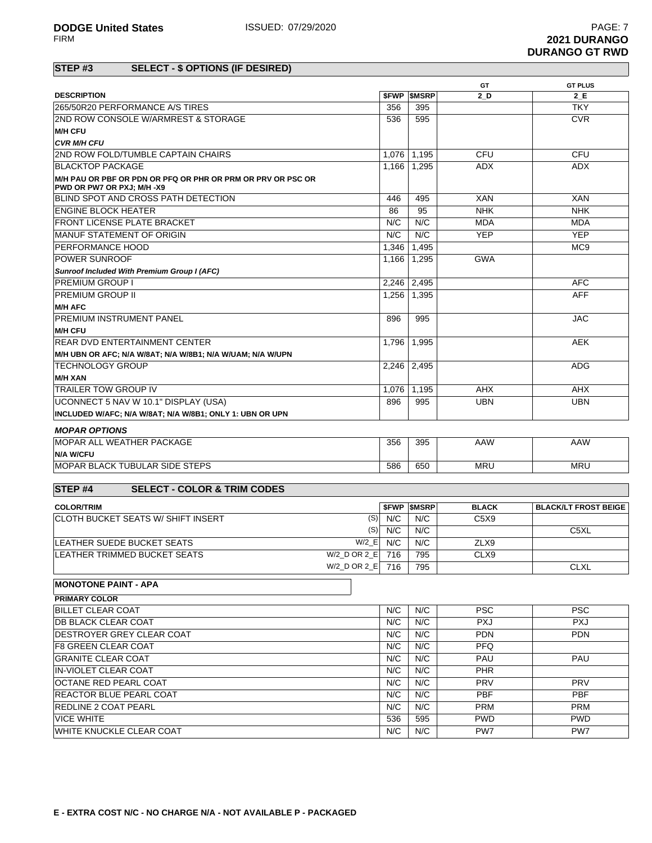|                                                                                           | GT<br><b>GT PLUS</b> |                          |              |                             |  |  |
|-------------------------------------------------------------------------------------------|----------------------|--------------------------|--------------|-----------------------------|--|--|
| <b>DESCRIPTION</b>                                                                        |                      | <b>SFWP SMSRP</b>        | 2 D          | 2 E                         |  |  |
| 265/50R20 PERFORMANCE A/S TIRES                                                           | 356                  | 395                      |              | <b>TKY</b>                  |  |  |
| 2ND ROW CONSOLE W/ARMREST & STORAGE                                                       | 536                  | 595                      |              | <b>CVR</b>                  |  |  |
| <b>M/H CFU</b>                                                                            |                      |                          |              |                             |  |  |
| <b>CVR M/H CFU</b>                                                                        |                      |                          |              |                             |  |  |
| 2ND ROW FOLD/TUMBLE CAPTAIN CHAIRS                                                        | 1,076                | 1,195                    | CFU          | CFU                         |  |  |
| <b>BLACKTOP PACKAGE</b>                                                                   | 1,166                | 1,295                    | <b>ADX</b>   | <b>ADX</b>                  |  |  |
| M/H PAU OR PBF OR PDN OR PFQ OR PHR OR PRM OR PRV OR PSC OR<br>PWD OR PW7 OR PXJ: M/H -X9 |                      |                          |              |                             |  |  |
| BLIND SPOT AND CROSS PATH DETECTION                                                       | 446                  | 495                      | <b>XAN</b>   | <b>XAN</b>                  |  |  |
| <b>ENGINE BLOCK HEATER</b>                                                                | 86                   | 95                       | <b>NHK</b>   | <b>NHK</b>                  |  |  |
| <b>FRONT LICENSE PLATE BRACKET</b>                                                        | N/C                  | N/C                      | <b>MDA</b>   | <b>MDA</b>                  |  |  |
| <b>MANUF STATEMENT OF ORIGIN</b>                                                          | N/C                  | N/C                      | <b>YEP</b>   | <b>YEP</b>                  |  |  |
| PERFORMANCE HOOD                                                                          | 1,346                | 1,495                    |              | MC <sub>9</sub>             |  |  |
| <b>POWER SUNROOF</b>                                                                      | 1,166                | 1,295                    | <b>GWA</b>   |                             |  |  |
| Sunroof Included With Premium Group I (AFC)                                               |                      |                          |              |                             |  |  |
| <b>PREMIUM GROUP I</b>                                                                    | 2,246                | 2,495                    |              | <b>AFC</b>                  |  |  |
| <b>PREMIUM GROUP II</b>                                                                   | 1,256                | 1,395                    |              | <b>AFF</b>                  |  |  |
| <b>M/H AFC</b>                                                                            |                      |                          |              |                             |  |  |
| <b>PREMIUM INSTRUMENT PANEL</b>                                                           | 896                  | 995                      |              | <b>JAC</b>                  |  |  |
| <b>M/H CFU</b>                                                                            |                      |                          |              |                             |  |  |
| <b>REAR DVD ENTERTAINMENT CENTER</b>                                                      | 1,796                | 1,995                    |              | <b>AEK</b>                  |  |  |
| M/H UBN OR AFC; N/A W/8AT; N/A W/8B1; N/A W/UAM; N/A W/UPN                                |                      |                          |              |                             |  |  |
| <b>TECHNOLOGY GROUP</b>                                                                   | 2.246                | 2,495                    |              | <b>ADG</b>                  |  |  |
| <b>M/H XAN</b>                                                                            |                      |                          |              |                             |  |  |
| <b>TRAILER TOW GROUP IV</b>                                                               | 1,076                | 1,195                    | <b>AHX</b>   | <b>AHX</b>                  |  |  |
| UCONNECT 5 NAV W 10.1" DISPLAY (USA)                                                      | 896                  | 995                      | <b>UBN</b>   | <b>UBN</b>                  |  |  |
| INCLUDED W/AFC; N/A W/8AT; N/A W/8B1; ONLY 1: UBN OR UPN                                  |                      |                          |              |                             |  |  |
| <b>MOPAR OPTIONS</b>                                                                      |                      |                          |              |                             |  |  |
| <b>MOPAR ALL WEATHER PACKAGE</b>                                                          | 356                  | 395                      | AAW          | AAW                         |  |  |
| <b>N/A W/CFU</b>                                                                          |                      |                          |              |                             |  |  |
| <b>MOPAR BLACK TUBULAR SIDE STEPS</b>                                                     | 586                  | 650                      | <b>MRU</b>   | <b>MRU</b>                  |  |  |
| STEP <sub>#4</sub><br><b>SELECT - COLOR &amp; TRIM CODES</b>                              |                      |                          |              |                             |  |  |
| <b>COLOR/TRIM</b>                                                                         |                      | <b><i>SFWP SMSRP</i></b> | <b>BLACK</b> | <b>BLACK/LT FROST BEIGE</b> |  |  |
| (S)<br>CLOTH BUCKET SEATS W/ SHIFT INSERT                                                 | N/C                  | $N/\overline{C}$         | C5X9         |                             |  |  |
| (S)                                                                                       | N/C                  | N/C                      |              | C5XL                        |  |  |
| $W/2$ <sub>_</sub> E<br>LEATHER SUEDE BUCKET SEATS                                        | N/C                  | N/C                      | ZLX9         |                             |  |  |
| W/2_D OR 2_E 716<br>LEATHER TRIMMED BUCKET SEATS                                          |                      |                          |              |                             |  |  |
| W/2_D OR 2_E 716                                                                          |                      | 795<br>795               | CLX9         | <b>CLXL</b>                 |  |  |
|                                                                                           |                      |                          |              |                             |  |  |
| <b>MONOTONE PAINT - APA</b>                                                               |                      |                          |              |                             |  |  |
| <b>PRIMARY COLOR</b><br><b>BILLET CLEAR COAT</b>                                          | N/C                  |                          |              | <b>PSC</b>                  |  |  |
|                                                                                           |                      | N/C                      | PSC.         |                             |  |  |
| <b>DB BLACK CLEAR COAT</b>                                                                | N/C                  | N/C                      | <b>PXJ</b>   | <b>PXJ</b>                  |  |  |
| DESTROYER GREY CLEAR COAT                                                                 | N/C                  | N/C                      | <b>PDN</b>   | <b>PDN</b>                  |  |  |
| <b>F8 GREEN CLEAR COAT</b>                                                                | N/C                  | N/C                      | <b>PFQ</b>   |                             |  |  |
| <b>GRANITE CLEAR COAT</b>                                                                 | N/C                  | N/C                      | PAU          | PAU                         |  |  |
| IN-VIOLET CLEAR COAT                                                                      | N/C                  | N/C                      | <b>PHR</b>   |                             |  |  |
| OCTANE RED PEARL COAT                                                                     | N/C                  | N/C                      | <b>PRV</b>   | <b>PRV</b>                  |  |  |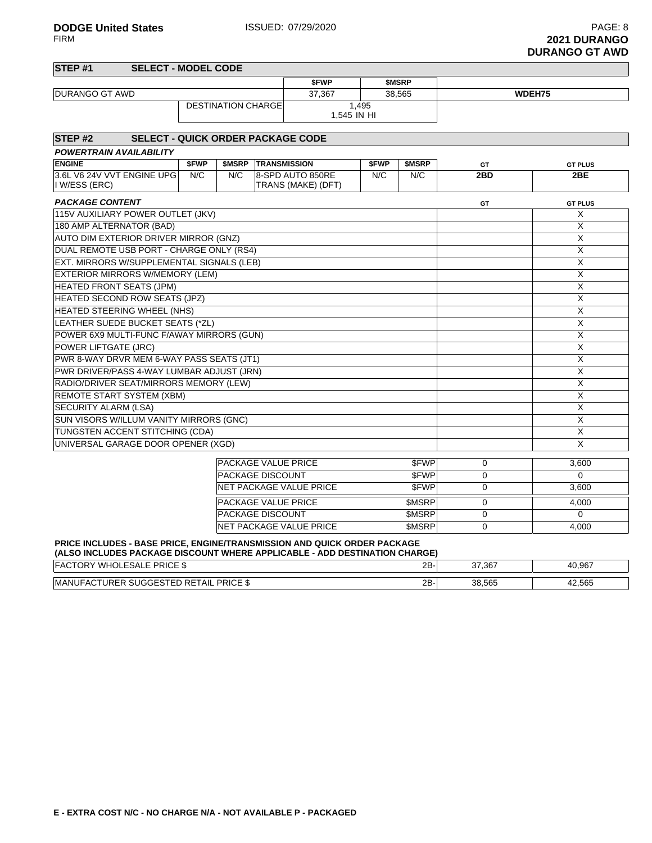| STEP <sub>#1</sub><br><b>SELECT - MODEL CODE</b>                                                                                                              |       |                            |                     |                         |             |              |          |                         |
|---------------------------------------------------------------------------------------------------------------------------------------------------------------|-------|----------------------------|---------------------|-------------------------|-------------|--------------|----------|-------------------------|
|                                                                                                                                                               |       |                            |                     | \$FWP                   |             | \$MSRP       |          |                         |
| <b>DURANGO GT AWD</b>                                                                                                                                         |       |                            |                     | 37.367                  |             | 38.565       |          | WDEH75                  |
|                                                                                                                                                               |       | <b>DESTINATION CHARGE</b>  |                     | 1,545 IN HI             | 1.495       |              |          |                         |
|                                                                                                                                                               |       |                            |                     |                         |             |              |          |                         |
| STEP <sub>#2</sub><br><b>SELECT - QUICK ORDER PACKAGE CODE</b>                                                                                                |       |                            |                     |                         |             |              |          |                         |
| <b>POWERTRAIN AVAILABILITY</b>                                                                                                                                |       |                            |                     |                         |             |              |          |                         |
| <b>ENGINE</b>                                                                                                                                                 | \$FWP | \$MSRP                     | <b>TRANSMISSION</b> |                         | <b>SFWP</b> | <b>SMSRP</b> | GT       | <b>GT PLUS</b>          |
| 3.6L V6 24V VVT ENGINE UPG                                                                                                                                    | N/C   | N/C                        |                     | 8-SPD AUTO 850RE        | N/C         | N/C          | 2BD      | 2BE                     |
| I W/ESS (ERC)                                                                                                                                                 |       |                            |                     | TRANS (MAKE) (DFT)      |             |              |          |                         |
| <b>PACKAGE CONTENT</b>                                                                                                                                        |       |                            |                     |                         |             |              | GT       | <b>GT PLUS</b>          |
| 115V AUXILIARY POWER OUTLET (JKV)                                                                                                                             |       |                            |                     |                         |             |              |          | X                       |
| 180 AMP ALTERNATOR (BAD)                                                                                                                                      |       |                            |                     |                         |             |              |          | X                       |
| AUTO DIM EXTERIOR DRIVER MIRROR (GNZ)                                                                                                                         |       |                            |                     |                         |             |              |          | X                       |
| DUAL REMOTE USB PORT - CHARGE ONLY (RS4)                                                                                                                      |       |                            |                     |                         |             |              |          | X                       |
| EXT. MIRRORS W/SUPPLEMENTAL SIGNALS (LEB)                                                                                                                     |       |                            |                     |                         |             |              |          | X                       |
| EXTERIOR MIRRORS W/MEMORY (LEM)                                                                                                                               |       |                            |                     |                         |             |              |          | X                       |
| <b>HEATED FRONT SEATS (JPM)</b>                                                                                                                               |       |                            |                     |                         |             |              |          | $\overline{X}$          |
| HEATED SECOND ROW SEATS (JPZ)                                                                                                                                 |       |                            |                     |                         |             |              |          | X                       |
| HEATED STEERING WHEEL (NHS)                                                                                                                                   |       |                            |                     |                         |             |              |          | X                       |
| LEATHER SUEDE BUCKET SEATS (*ZL)                                                                                                                              |       |                            |                     |                         |             |              |          | X                       |
| POWER 6X9 MULTI-FUNC F/AWAY MIRRORS (GUN)                                                                                                                     |       |                            |                     |                         |             |              |          | $\overline{X}$          |
| POWER LIFTGATE (JRC)                                                                                                                                          |       |                            |                     |                         |             |              |          | X                       |
| PWR 8-WAY DRVR MEM 6-WAY PASS SEATS (JT1)                                                                                                                     |       |                            |                     |                         |             |              |          | X                       |
| PWR DRIVER/PASS 4-WAY LUMBAR ADJUST (JRN)                                                                                                                     |       |                            |                     |                         |             |              |          | X                       |
| RADIO/DRIVER SEAT/MIRRORS MEMORY (LEW)                                                                                                                        |       |                            |                     |                         |             |              |          | X                       |
| REMOTE START SYSTEM (XBM)                                                                                                                                     |       |                            |                     |                         |             |              |          | X                       |
| <b>SECURITY ALARM (LSA)</b>                                                                                                                                   |       |                            |                     |                         |             |              |          | X                       |
| SUN VISORS W/ILLUM VANITY MIRRORS (GNC)                                                                                                                       |       |                            |                     |                         |             |              |          | X                       |
| TUNGSTEN ACCENT STITCHING (CDA)                                                                                                                               |       |                            |                     |                         |             |              |          | $\overline{\mathsf{x}}$ |
| UNIVERSAL GARAGE DOOR OPENER (XGD)                                                                                                                            |       |                            |                     |                         |             |              |          | X                       |
|                                                                                                                                                               |       | <b>PACKAGE VALUE PRICE</b> |                     |                         |             | \$FWP        | 0        | 3,600                   |
|                                                                                                                                                               |       | PACKAGE DISCOUNT           |                     |                         |             | \$FWP        | 0        | $\Omega$                |
|                                                                                                                                                               |       |                            |                     | NET PACKAGE VALUE PRICE |             | <b>SFWP</b>  | 0        | 3,600                   |
|                                                                                                                                                               |       | <b>PACKAGE VALUE PRICE</b> |                     |                         |             | \$MSRP       | $\Omega$ | 4,000                   |
|                                                                                                                                                               |       | PACKAGE DISCOUNT           |                     |                         |             | \$MSRP       | 0        | $\mathbf 0$             |
|                                                                                                                                                               |       |                            |                     | NET PACKAGE VALUE PRICE |             | <b>SMSRP</b> | $\Omega$ | 4.000                   |
| <b>PRICE INCLUDES - BASE PRICE, ENGINE/TRANSMISSION AND QUICK ORDER PACKAGE</b><br>(ALSO INCLUDES PACKAGE DISCOUNT WHERE APPLICABLE - ADD DESTINATION CHARGE) |       |                            |                     |                         |             |              |          |                         |
| <b>EACTORY WHOLESALE PRICE \$</b>                                                                                                                             |       |                            |                     |                         |             | $2R-$        | 37.367   | 40.967                  |

| FAC<br><sup>– o</sup> RIC⊨ J<br>SΔ.<br>w⊩<br>ж | חמ<br>ZD. | 37.367 | .967<br>Δſ         |
|------------------------------------------------|-----------|--------|--------------------|
| <b>PRICE</b><br>MAN<br>' All<br>.              | חר<br>ZD. | 38.565 | <b>FOF</b><br>.bb: |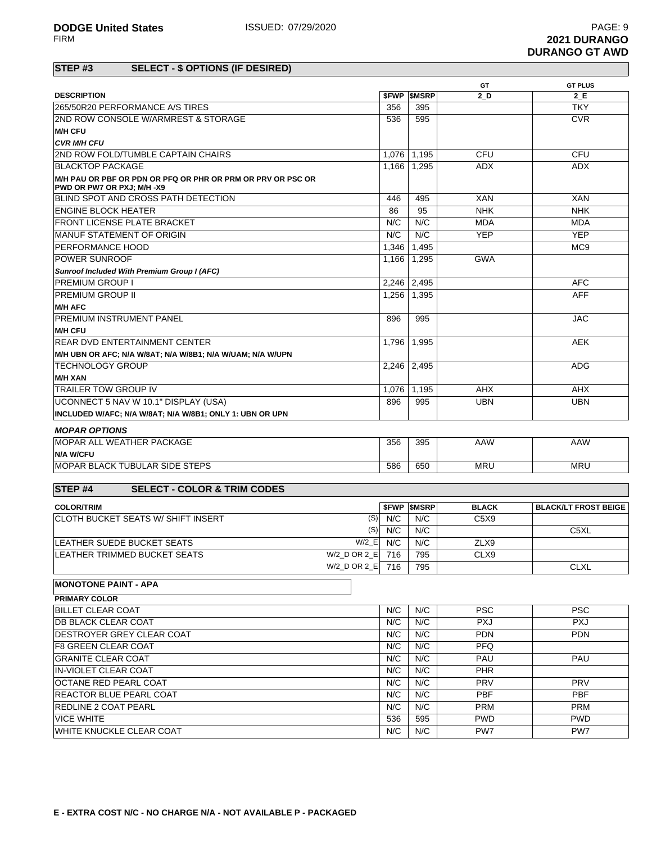|                                                                                           |             |                          | GT           | <b>GT PLUS</b>              |  |
|-------------------------------------------------------------------------------------------|-------------|--------------------------|--------------|-----------------------------|--|
| <b>DESCRIPTION</b>                                                                        | <b>SFWP</b> | <b>SMSRP</b>             | 2 D          | 2 E                         |  |
| 265/50R20 PERFORMANCE A/S TIRES                                                           | 356         | 395                      |              | <b>TKY</b>                  |  |
| 2ND ROW CONSOLE W/ARMREST & STORAGE                                                       | 536         | 595                      |              | <b>CVR</b>                  |  |
| <b>M/H CFU</b>                                                                            |             |                          |              |                             |  |
| <b>CVR M/H CFU</b>                                                                        |             |                          |              |                             |  |
| 2ND ROW FOLD/TUMBLE CAPTAIN CHAIRS                                                        | 1.076       | 1,195                    | CFU          | <b>CFU</b>                  |  |
| <b>BLACKTOP PACKAGE</b>                                                                   | 1,166       | 1,295                    | <b>ADX</b>   | ADX.                        |  |
| M/H PAU OR PBF OR PDN OR PFQ OR PHR OR PRM OR PRV OR PSC OR<br>PWD OR PW7 OR PXJ; M/H -X9 |             |                          |              |                             |  |
| BLIND SPOT AND CROSS PATH DETECTION                                                       | 446         | 495                      | <b>XAN</b>   | <b>XAN</b>                  |  |
| <b>ENGINE BLOCK HEATER</b>                                                                | 86          | 95                       | <b>NHK</b>   | <b>NHK</b>                  |  |
| <b>FRONT LICENSE PLATE BRACKET</b>                                                        | N/C         | N/C                      | <b>MDA</b>   | <b>MDA</b>                  |  |
| MANUF STATEMENT OF ORIGIN                                                                 | N/C         | N/C                      | <b>YEP</b>   | <b>YEP</b>                  |  |
| PERFORMANCE HOOD                                                                          | 1,346       | 1,495                    |              | MC <sub>9</sub>             |  |
| <b>POWER SUNROOF</b>                                                                      | 1,166       | 1,295                    | <b>GWA</b>   |                             |  |
| <b>Sunroof Included With Premium Group I (AFC)</b>                                        |             |                          |              |                             |  |
| <b>PREMIUM GROUP I</b>                                                                    | 2,246       | 2,495                    |              | <b>AFC</b>                  |  |
| <b>PREMIUM GROUP II</b>                                                                   | 1,256       | 1,395                    |              | <b>AFF</b>                  |  |
| <b>M/H AFC</b>                                                                            |             |                          |              |                             |  |
| <b>PREMIUM INSTRUMENT PANEL</b>                                                           | 896         | 995                      |              | <b>JAC</b>                  |  |
| <b>M/H CFU</b>                                                                            |             |                          |              |                             |  |
| <b>REAR DVD ENTERTAINMENT CENTER</b>                                                      | 1,796       | 1,995                    |              | <b>AEK</b>                  |  |
| M/H UBN OR AFC; N/A W/8AT; N/A W/8B1; N/A W/UAM; N/A W/UPN                                |             |                          |              |                             |  |
| <b>TECHNOLOGY GROUP</b>                                                                   | 2.246       | 2,495                    |              | <b>ADG</b>                  |  |
| <b>M/H XAN</b>                                                                            |             |                          |              |                             |  |
| TRAILER TOW GROUP IV                                                                      | 1,076       | 1,195                    | <b>AHX</b>   | AHX                         |  |
| UCONNECT 5 NAV W 10.1" DISPLAY (USA)                                                      | 896         | 995                      | <b>UBN</b>   | <b>UBN</b>                  |  |
| INCLUDED W/AFC; N/A W/8AT; N/A W/8B1; ONLY 1: UBN OR UPN                                  |             |                          |              |                             |  |
|                                                                                           |             |                          |              |                             |  |
| <b>MOPAR OPTIONS</b>                                                                      |             |                          |              |                             |  |
| MOPAR ALL WEATHER PACKAGE                                                                 | 356         | 395                      | AAW          | AAW                         |  |
| <b>N/A W/CFU</b>                                                                          |             |                          |              |                             |  |
| MOPAR BLACK TUBULAR SIDE STEPS                                                            | 586         | 650                      | <b>MRU</b>   | <b>MRU</b>                  |  |
|                                                                                           |             |                          |              |                             |  |
| <b>SELECT - COLOR &amp; TRIM CODES</b><br><b>STEP#4</b>                                   |             |                          |              |                             |  |
| <b>COLOR/TRIM</b>                                                                         |             | <b><i>SFWP SMSRP</i></b> | <b>BLACK</b> | <b>BLACK/LT FROST BEIGE</b> |  |
| CLOTH BUCKET SEATS W/ SHIFT INSERT<br>(S)                                                 | N/C         | N/C                      | C5X9         |                             |  |
| (S)                                                                                       | N/C         | N/C                      |              | C5XL                        |  |
| $W/2$ <sub>_</sub> E<br>LEATHER SUEDE BUCKET SEATS                                        | N/C         | N/C                      | ZLX9         |                             |  |
| W/2_D OR 2_E 716<br>LEATHER TRIMMED BUCKET SEATS                                          |             | 795                      | CLX9         |                             |  |
| W/2 D OR 2 E 716                                                                          |             | 795                      |              | <b>CLXL</b>                 |  |
|                                                                                           |             |                          |              |                             |  |
| <b>MONOTONE PAINT - APA</b>                                                               |             |                          |              |                             |  |
| <b>PRIMARY COLOR</b>                                                                      |             |                          |              |                             |  |
| <b>BILLET CLEAR COAT</b>                                                                  | N/C         | N/C                      | <b>PSC</b>   | <b>PSC</b>                  |  |
| <b>DB BLACK CLEAR COAT</b>                                                                | N/C         | N/C                      | <b>PXJ</b>   | <b>PXJ</b>                  |  |
| DESTROYER GREY CLEAR COAT                                                                 | N/C         | N/C                      | <b>PDN</b>   | <b>PDN</b>                  |  |
| <b>F8 GREEN CLEAR COAT</b>                                                                | N/C         | N/C                      | <b>PFQ</b>   |                             |  |
| <b>GRANITE CLEAR COAT</b>                                                                 | N/C         | N/C                      | PAU          | PAU                         |  |
| IN-VIOLET CLEAR COAT                                                                      | N/C         | N/C                      | PHR          |                             |  |
| OCTANE RED PEARL COAT                                                                     | N/C         | N/C                      | <b>PRV</b>   | <b>PRV</b>                  |  |

REACTOR BLUE PEARL COAT **N/C N/C PBF** PBF PBF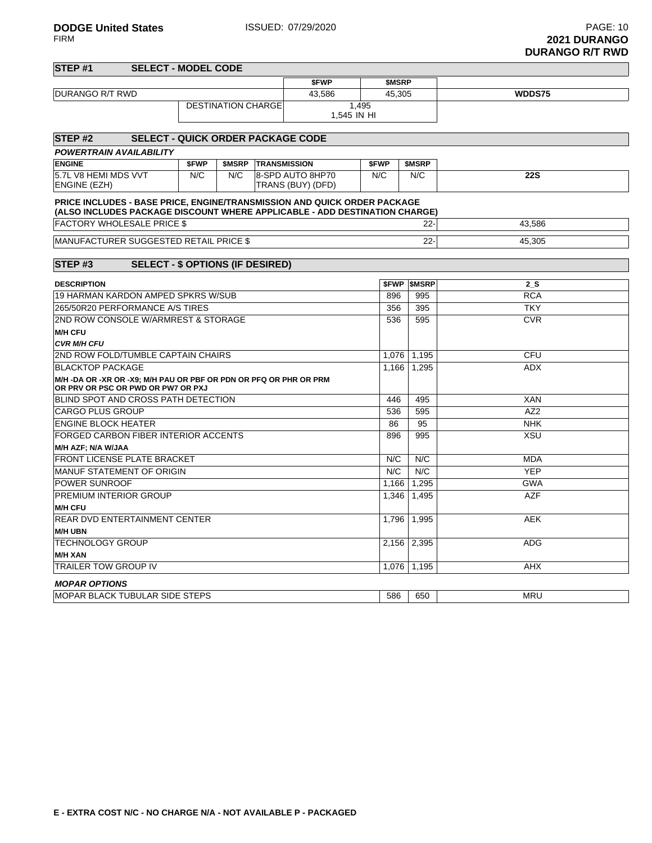| STEP#1                                                                                               | <b>SELECT - MODEL CODE</b>              |       |                           |  |                                                                                                                                                        |                      |               |                 |
|------------------------------------------------------------------------------------------------------|-----------------------------------------|-------|---------------------------|--|--------------------------------------------------------------------------------------------------------------------------------------------------------|----------------------|---------------|-----------------|
|                                                                                                      |                                         |       |                           |  | \$FWP                                                                                                                                                  | \$MSRP               |               |                 |
| DURANGO R/T RWD                                                                                      |                                         |       |                           |  | 43,586                                                                                                                                                 | 45,305               |               | WDDS75          |
|                                                                                                      |                                         |       | <b>DESTINATION CHARGE</b> |  |                                                                                                                                                        | 1,495<br>1,545 IN HI |               |                 |
| STEP#2                                                                                               |                                         |       |                           |  | <b>SELECT - QUICK ORDER PACKAGE CODE</b>                                                                                                               |                      |               |                 |
| <b>POWERTRAIN AVAILABILITY</b>                                                                       |                                         |       |                           |  |                                                                                                                                                        |                      |               |                 |
| <b>ENGINE</b>                                                                                        |                                         | \$FWP | <b>\$MSRP</b>             |  | <b>TRANSMISSION</b>                                                                                                                                    | \$FWP                | \$MSRP        |                 |
| 5.7L V8 HEMI MDS VVT<br><b>ENGINE (EZH)</b>                                                          |                                         | N/C   | N/C                       |  | 8-SPD AUTO 8HP70<br>TRANS (BUY) (DFD)                                                                                                                  | N/C                  | N/C           | <b>22S</b>      |
|                                                                                                      |                                         |       |                           |  | PRICE INCLUDES - BASE PRICE, ENGINE/TRANSMISSION AND QUICK ORDER PACKAGE<br>(ALSO INCLUDES PACKAGE DISCOUNT WHERE APPLICABLE - ADD DESTINATION CHARGE) |                      |               |                 |
| <b>FACTORY WHOLESALE PRICE \$</b>                                                                    |                                         |       |                           |  |                                                                                                                                                        |                      | $22 -$        | 43.586          |
| <b>MANUFACTURER SUGGESTED RETAIL PRICE \$</b>                                                        |                                         |       |                           |  | $22 -$                                                                                                                                                 | 45,305               |               |                 |
|                                                                                                      |                                         |       |                           |  |                                                                                                                                                        |                      |               |                 |
| STEP#3                                                                                               | <b>SELECT - \$ OPTIONS (IF DESIRED)</b> |       |                           |  |                                                                                                                                                        |                      |               |                 |
| <b>DESCRIPTION</b>                                                                                   |                                         |       |                           |  |                                                                                                                                                        | \$FWP                | <b>\$MSRP</b> | 2 S             |
| 19 HARMAN KARDON AMPED SPKRS W/SUB                                                                   |                                         |       |                           |  |                                                                                                                                                        | 896                  | 995           | <b>RCA</b>      |
| 265/50R20 PERFORMANCE A/S TIRES                                                                      |                                         |       |                           |  |                                                                                                                                                        | 356                  | 395           | <b>TKY</b>      |
| 2ND ROW CONSOLE W/ARMREST & STORAGE                                                                  |                                         |       |                           |  |                                                                                                                                                        |                      | 536<br>595    | <b>CVR</b>      |
| <b>M/H CFU</b>                                                                                       |                                         |       |                           |  |                                                                                                                                                        |                      |               |                 |
| <b>CVR M/H CFU</b>                                                                                   |                                         |       |                           |  |                                                                                                                                                        |                      |               |                 |
| 2ND ROW FOLD/TUMBLE CAPTAIN CHAIRS                                                                   |                                         |       |                           |  |                                                                                                                                                        | 1.076                | 1,195         | <b>CFU</b>      |
| <b>BLACKTOP PACKAGE</b>                                                                              |                                         |       |                           |  |                                                                                                                                                        | 1,166                | 1,295         | ADX             |
| M/H-DA OR-XR OR-X9; M/H PAU OR PBF OR PDN OR PFQ OR PHR OR PRM<br>OR PRV OR PSC OR PWD OR PW7 OR PXJ |                                         |       |                           |  |                                                                                                                                                        |                      |               |                 |
| BLIND SPOT AND CROSS PATH DETECTION                                                                  |                                         |       |                           |  |                                                                                                                                                        | 446                  | 495           | <b>XAN</b>      |
| <b>CARGO PLUS GROUP</b>                                                                              |                                         |       |                           |  |                                                                                                                                                        | 536                  | 595           | AZ <sub>2</sub> |
| <b>ENGINE BLOCK HEATER</b>                                                                           |                                         |       |                           |  |                                                                                                                                                        | 86                   | 95            | <b>NHK</b>      |
| <b>FORGED CARBON FIBER INTERIOR ACCENTS</b>                                                          |                                         |       |                           |  |                                                                                                                                                        | 896                  | 995           | <b>XSU</b>      |
| M/H AZF; N/A W/JAA                                                                                   |                                         |       |                           |  |                                                                                                                                                        |                      |               |                 |
| <b>FRONT LICENSE PLATE BRACKET</b>                                                                   |                                         |       |                           |  |                                                                                                                                                        | N/C                  | N/C           | <b>MDA</b>      |
| <b>MANUF STATEMENT OF ORIGIN</b>                                                                     |                                         |       |                           |  |                                                                                                                                                        | N/C                  | N/C           | <b>YEP</b>      |
| <b>POWER SUNROOF</b>                                                                                 |                                         |       |                           |  |                                                                                                                                                        | 1,166                | 1,295         | <b>GWA</b>      |
| <b>PREMIUM INTERIOR GROUP</b>                                                                        |                                         |       |                           |  |                                                                                                                                                        | 1,346                | 1,495         | <b>AZF</b>      |
| <b>M/H CFU</b>                                                                                       |                                         |       |                           |  |                                                                                                                                                        |                      |               |                 |
| <b>REAR DVD ENTERTAINMENT CENTER</b>                                                                 |                                         |       |                           |  |                                                                                                                                                        | 1.796                | 1.995         | <b>AEK</b>      |
| <b>M/H UBN</b>                                                                                       |                                         |       |                           |  |                                                                                                                                                        |                      |               |                 |
| <b>TECHNOLOGY GROUP</b>                                                                              |                                         |       |                           |  |                                                                                                                                                        |                      | 2,156 2,395   | ADG             |
| <b>M/H XAN</b>                                                                                       |                                         |       |                           |  |                                                                                                                                                        |                      |               |                 |
| <b>TRAILER TOW GROUP IV</b>                                                                          |                                         |       |                           |  |                                                                                                                                                        | 1.076                | 1,195         | <b>AHX</b>      |
| <b>MOPAR OPTIONS</b>                                                                                 |                                         |       |                           |  |                                                                                                                                                        |                      |               |                 |
| <b>MOPAR BLACK TUBULAR SIDE STEPS</b>                                                                |                                         |       |                           |  |                                                                                                                                                        | 586                  | 650           | <b>MRU</b>      |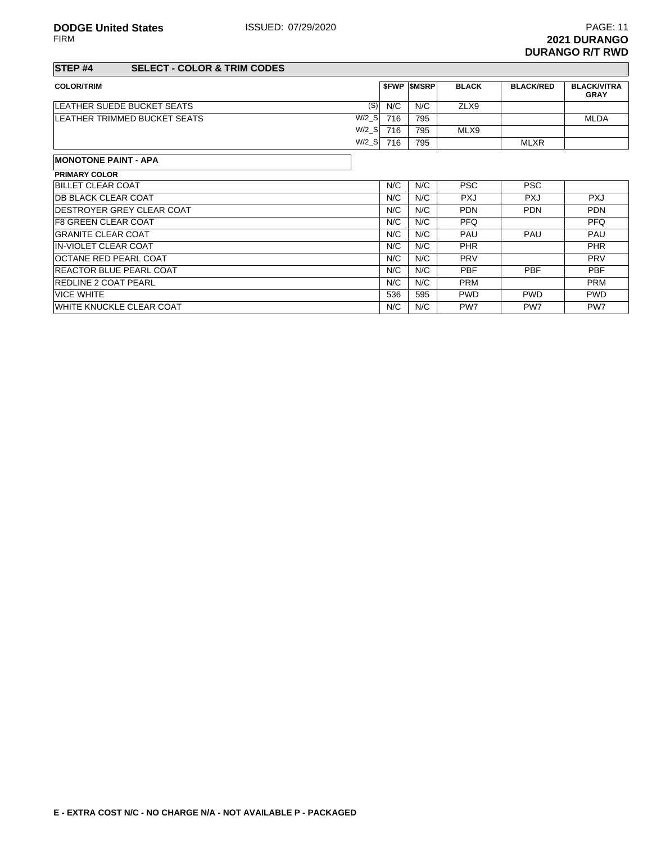FIRM **2021 DURANGO DURANGO R/T RWD**

# **STEP #4 SELECT - COLOR & TRIM CODES**

| <b>COLOR/TRIM</b>                         |     | <b>SFWP SMSRP</b> | <b>BLACK</b> | <b>BLACK/RED</b> | <b>BLACK/VITRA</b><br><b>GRAY</b> |
|-------------------------------------------|-----|-------------------|--------------|------------------|-----------------------------------|
| (S)<br><b>ILEATHER SUEDE BUCKET SEATS</b> | N/C | N/C               | ZLX9         |                  |                                   |
| $W/2$ S<br>LEATHER TRIMMED BUCKET SEATS   | 716 | 795               |              |                  | <b>MLDA</b>                       |
| $W/2_S$                                   | 716 | 795               | MLX9         |                  |                                   |
| $W/2$ S                                   | 716 | 795               |              | <b>MLXR</b>      |                                   |

## **MONOTONE PAINT - APA**

| <b>PRIMARY COLOR</b>              |     |     |                 |                 |                 |
|-----------------------------------|-----|-----|-----------------|-----------------|-----------------|
| <b>BILLET CLEAR COAT</b>          | N/C | N/C | <b>PSC</b>      | <b>PSC</b>      |                 |
| <b>IDB BLACK CLEAR COAT</b>       | N/C | N/C | <b>PXJ</b>      | <b>PXJ</b>      | <b>PXJ</b>      |
| <b>IDESTROYER GREY CLEAR COAT</b> | N/C | N/C | <b>PDN</b>      | <b>PDN</b>      | <b>PDN</b>      |
| <b>IF8 GREEN CLEAR COAT</b>       | N/C | N/C | <b>PFQ</b>      |                 | <b>PFQ</b>      |
| <b>GRANITE CLEAR COAT</b>         | N/C | N/C | PAU             | PAU             | <b>PAU</b>      |
| <b>IN-VIOLET CLEAR COAT</b>       | N/C | N/C | <b>PHR</b>      |                 | <b>PHR</b>      |
| <b>OCTANE RED PEARL COAT</b>      | N/C | N/C | <b>PRV</b>      |                 | <b>PRV</b>      |
| <b>REACTOR BLUE PEARL COAT</b>    | N/C | N/C | <b>PBF</b>      | <b>PBF</b>      | <b>PBF</b>      |
| <b>REDLINE 2 COAT PEARL</b>       | N/C | N/C | <b>PRM</b>      |                 | <b>PRM</b>      |
| <b>VICE WHITE</b>                 | 536 | 595 | <b>PWD</b>      | <b>PWD</b>      | <b>PWD</b>      |
| <b>IWHITE KNUCKLE CLEAR COAT</b>  | N/C | N/C | PW <sub>7</sub> | PW <sub>7</sub> | PW <sub>7</sub> |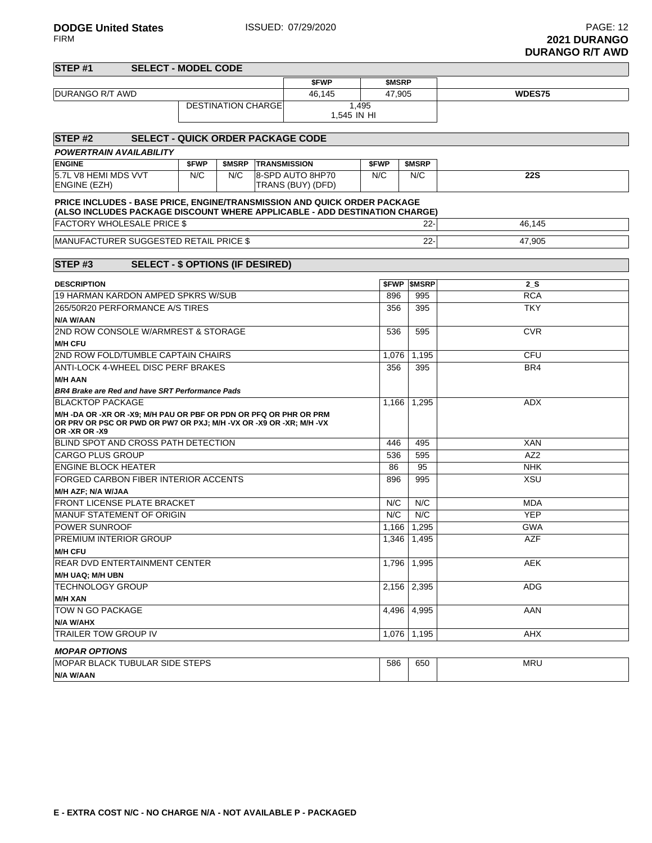| STEP #1<br><b>SELECT - MODEL CODE</b>                                                                                                                                                 |       |                           |  |                                       |                      |        |                     |                 |
|---------------------------------------------------------------------------------------------------------------------------------------------------------------------------------------|-------|---------------------------|--|---------------------------------------|----------------------|--------|---------------------|-----------------|
|                                                                                                                                                                                       |       |                           |  | \$FWP                                 |                      | \$MSRP |                     |                 |
| DURANGO R/T AWD                                                                                                                                                                       |       |                           |  | 46,145                                |                      | 47,905 |                     | WDES75          |
|                                                                                                                                                                                       |       | <b>DESTINATION CHARGE</b> |  |                                       | 1,495<br>1,545 IN HI |        |                     |                 |
| STEP <sub>#2</sub><br><b>SELECT - QUICK ORDER PACKAGE CODE</b>                                                                                                                        |       |                           |  |                                       |                      |        |                     |                 |
| <b>POWERTRAIN AVAILABILITY</b>                                                                                                                                                        |       |                           |  |                                       |                      |        |                     |                 |
| <b>ENGINE</b>                                                                                                                                                                         | \$FWP | \$MSRP TRANSMISSION       |  |                                       | \$FWP                |        | <b>SMSRP</b>        |                 |
| 5.7L V8 HEMI MDS VVT<br><b>ENGINE (EZH)</b>                                                                                                                                           | N/C   | N/C                       |  | 8-SPD AUTO 8HP70<br>TRANS (BUY) (DFD) | N/C                  |        | N/C                 | <b>22S</b>      |
| PRICE INCLUDES - BASE PRICE, ENGINE/TRANSMISSION AND QUICK ORDER PACKAGE<br>(ALSO INCLUDES PACKAGE DISCOUNT WHERE APPLICABLE - ADD DESTINATION CHARGE)                                |       |                           |  |                                       |                      |        |                     |                 |
| <b>FACTORY WHOLESALE PRICE \$</b>                                                                                                                                                     |       |                           |  |                                       |                      |        | $22 -$              | 46,145          |
| MANUFACTURER SUGGESTED RETAIL PRICE \$                                                                                                                                                |       |                           |  |                                       |                      |        | $22 -$              | 47,905          |
|                                                                                                                                                                                       |       |                           |  |                                       |                      |        |                     |                 |
| STEP#3<br><b>SELECT - \$ OPTIONS (IF DESIRED)</b>                                                                                                                                     |       |                           |  |                                       |                      |        |                     |                 |
| <b>DESCRIPTION</b>                                                                                                                                                                    |       |                           |  |                                       |                      |        | <b>\$FWP \$MSRP</b> | $2_S$           |
| 19 HARMAN KARDON AMPED SPKRS W/SUB                                                                                                                                                    |       |                           |  |                                       |                      | 896    | 995                 | <b>RCA</b>      |
| 265/50R20 PERFORMANCE A/S TIRES                                                                                                                                                       |       |                           |  |                                       |                      | 356    | 395                 | <b>TKY</b>      |
| N/A W/AAN                                                                                                                                                                             |       |                           |  |                                       |                      |        |                     |                 |
| 2ND ROW CONSOLE W/ARMREST & STORAGE                                                                                                                                                   |       |                           |  |                                       |                      | 536    | 595                 | <b>CVR</b>      |
| <b>M/H CFU</b>                                                                                                                                                                        |       |                           |  |                                       |                      |        |                     |                 |
| 2ND ROW FOLD/TUMBLE CAPTAIN CHAIRS                                                                                                                                                    |       |                           |  |                                       |                      |        | 1,195               | <b>CFU</b>      |
| ANTI-LOCK 4-WHEEL DISC PERF BRAKES                                                                                                                                                    |       |                           |  |                                       |                      |        | 395                 | BR4             |
| <b>M/H AAN</b>                                                                                                                                                                        |       |                           |  |                                       |                      |        |                     |                 |
| <b>BR4 Brake are Red and have SRT Performance Pads</b>                                                                                                                                |       |                           |  |                                       |                      |        |                     |                 |
| <b>BLACKTOP PACKAGE</b><br>M/H -DA OR -XR OR -X9; M/H PAU OR PBF OR PDN OR PFQ OR PHR OR PRM<br>OR PRV OR PSC OR PWD OR PW7 OR PXJ; M/H - VX OR - X9 OR - XR; M/H - VX<br>OR-XR OR-X9 |       |                           |  |                                       |                      | 1,166  | 1,295               | <b>ADX</b>      |
| BLIND SPOT AND CROSS PATH DETECTION                                                                                                                                                   |       |                           |  |                                       |                      | 446    | 495                 | <b>XAN</b>      |
| <b>CARGO PLUS GROUP</b>                                                                                                                                                               |       |                           |  |                                       |                      | 536    | 595                 | AZ <sub>2</sub> |
| <b>ENGINE BLOCK HEATER</b>                                                                                                                                                            |       |                           |  |                                       |                      | 86     | 95                  | <b>NHK</b>      |
| FORGED CARBON FIBER INTERIOR ACCENTS                                                                                                                                                  |       |                           |  |                                       |                      | 896    | 995                 | <b>XSU</b>      |
| M/H AZF; N/A W/JAA                                                                                                                                                                    |       |                           |  |                                       |                      |        |                     |                 |
| <b>FRONT LICENSE PLATE BRACKET</b>                                                                                                                                                    |       |                           |  |                                       |                      | N/C    | N/C                 | <b>MDA</b>      |
| MANUF STATEMENT OF ORIGIN                                                                                                                                                             |       |                           |  |                                       |                      | N/C    | N/C                 | <b>YEP</b>      |
| <b>POWER SUNROOF</b>                                                                                                                                                                  |       |                           |  |                                       |                      | 1,166  | 1,295               | <b>GWA</b>      |
| PREMIUM INTERIOR GROUP<br><b>M/H CFU</b>                                                                                                                                              |       |                           |  |                                       |                      | 1,346  | 1,495               | AZF             |
| REAR DVD ENTERTAINMENT CENTER                                                                                                                                                         |       |                           |  |                                       |                      | 1,796  | 1,995               | <b>AEK</b>      |
| M/H UAQ; M/H UBN                                                                                                                                                                      |       |                           |  |                                       |                      |        |                     |                 |
| <b>TECHNOLOGY GROUP</b>                                                                                                                                                               |       |                           |  |                                       |                      | 2,156  | 2,395               | ADG             |
| <b>M/H XAN</b>                                                                                                                                                                        |       |                           |  |                                       |                      |        |                     |                 |
| TOW N GO PACKAGE                                                                                                                                                                      |       |                           |  |                                       |                      | 4,496  | 4,995               | AAN             |
| N/A W/AHX                                                                                                                                                                             |       |                           |  |                                       |                      |        |                     |                 |
| <b>TRAILER TOW GROUP IV</b>                                                                                                                                                           |       |                           |  |                                       |                      | 1,076  | 1,195               | AHX             |
| <b>MOPAR OPTIONS</b>                                                                                                                                                                  |       |                           |  |                                       |                      |        |                     |                 |
| <b>MOPAR BLACK TUBULAR SIDE STEPS</b>                                                                                                                                                 |       |                           |  |                                       |                      | 586    | 650                 | <b>MRU</b>      |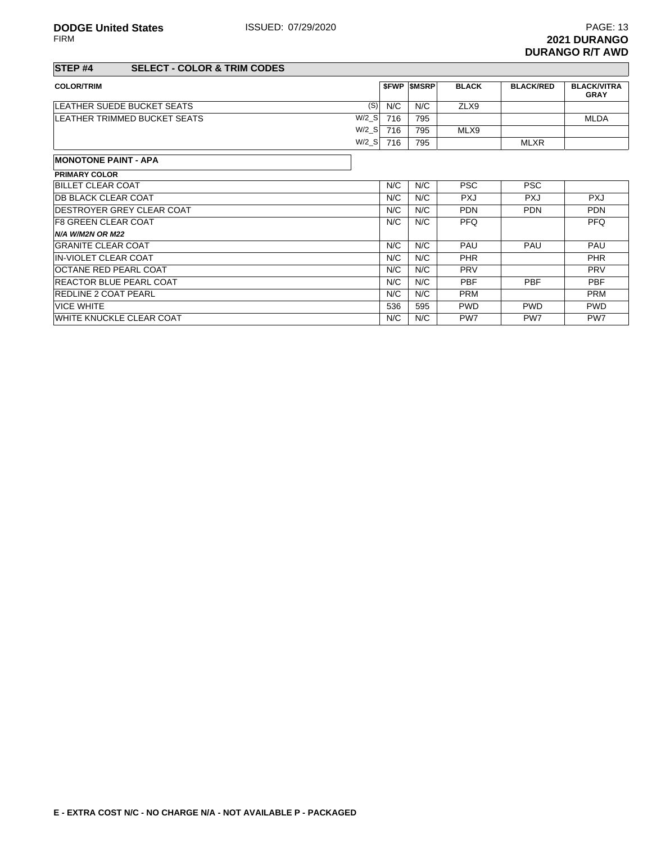# **STEP #4 SELECT - COLOR & TRIM CODES**

| <b>COLOR/TRIM</b>                  |                      |     | <b>SFWP SMSRP</b> | <b>BLACK</b> | <b>BLACK/RED</b> | <b>BLACK/VITRA</b><br><b>GRAY</b> |
|------------------------------------|----------------------|-----|-------------------|--------------|------------------|-----------------------------------|
| <b>ILEATHER SUEDE BUCKET SEATS</b> | (S)                  | N/C | N/C               | ZLX9         |                  |                                   |
| LEATHER TRIMMED BUCKET SEATS       | $W/2$ S              | 716 | 795               |              |                  | <b>MLDA</b>                       |
|                                    | $W/2$ <sub>_</sub> S | 716 | 795               | MLX9         |                  |                                   |
|                                    | $W/2$ <sub>_</sub> S | 716 | 795               |              | <b>MLXR</b>      |                                   |
|                                    |                      |     |                   |              |                  |                                   |

## **MONOTONE PAINT - APA**

| <b>PRIMARY COLOR</b>              |     |     |            |                 |            |
|-----------------------------------|-----|-----|------------|-----------------|------------|
| <b>BILLET CLEAR COAT</b>          | N/C | N/C | <b>PSC</b> | <b>PSC</b>      |            |
| <b>IDB BLACK CLEAR COAT</b>       | N/C | N/C | <b>PXJ</b> | <b>PXJ</b>      | <b>PXJ</b> |
| <b>IDESTROYER GREY CLEAR COAT</b> | N/C | N/C | <b>PDN</b> | <b>PDN</b>      | <b>PDN</b> |
| <b>IF8 GREEN CLEAR COAT</b>       | N/C | N/C | <b>PFQ</b> |                 | <b>PFQ</b> |
| <b>N/A W/M2N OR M22</b>           |     |     |            |                 |            |
| <b>GRANITE CLEAR COAT</b>         | N/C | N/C | <b>PAU</b> | PAU             | <b>PAU</b> |
| <b>IN-VIOLET CLEAR COAT</b>       | N/C | N/C | <b>PHR</b> |                 | <b>PHR</b> |
| <b>OCTANE RED PEARL COAT</b>      | N/C | N/C | <b>PRV</b> |                 | <b>PRV</b> |
| <b>REACTOR BLUE PEARL COAT</b>    | N/C | N/C | <b>PBF</b> | <b>PBF</b>      | <b>PBF</b> |
| <b>REDLINE 2 COAT PEARL</b>       | N/C | N/C | <b>PRM</b> |                 | <b>PRM</b> |
| <b>VICE WHITE</b>                 | 536 | 595 | <b>PWD</b> | <b>PWD</b>      | <b>PWD</b> |
| <b>IWHITE KNUCKLE CLEAR COAT</b>  | N/C | N/C | PW7        | PW <sub>7</sub> | PW7        |
|                                   |     |     |            |                 |            |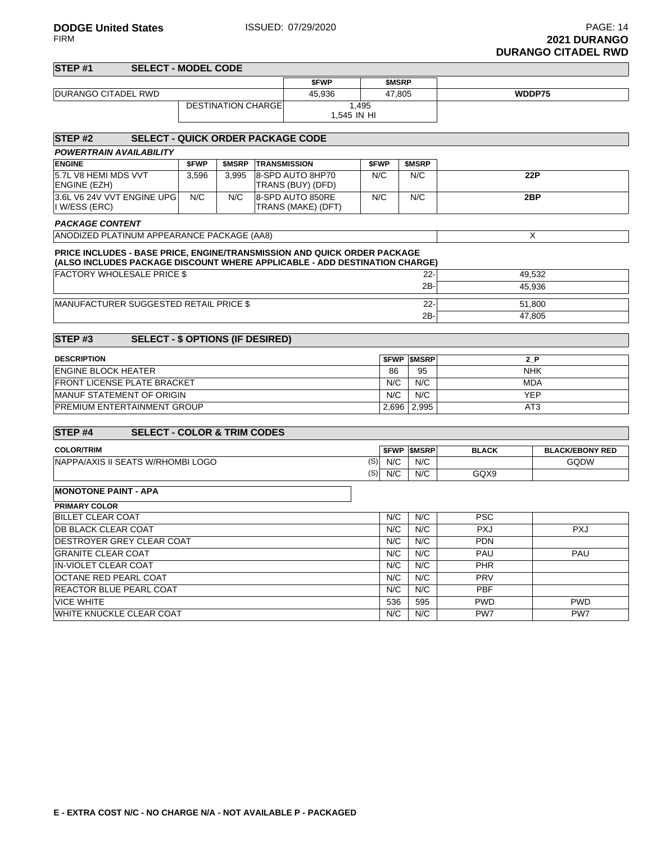| STEP#1                                                                                                                                                        | <b>SELECT - MODEL CODE</b>               |       |                           |                     |                                        |                      |              |                     |              |                        |  |
|---------------------------------------------------------------------------------------------------------------------------------------------------------------|------------------------------------------|-------|---------------------------|---------------------|----------------------------------------|----------------------|--------------|---------------------|--------------|------------------------|--|
|                                                                                                                                                               |                                          |       |                           |                     | \$FWP                                  |                      | <b>SMSRP</b> |                     |              |                        |  |
| <b>DURANGO CITADEL RWD</b>                                                                                                                                    |                                          |       |                           |                     | 45,936                                 |                      | 47,805       |                     |              | WDDP75                 |  |
|                                                                                                                                                               |                                          |       | <b>DESTINATION CHARGE</b> |                     |                                        | 1,495<br>1,545 IN HI |              |                     |              |                        |  |
| STEP <sub>#2</sub>                                                                                                                                            | <b>SELECT - QUICK ORDER PACKAGE CODE</b> |       |                           |                     |                                        |                      |              |                     |              |                        |  |
| <b>POWERTRAIN AVAILABILITY</b>                                                                                                                                |                                          |       |                           |                     |                                        |                      |              |                     |              |                        |  |
| <b>ENGINE</b>                                                                                                                                                 |                                          | \$FWP | \$MSRP                    | <b>TRANSMISSION</b> |                                        | \$FWP                |              | \$MSRP              |              |                        |  |
| 5.7L V8 HEMI MDS VVT<br><b>ENGINE (EZH)</b>                                                                                                                   |                                          | 3,596 | 3,995                     |                     | 8-SPD AUTO 8HP70<br>TRANS (BUY) (DFD)  | N/C                  |              | N/C                 |              | 22P                    |  |
| 3.6L V6 24V VVT ENGINE UPG<br>I W/ESS (ERC)                                                                                                                   |                                          | N/C   | N/C                       |                     | 8-SPD AUTO 850RE<br>TRANS (MAKE) (DFT) | N/C                  |              | N/C                 |              | 2BP                    |  |
| <b>PACKAGE CONTENT</b>                                                                                                                                        |                                          |       |                           |                     |                                        |                      |              |                     |              |                        |  |
| ANODIZED PLATINUM APPEARANCE PACKAGE (AA8)                                                                                                                    |                                          |       |                           |                     |                                        |                      |              |                     |              | X                      |  |
| <b>PRICE INCLUDES - BASE PRICE, ENGINE/TRANSMISSION AND QUICK ORDER PACKAGE</b><br>(ALSO INCLUDES PACKAGE DISCOUNT WHERE APPLICABLE - ADD DESTINATION CHARGE) |                                          |       |                           |                     |                                        |                      |              |                     |              |                        |  |
| <b>FACTORY WHOLESALE PRICE \$</b>                                                                                                                             |                                          |       |                           |                     |                                        |                      |              | $22 -$              |              | 49,532                 |  |
|                                                                                                                                                               |                                          |       |                           |                     |                                        |                      |              | 2B-                 |              | 45,936                 |  |
| <b>MANUFACTURER SUGGESTED RETAIL PRICE \$</b>                                                                                                                 |                                          |       |                           |                     |                                        |                      |              | $22 -$              |              | 51,800                 |  |
|                                                                                                                                                               |                                          |       |                           |                     |                                        |                      |              | 2B-                 |              | 47,805                 |  |
| STEP#3                                                                                                                                                        | <b>SELECT - \$ OPTIONS (IF DESIRED)</b>  |       |                           |                     |                                        |                      |              |                     |              |                        |  |
| <b>DESCRIPTION</b>                                                                                                                                            |                                          |       |                           |                     |                                        |                      |              | <b>\$FWP \$MSRP</b> |              | 2P                     |  |
| <b>ENGINE BLOCK HEATER</b>                                                                                                                                    |                                          |       |                           |                     |                                        |                      | 86           | 95                  | <b>NHK</b>   |                        |  |
| <b>FRONT LICENSE PLATE BRACKET</b>                                                                                                                            |                                          |       |                           |                     |                                        |                      | N/C          | N/C                 |              | <b>MDA</b>             |  |
| MANUF STATEMENT OF ORIGIN                                                                                                                                     |                                          |       |                           |                     |                                        |                      | N/C          | N/C                 |              | <b>YEP</b>             |  |
| PREMIUM ENTERTAINMENT GROUP                                                                                                                                   |                                          |       |                           |                     |                                        |                      | 2,696        | 2,995               |              | AT <sub>3</sub>        |  |
|                                                                                                                                                               |                                          |       |                           |                     |                                        |                      |              |                     |              |                        |  |
| STEP <sub>#4</sub>                                                                                                                                            | <b>SELECT - COLOR &amp; TRIM CODES</b>   |       |                           |                     |                                        |                      |              |                     |              |                        |  |
| <b>COLOR/TRIM</b>                                                                                                                                             |                                          |       |                           |                     |                                        |                      |              | <b>\$FWP \$MSRP</b> | <b>BLACK</b> | <b>BLACK/EBONY RED</b> |  |
| NAPPA/AXIS II SEATS W/RHOMBI LOGO                                                                                                                             |                                          |       |                           |                     |                                        | (S)                  | N/C          | N/C                 |              | GQDW                   |  |
|                                                                                                                                                               |                                          |       |                           |                     |                                        | (S)                  | N/C          | N/C                 | GQX9         |                        |  |
| <b>MONOTONE PAINT - APA</b>                                                                                                                                   |                                          |       |                           |                     |                                        |                      |              |                     |              |                        |  |
| <b>PRIMARY COLOR</b>                                                                                                                                          |                                          |       |                           |                     |                                        |                      |              |                     |              |                        |  |
| <b>BILLET CLEAR COAT</b>                                                                                                                                      |                                          |       |                           |                     |                                        |                      | N/C          | N/C                 | <b>PSC</b>   |                        |  |
| <b>DB BLACK CLEAR COAT</b>                                                                                                                                    |                                          |       |                           |                     |                                        |                      | N/C          | N/C                 | <b>PXJ</b>   | <b>PXJ</b>             |  |
| <b>DESTROYER GREY CLEAR COAT</b>                                                                                                                              |                                          |       |                           |                     |                                        |                      | N/C          | N/C                 | <b>PDN</b>   |                        |  |
| <b>GRANITE CLEAR COAT</b>                                                                                                                                     |                                          |       |                           |                     |                                        |                      | N/C          | N/C                 | PAU          | PAU                    |  |
| <b>IN-VIOLET CLEAR COAT</b>                                                                                                                                   |                                          |       |                           |                     |                                        |                      | N/C          | N/C                 | PHR          |                        |  |
| OCTANE RED PEARL COAT                                                                                                                                         |                                          |       |                           |                     |                                        |                      | N/C          | N/C                 | PRV          |                        |  |
| REACTOR BLUE PEARL COAT                                                                                                                                       |                                          |       |                           |                     |                                        |                      | N/C          | N/C                 | <b>PBF</b>   |                        |  |
| <b>VICE WHITE</b>                                                                                                                                             |                                          |       |                           |                     |                                        |                      | 536          | 595                 | <b>PWD</b>   | <b>PWD</b>             |  |

WHITE KNUCKLE CLEAR COAT **N/C** N/C N/C PW7 PW7 PW7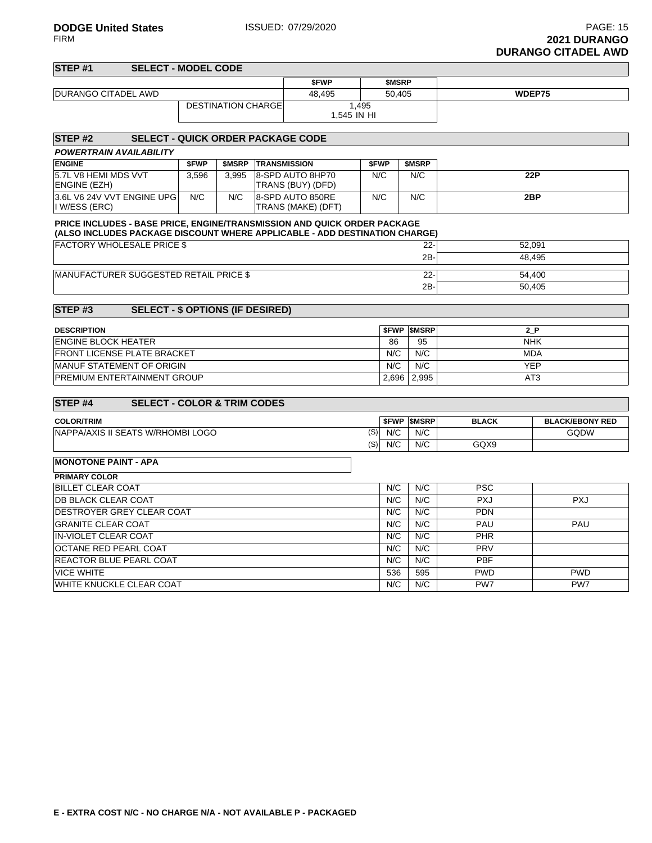| STEP <sub>#1</sub>                                                         | <b>SELECT - MODEL CODE</b>               |       |                           |                     |                                        |             |                   |                          |              |                        |  |  |
|----------------------------------------------------------------------------|------------------------------------------|-------|---------------------------|---------------------|----------------------------------------|-------------|-------------------|--------------------------|--------------|------------------------|--|--|
|                                                                            |                                          |       |                           |                     | <b>SFWP</b>                            |             | <b>SMSRP</b>      |                          |              |                        |  |  |
| DURANGO CITADEL AWD                                                        |                                          |       |                           |                     | 48,495                                 |             | 50,405            |                          |              | WDEP75                 |  |  |
|                                                                            |                                          |       | <b>DESTINATION CHARGE</b> |                     |                                        | 1.495       |                   |                          |              |                        |  |  |
|                                                                            |                                          |       |                           |                     |                                        | 1,545 IN HI |                   |                          |              |                        |  |  |
| STEP #2                                                                    | <b>SELECT - QUICK ORDER PACKAGE CODE</b> |       |                           |                     |                                        |             |                   |                          |              |                        |  |  |
| POWERTRAIN AVAILABILITY                                                    |                                          |       |                           |                     |                                        |             |                   |                          |              |                        |  |  |
| <b>ENGINE</b>                                                              |                                          | \$FWP |                           | \$MSRP TRANSMISSION |                                        | <b>SFWP</b> |                   | \$MSRP                   |              |                        |  |  |
| 5.7L V8 HEMI MDS VVT<br>ENGINE (EZH)                                       |                                          | 3,596 | 3.995                     |                     | 8-SPD AUTO 8HP70<br>TRANS (BUY) (DFD)  | N/C         |                   | N/C                      |              | 22P                    |  |  |
| 3.6L V6 24V VVT ENGINE UPG<br>I W/ESS (ERC)                                |                                          | N/C   | N/C                       |                     | 8-SPD AUTO 850RE<br>TRANS (MAKE) (DFT) | N/C         |                   | N/C                      |              | 2BP                    |  |  |
| PRICE INCLUDES - BASE PRICE, ENGINE/TRANSMISSION AND QUICK ORDER PACKAGE   |                                          |       |                           |                     |                                        |             |                   |                          |              |                        |  |  |
| (ALSO INCLUDES PACKAGE DISCOUNT WHERE APPLICABLE - ADD DESTINATION CHARGE) |                                          |       |                           |                     |                                        |             |                   |                          |              |                        |  |  |
| <b>FACTORY WHOLESALE PRICE \$</b>                                          |                                          |       |                           |                     |                                        |             |                   | $22 -$                   |              | 52,091                 |  |  |
|                                                                            |                                          |       |                           |                     |                                        |             |                   | $2B -$                   |              | 48.495                 |  |  |
| MANUFACTURER SUGGESTED RETAIL PRICE \$                                     |                                          |       |                           |                     |                                        |             |                   | $22 -$                   |              | 54,400                 |  |  |
|                                                                            |                                          |       |                           |                     |                                        |             |                   | 2B-                      |              | 50,405                 |  |  |
| STEP#3                                                                     | <b>SELECT - \$ OPTIONS (IF DESIRED)</b>  |       |                           |                     |                                        |             |                   |                          |              |                        |  |  |
|                                                                            |                                          |       |                           |                     |                                        |             |                   |                          |              |                        |  |  |
| <b>DESCRIPTION</b><br><b>ENGINE BLOCK HEATER</b>                           |                                          |       |                           | 86                  | <b>SFWP SMSRP</b><br>95                |             | 2 P<br><b>NHK</b> |                          |              |                        |  |  |
| FRONT LICENSE PLATE BRACKET                                                |                                          |       |                           |                     |                                        |             | N/C               | N/C                      |              | <b>MDA</b>             |  |  |
| MANUF STATEMENT OF ORIGIN                                                  |                                          |       |                           |                     |                                        |             | N/C               | N/C                      |              | <b>YEP</b>             |  |  |
| PREMIUM ENTERTAINMENT GROUP                                                |                                          |       |                           |                     |                                        |             | 2.696             | 2,995                    |              | AT <sub>3</sub>        |  |  |
|                                                                            |                                          |       |                           |                     |                                        |             |                   |                          |              |                        |  |  |
| STEP <sub>#4</sub>                                                         | <b>SELECT - COLOR &amp; TRIM CODES</b>   |       |                           |                     |                                        |             |                   |                          |              |                        |  |  |
| <b>COLOR/TRIM</b>                                                          |                                          |       |                           |                     |                                        |             |                   | <b><i>SFWP SMSRP</i></b> | <b>BLACK</b> | <b>BLACK/EBONY RED</b> |  |  |
| NAPPA/AXIS II SEATS W/RHOMBI LOGO                                          |                                          |       |                           |                     |                                        | (S)         | N/C               | N/C                      |              | GQDW                   |  |  |
|                                                                            |                                          |       |                           |                     |                                        | (S)         | N/C               | N/C                      | GQX9         |                        |  |  |
| <b>MONOTONE PAINT - APA</b>                                                |                                          |       |                           |                     |                                        |             |                   |                          |              |                        |  |  |
| <b>PRIMARY COLOR</b>                                                       |                                          |       |                           |                     |                                        |             |                   |                          |              |                        |  |  |
| <b>BILLET CLEAR COAT</b>                                                   |                                          |       |                           |                     |                                        |             | N/C               | N/C                      | <b>PSC</b>   |                        |  |  |
| DB BLACK CLEAR COAT                                                        |                                          |       |                           |                     |                                        |             | N/C               | N/C                      | <b>PXJ</b>   | <b>PXJ</b>             |  |  |
| DESTROYER GREY CLEAR COAT                                                  |                                          |       |                           |                     |                                        |             | N/C               | N/C                      | <b>PDN</b>   |                        |  |  |
| <b>GRANITE CLEAR COAT</b>                                                  |                                          |       |                           |                     |                                        |             | N/C               | N/C                      | PAU          | PAU                    |  |  |
| <b>IN-VIOLET CLEAR COAT</b>                                                |                                          |       |                           |                     |                                        |             | N/C               | N/C                      | PHR          |                        |  |  |
| OCTANE RED PEARL COAT                                                      |                                          |       |                           |                     |                                        |             | N/C               | N/C                      | PRV          |                        |  |  |
| REACTOR BLUE PEARL COAT                                                    |                                          |       |                           |                     |                                        |             | N/C               | N/C                      | <b>PBF</b>   |                        |  |  |
| <b>VICE WHITE</b>                                                          |                                          |       |                           |                     |                                        |             | 536               | 595                      | <b>PWD</b>   | <b>PWD</b>             |  |  |
| WHITE KNUCKLE CLEAR COAT                                                   |                                          |       |                           |                     |                                        |             | N/C               | N/C                      | PW7          | PW7                    |  |  |
|                                                                            |                                          |       |                           |                     |                                        |             |                   |                          |              |                        |  |  |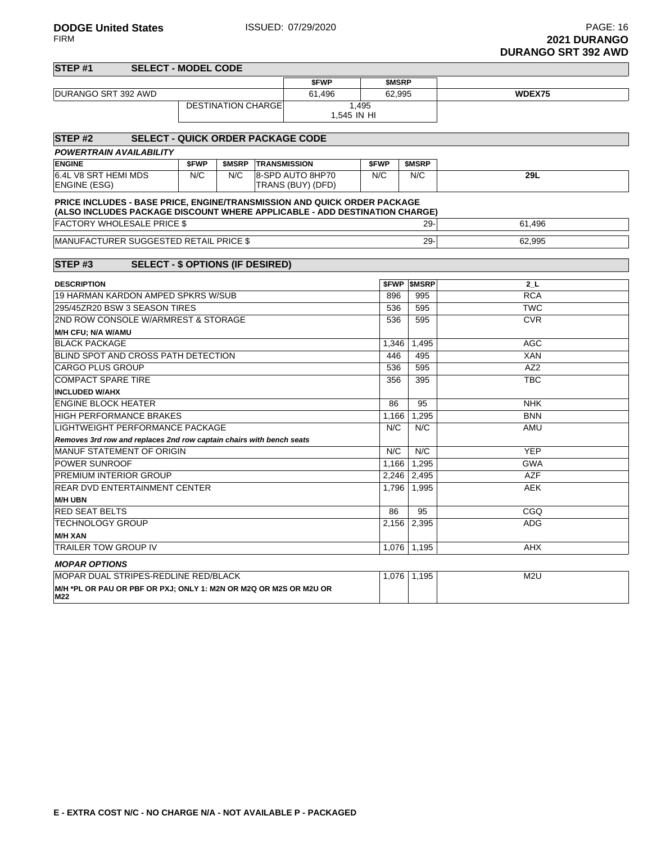|                                                                      |                                          |       |                           |                     |                                                                            |              |                     | DURANGU SRT 392 AWD      |
|----------------------------------------------------------------------|------------------------------------------|-------|---------------------------|---------------------|----------------------------------------------------------------------------|--------------|---------------------|--------------------------|
| STEP <sub>#1</sub>                                                   | <b>SELECT - MODEL CODE</b>               |       |                           |                     |                                                                            |              |                     |                          |
|                                                                      |                                          |       |                           |                     | <b>SFWP</b>                                                                | <b>SMSRP</b> |                     |                          |
| DURANGO SRT 392 AWD                                                  |                                          |       |                           |                     | 61,496                                                                     | 62,995       |                     | WDEX75                   |
|                                                                      |                                          |       | <b>DESTINATION CHARGE</b> |                     |                                                                            | 1.495        |                     |                          |
|                                                                      |                                          |       |                           |                     |                                                                            | 1,545 IN HI  |                     |                          |
|                                                                      |                                          |       |                           |                     |                                                                            |              |                     |                          |
| STEP #2                                                              | <b>SELECT - QUICK ORDER PACKAGE CODE</b> |       |                           |                     |                                                                            |              |                     |                          |
| POWERTRAIN AVAILABILITY                                              |                                          |       |                           |                     |                                                                            |              |                     |                          |
| <b>ENGINE</b>                                                        |                                          | \$FWP | \$MSRP                    | <b>TRANSMISSION</b> |                                                                            | \$FWP        | <b>SMSRP</b>        |                          |
| 6.4L V8 SRT HEMI MDS                                                 |                                          | N/C   | N/C                       |                     | 8-SPD AUTO 8HP70                                                           | N/C          | N/C                 | 29L                      |
| ENGINE (ESG)                                                         |                                          |       |                           |                     | TRANS (BUY) (DFD)                                                          |              |                     |                          |
|                                                                      |                                          |       |                           |                     | PRICE INCLUDES - BASE PRICE, ENGINE/TRANSMISSION AND QUICK ORDER PACKAGE   |              |                     |                          |
|                                                                      |                                          |       |                           |                     | (ALSO INCLUDES PACKAGE DISCOUNT WHERE APPLICABLE - ADD DESTINATION CHARGE) |              |                     |                          |
| <b>FACTORY WHOLESALE PRICE \$</b>                                    |                                          |       |                           |                     |                                                                            |              | $29 -$              | 61,496                   |
| <b>MANUFACTURER SUGGESTED RETAIL PRICE \$</b>                        |                                          |       |                           |                     |                                                                            |              | 29-                 | 62,995                   |
|                                                                      |                                          |       |                           |                     |                                                                            |              |                     |                          |
| STEP#3                                                               | <b>SELECT - \$ OPTIONS (IF DESIRED)</b>  |       |                           |                     |                                                                            |              |                     |                          |
|                                                                      |                                          |       |                           |                     |                                                                            |              |                     |                          |
| <b>DESCRIPTION</b>                                                   |                                          |       |                           |                     |                                                                            |              | <b>\$FWP \$MSRP</b> | 2L                       |
| <b>19 HARMAN KARDON AMPED SPKRS W/SUB</b>                            |                                          |       |                           |                     | 896                                                                        | 995          | <b>RCA</b>          |                          |
| 295/45ZR20 BSW 3 SEASON TIRES                                        |                                          |       |                           |                     |                                                                            | 536          | 595                 | <b>TWC</b>               |
| 2ND ROW CONSOLE W/ARMREST & STORAGE                                  |                                          |       |                           |                     |                                                                            | 536          | 595                 | <b>CVR</b>               |
| M/H CFU; N/A W/AMU                                                   |                                          |       |                           |                     |                                                                            |              |                     |                          |
| <b>BLACK PACKAGE</b><br>BLIND SPOT AND CROSS PATH DETECTION          |                                          |       |                           |                     |                                                                            | 1,346<br>446 | 1,495<br>495        | <b>AGC</b><br><b>XAN</b> |
| <b>CARGO PLUS GROUP</b>                                              |                                          |       |                           |                     |                                                                            | 536          | 595                 | AZ <sub>2</sub>          |
|                                                                      |                                          |       |                           |                     |                                                                            |              |                     |                          |
| <b>COMPACT SPARE TIRE</b><br><b>INCLUDED W/AHX</b>                   |                                          |       |                           |                     |                                                                            | 356          | 395                 | TBC                      |
| <b>ENGINE BLOCK HEATER</b>                                           |                                          |       |                           |                     |                                                                            | 86           | 95                  | <b>NHK</b>               |
| <b>HIGH PERFORMANCE BRAKES</b>                                       |                                          |       |                           |                     |                                                                            | 1,166        | 1.295               | <b>BNN</b>               |
| LIGHTWEIGHT PERFORMANCE PACKAGE                                      |                                          |       |                           |                     |                                                                            | N/C          | N/C                 | AMU                      |
| Removes 3rd row and replaces 2nd row captain chairs with bench seats |                                          |       |                           |                     |                                                                            |              |                     |                          |
| MANUF STATEMENT OF ORIGIN                                            |                                          |       |                           |                     |                                                                            | N/C          | N/C                 | <b>YEP</b>               |
| POWER SUNROOF                                                        |                                          |       |                           |                     |                                                                            | 1,166        | 1,295               | <b>GWA</b>               |
| PREMIUM INTERIOR GROUP                                               |                                          |       |                           |                     |                                                                            |              | 2,246 2,495         | <b>AZF</b>               |
| REAR DVD ENTERTAINMENT CENTER                                        |                                          |       |                           |                     |                                                                            | 1,796        | 1,995               | <b>AEK</b>               |
| <b>M/H UBN</b>                                                       |                                          |       |                           |                     |                                                                            |              |                     |                          |
| <b>RED SEAT BELTS</b>                                                |                                          |       |                           |                     |                                                                            | 86           | 95                  | CGQ                      |
| TECHNOLOGY GROUP                                                     |                                          |       |                           |                     |                                                                            | 2,156        | 2,395               | <b>ADG</b>               |
| <b>M/H XAN</b>                                                       |                                          |       |                           |                     |                                                                            |              |                     |                          |
| TRAILER TOW GROUP IV                                                 |                                          |       |                           |                     |                                                                            |              | 1,076 1,195         | <b>AHX</b>               |
|                                                                      |                                          |       |                           |                     |                                                                            |              |                     |                          |

### **MOPAR OPTIONS**

| L STRIPES-REDLINE RED/BLACK<br><b>MOPAR</b><br>` DUAL                    | 076<br>.v. v | 195 | M2l |
|--------------------------------------------------------------------------|--------------|-----|-----|
| M/H *PL OR PAU OR PBF OR PXJ: ONLY 1: M2N OR M2Q OR M2S OR M2U OR<br>M22 |              |     |     |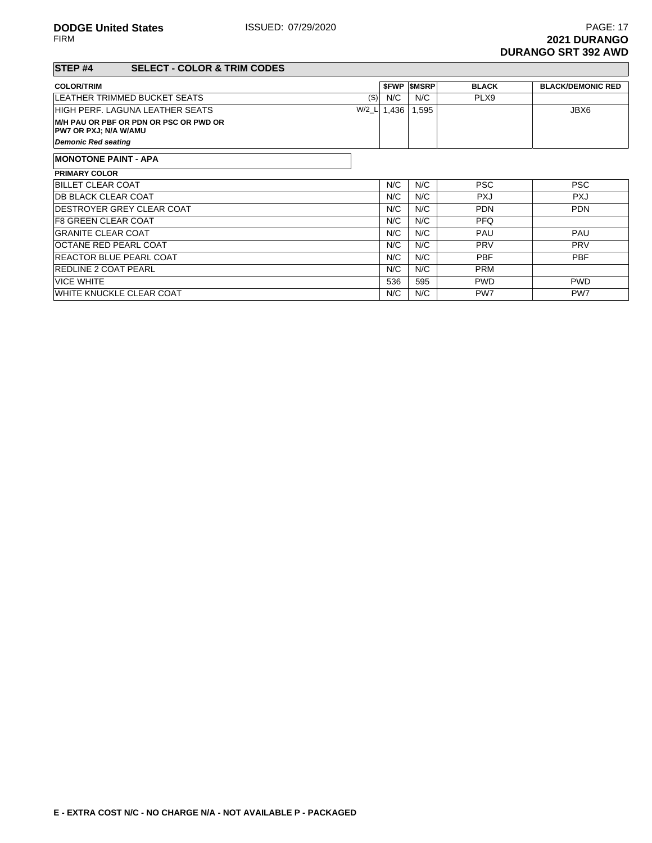## **STEP #4 SELECT - COLOR & TRIM CODES**

| 0LLLU   00LUR & IRIN 00DL0                                             |         |             |               |              |                          |
|------------------------------------------------------------------------|---------|-------------|---------------|--------------|--------------------------|
| <b>COLOR/TRIM</b>                                                      |         | <b>SFWP</b> | <b>\$MSRP</b> | <b>BLACK</b> | <b>BLACK/DEMONIC RED</b> |
| LEATHER TRIMMED BUCKET SEATS                                           | (S)     | N/C         | N/C           | PLX9         |                          |
| HIGH PERF. LAGUNA LEATHER SEATS                                        | $W/2_L$ | 1,436       | 1,595         |              | JBX6                     |
| M/H PAU OR PBF OR PDN OR PSC OR PWD OR<br><b>PW7 OR PXJ; N/A W/AMU</b> |         |             |               |              |                          |
| <b>Demonic Red seating</b>                                             |         |             |               |              |                          |
| <b>MONOTONE PAINT - APA</b>                                            |         |             |               |              |                          |
| <b>PRIMARY COLOR</b>                                                   |         |             |               |              |                          |
| <b>BILLET CLEAR COAT</b>                                               |         | N/C         | N/C           | <b>PSC</b>   | <b>PSC</b>               |
| <b>DB BLACK CLEAR COAT</b>                                             |         | N/C         | N/C           | <b>PXJ</b>   | <b>PXJ</b>               |
| <b>IDESTROYER GREY CLEAR COAT</b>                                      |         | N/C         | N/C           | <b>PDN</b>   | <b>PDN</b>               |
| IF8 GREEN CLEAR COAT                                                   |         | N/C         | N/C           | <b>PFQ</b>   |                          |
| <b>GRANITE CLEAR COAT</b>                                              |         | N/C         | N/C           | <b>PAU</b>   | <b>PAU</b>               |
| <b>OCTANE RED PEARL COAT</b>                                           |         | N/C         | N/C           | <b>PRV</b>   | <b>PRV</b>               |
| <b>REACTOR BLUE PEARL COAT</b>                                         |         | N/C         | N/C           | <b>PBF</b>   | <b>PBF</b>               |
| <b>REDLINE 2 COAT PEARL</b>                                            |         | N/C         | N/C           | <b>PRM</b>   |                          |
| <b>VICE WHITE</b>                                                      |         | 536         | 595           | <b>PWD</b>   | <b>PWD</b>               |
| <b>WHITE KNUCKLE CLEAR COAT</b>                                        |         | N/C         | N/C           | PW7          | PW7                      |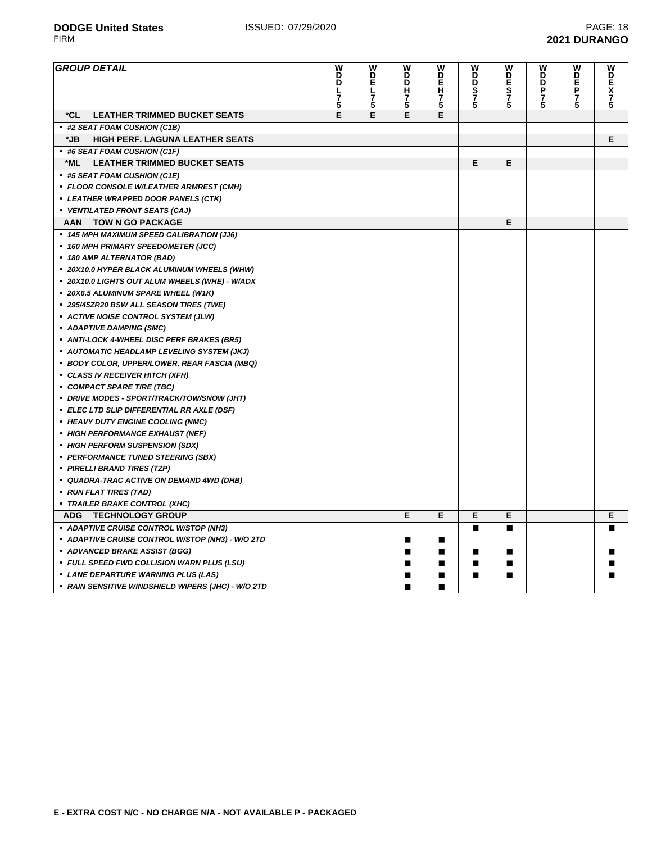FIRM **2021 DURANGO**

| <b>GROUP DETAIL</b>                                | W<br>D<br>D<br>レ<br>7<br>5 | W<br>D<br>E<br>노<br>3<br>5 | W<br>D<br>D<br>н<br>7<br>5 | W<br>D<br>E<br><b>H7</b><br>5 | W<br>D<br>D<br>$\frac{S}{7}$<br>5 | W<br>D<br>Е<br>$\overline{S}$<br>7<br>5 | W<br>D<br>D<br>P<br>$\frac{7}{5}$ | W<br>D<br>EP<br>7<br>5 | W<br><b>DEX75</b> |
|----------------------------------------------------|----------------------------|----------------------------|----------------------------|-------------------------------|-----------------------------------|-----------------------------------------|-----------------------------------|------------------------|-------------------|
| *CL<br><b>LEATHER TRIMMED BUCKET SEATS</b>         | Е                          | E                          | E                          | E                             |                                   |                                         |                                   |                        |                   |
| • #2 SEAT FOAM CUSHION (C1B)                       |                            |                            |                            |                               |                                   |                                         |                                   |                        |                   |
| <b>HIGH PERF. LAGUNA LEATHER SEATS</b><br>*JB      |                            |                            |                            |                               |                                   |                                         |                                   |                        | E.                |
| • #6 SEAT FOAM CUSHION (C1F)                       |                            |                            |                            |                               |                                   |                                         |                                   |                        |                   |
| <b>LEATHER TRIMMED BUCKET SEATS</b><br>*ML         |                            |                            |                            |                               | Е                                 | Е                                       |                                   |                        |                   |
| • #5 SEAT FOAM CUSHION (C1E)                       |                            |                            |                            |                               |                                   |                                         |                                   |                        |                   |
| • FLOOR CONSOLE W/LEATHER ARMREST (CMH)            |                            |                            |                            |                               |                                   |                                         |                                   |                        |                   |
| • LEATHER WRAPPED DOOR PANELS (CTK)                |                            |                            |                            |                               |                                   |                                         |                                   |                        |                   |
| • VENTILATED FRONT SEATS (CAJ)                     |                            |                            |                            |                               |                                   |                                         |                                   |                        |                   |
| <b>TOW N GO PACKAGE</b><br>AAN                     |                            |                            |                            |                               |                                   | Е                                       |                                   |                        |                   |
| • 145 MPH MAXIMUM SPEED CALIBRATION (JJ6)          |                            |                            |                            |                               |                                   |                                         |                                   |                        |                   |
| • 160 MPH PRIMARY SPEEDOMETER (JCC)                |                            |                            |                            |                               |                                   |                                         |                                   |                        |                   |
| • 180 AMP ALTERNATOR (BAD)                         |                            |                            |                            |                               |                                   |                                         |                                   |                        |                   |
| • 20X10.0 HYPER BLACK ALUMINUM WHEELS (WHW)        |                            |                            |                            |                               |                                   |                                         |                                   |                        |                   |
| • 20X10.0 LIGHTS OUT ALUM WHEELS (WHE) - W/ADX     |                            |                            |                            |                               |                                   |                                         |                                   |                        |                   |
| • 20X6.5 ALUMINUM SPARE WHEEL (W1K)                |                            |                            |                            |                               |                                   |                                         |                                   |                        |                   |
| • 295/45ZR20 BSW ALL SEASON TIRES (TWE)            |                            |                            |                            |                               |                                   |                                         |                                   |                        |                   |
| • ACTIVE NOISE CONTROL SYSTEM (JLW)                |                            |                            |                            |                               |                                   |                                         |                                   |                        |                   |
| • ADAPTIVE DAMPING (SMC)                           |                            |                            |                            |                               |                                   |                                         |                                   |                        |                   |
| • ANTI-LOCK 4-WHEEL DISC PERF BRAKES (BR5)         |                            |                            |                            |                               |                                   |                                         |                                   |                        |                   |
| • AUTOMATIC HEADLAMP LEVELING SYSTEM (JKJ)         |                            |                            |                            |                               |                                   |                                         |                                   |                        |                   |
| • BODY COLOR, UPPER/LOWER, REAR FASCIA (MBQ)       |                            |                            |                            |                               |                                   |                                         |                                   |                        |                   |
| • CLASS IV RECEIVER HITCH (XFH)                    |                            |                            |                            |                               |                                   |                                         |                                   |                        |                   |
| • COMPACT SPARE TIRE (TBC)                         |                            |                            |                            |                               |                                   |                                         |                                   |                        |                   |
| • DRIVE MODES - SPORT/TRACK/TOW/SNOW (JHT)         |                            |                            |                            |                               |                                   |                                         |                                   |                        |                   |
| • ELEC LTD SLIP DIFFERENTIAL RR AXLE (DSF)         |                            |                            |                            |                               |                                   |                                         |                                   |                        |                   |
| • HEAVY DUTY ENGINE COOLING (NMC)                  |                            |                            |                            |                               |                                   |                                         |                                   |                        |                   |
| • HIGH PERFORMANCE EXHAUST (NEF)                   |                            |                            |                            |                               |                                   |                                         |                                   |                        |                   |
| • HIGH PERFORM SUSPENSION (SDX)                    |                            |                            |                            |                               |                                   |                                         |                                   |                        |                   |
| • PERFORMANCE TUNED STEERING (SBX)                 |                            |                            |                            |                               |                                   |                                         |                                   |                        |                   |
| • PIRELLI BRAND TIRES (TZP)                        |                            |                            |                            |                               |                                   |                                         |                                   |                        |                   |
| • QUADRA-TRAC ACTIVE ON DEMAND 4WD (DHB)           |                            |                            |                            |                               |                                   |                                         |                                   |                        |                   |
| • RUN FLAT TIRES (TAD)                             |                            |                            |                            |                               |                                   |                                         |                                   |                        |                   |
| • TRAILER BRAKE CONTROL (XHC)                      |                            |                            |                            |                               |                                   |                                         |                                   |                        |                   |
| <b>ADG</b><br><b>TECHNOLOGY GROUP</b>              |                            |                            | E                          | Е                             | E                                 | Е                                       |                                   |                        | E.                |
| • ADAPTIVE CRUISE CONTROL W/STOP (NH3)             |                            |                            |                            |                               | ■                                 | П                                       |                                   |                        |                   |
| • ADAPTIVE CRUISE CONTROL W/STOP (NH3) - W/O 2TD   |                            |                            | ■                          | ■                             |                                   |                                         |                                   |                        |                   |
| • ADVANCED BRAKE ASSIST (BGG)                      |                            |                            |                            | ■                             | ■                                 | ш                                       |                                   |                        |                   |
| • FULL SPEED FWD COLLISION WARN PLUS (LSU)         |                            |                            |                            |                               |                                   |                                         |                                   |                        |                   |
| • LANE DEPARTURE WARNING PLUS (LAS)                |                            |                            |                            | ■                             | ■                                 |                                         |                                   |                        |                   |
| • RAIN SENSITIVE WINDSHIELD WIPERS (JHC) - W/O 2TD |                            |                            | ■                          | ■                             |                                   |                                         |                                   |                        |                   |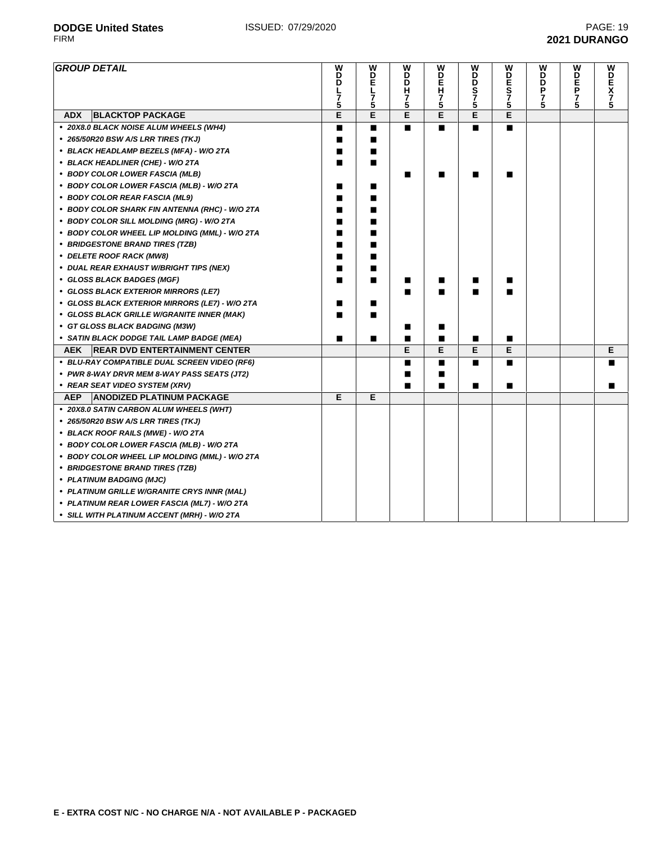$\overline{\phantom{0}}$ 

| <b>GROUP DETAIL</b>                                | W<br>B<br>7<br>5 | <b>MDEL</b><br>7<br>5 | W<br>D<br>D<br>Н<br>7<br>5 | W<br>n<br>Fi<br>$\frac{7}{5}$ | W<br>D<br>D<br>S<br>7<br>5 | W<br>DES<br>75 | W<br>B<br>P<br>7<br>5 | W<br>D<br>F<br>P<br>7<br>5 | W<br>DEX<br>775 |
|----------------------------------------------------|------------------|-----------------------|----------------------------|-------------------------------|----------------------------|----------------|-----------------------|----------------------------|-----------------|
| <b>BLACKTOP PACKAGE</b><br><b>ADX</b>              | Е                | E                     | Ē                          | E                             | Е                          | E              |                       |                            |                 |
| • 20X8.0 BLACK NOISE ALUM WHEELS (WH4)             | П                | $\blacksquare$        | п                          | $\blacksquare$                | $\blacksquare$             | $\blacksquare$ |                       |                            |                 |
| • 265/50R20 BSW A/S LRR TIRES (TKJ)                | ■                | ■                     |                            |                               |                            |                |                       |                            |                 |
| • BLACK HEADLAMP BEZELS (MFA) - W/O 2TA            | ■                | ■                     |                            |                               |                            |                |                       |                            |                 |
| • BLACK HEADLINER (CHE) - W/O 2TA                  | ■                | п                     |                            |                               |                            |                |                       |                            |                 |
| • BODY COLOR LOWER FASCIA (MLB)                    |                  |                       | ▬                          | ■                             | ■                          |                |                       |                            |                 |
| • BODY COLOR LOWER FASCIA (MLB) - W/O 2TA          | ■                | ■                     |                            |                               |                            |                |                       |                            |                 |
| • BODY COLOR REAR FASCIA (ML9)                     |                  |                       |                            |                               |                            |                |                       |                            |                 |
| • BODY COLOR SHARK FIN ANTENNA (RHC) - W/O 2TA     |                  |                       |                            |                               |                            |                |                       |                            |                 |
| • BODY COLOR SILL MOLDING (MRG) - W/O 2TA          | ■                |                       |                            |                               |                            |                |                       |                            |                 |
| • BODY COLOR WHEEL LIP MOLDING (MML) - W/O 2TA     | ■                |                       |                            |                               |                            |                |                       |                            |                 |
| • BRIDGESTONE BRAND TIRES (TZB)                    | ■                |                       |                            |                               |                            |                |                       |                            |                 |
| • DELETE ROOF RACK (MW8)                           | П                | ■                     |                            |                               |                            |                |                       |                            |                 |
| • DUAL REAR EXHAUST W/BRIGHT TIPS (NEX)            | ■                | ■                     |                            |                               |                            |                |                       |                            |                 |
| • GLOSS BLACK BADGES (MGF)                         | ■                | п                     | ■                          | ■                             | ■                          | ш              |                       |                            |                 |
| • GLOSS BLACK EXTERIOR MIRRORS (LE7)               |                  |                       |                            |                               |                            |                |                       |                            |                 |
| • GLOSS BLACK EXTERIOR MIRRORS (LE7) - W/O 2TA     |                  | ■                     |                            |                               |                            |                |                       |                            |                 |
| • GLOSS BLACK GRILLE W/GRANITE INNER (MAK)         |                  |                       |                            |                               |                            |                |                       |                            |                 |
| • GT GLOSS BLACK BADGING (M3W)                     |                  |                       | ■                          | ■                             |                            |                |                       |                            |                 |
| • SATIN BLACK DODGE TAIL LAMP BADGE (MEA)          | ■                | П                     | ■                          | п                             | ∎                          | п              |                       |                            |                 |
| <b>AEK</b><br><b>REAR DVD ENTERTAINMENT CENTER</b> |                  |                       | E                          | E                             | Е                          | Е              |                       |                            | Е               |
| • BLU-RAY COMPATIBLE DUAL SCREEN VIDEO (RF6)       |                  |                       | ■                          | ■                             | ■                          | п              |                       |                            |                 |
| • PWR 8-WAY DRVR MEM 8-WAY PASS SEATS (JT2)        |                  |                       | ■                          | ■                             |                            |                |                       |                            |                 |
| • REAR SEAT VIDEO SYSTEM (XRV)                     |                  |                       | ■                          | п                             | п                          | п              |                       |                            | ■               |
| <b>ANODIZED PLATINUM PACKAGE</b><br><b>AEP</b>     | Е                | E                     |                            |                               |                            |                |                       |                            |                 |
| • 20X8.0 SATIN CARBON ALUM WHEELS (WHT)            |                  |                       |                            |                               |                            |                |                       |                            |                 |
| • 265/50R20 BSW A/S LRR TIRES (TKJ)                |                  |                       |                            |                               |                            |                |                       |                            |                 |
| • BLACK ROOF RAILS (MWE) - W/O 2TA                 |                  |                       |                            |                               |                            |                |                       |                            |                 |
| • BODY COLOR LOWER FASCIA (MLB) - W/O 2TA          |                  |                       |                            |                               |                            |                |                       |                            |                 |
| • BODY COLOR WHEEL LIP MOLDING (MML) - W/O 2TA     |                  |                       |                            |                               |                            |                |                       |                            |                 |
| • BRIDGESTONE BRAND TIRES (TZB)                    |                  |                       |                            |                               |                            |                |                       |                            |                 |
| • PLATINUM BADGING (MJC)                           |                  |                       |                            |                               |                            |                |                       |                            |                 |
| • PLATINUM GRILLE W/GRANITE CRYS INNR (MAL)        |                  |                       |                            |                               |                            |                |                       |                            |                 |
| • PLATINUM REAR LOWER FASCIA (ML7) - W/O 2TA       |                  |                       |                            |                               |                            |                |                       |                            |                 |
| • SILL WITH PLATINUM ACCENT (MRH) - W/O 2TA        |                  |                       |                            |                               |                            |                |                       |                            |                 |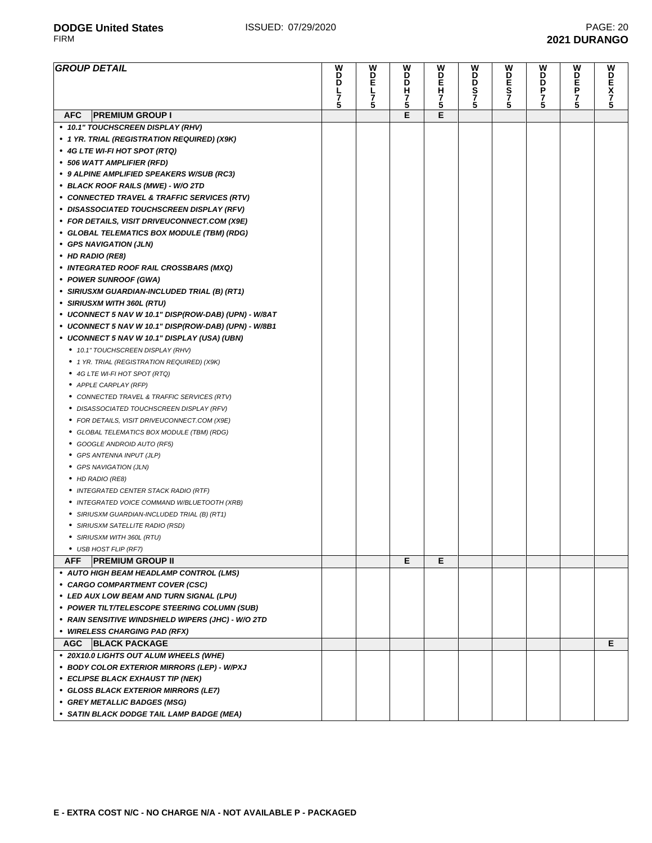| <b>GROUP DETAIL</b>                                  | w<br>D<br>D | W<br>모<br>니 | W<br>D<br>D | W<br>D<br>Ē<br>H | W<br>D              | W<br>D           | W<br>D<br>D | W<br>D<br>E | W<br>D<br>N<br>N<br>N<br>5 |
|------------------------------------------------------|-------------|-------------|-------------|------------------|---------------------|------------------|-------------|-------------|----------------------------|
|                                                      | 7           | 7           | Н<br>7      |                  | <b>D</b><br>27<br>5 | ES <sub>75</sub> | Ρ<br>7      | P<br>7      |                            |
|                                                      | 5           | 5           | 5           | 7<br>5           |                     |                  |             | 5           |                            |
| <b>AFC</b><br><b>PREMIUM GROUP I</b>                 |             |             | Е           | E                |                     |                  |             |             |                            |
| • 10.1" TOUCHSCREEN DISPLAY (RHV)                    |             |             |             |                  |                     |                  |             |             |                            |
| • 1 YR. TRIAL (REGISTRATION REQUIRED) (X9K)          |             |             |             |                  |                     |                  |             |             |                            |
| • 4G LTE WI-FI HOT SPOT (RTQ)                        |             |             |             |                  |                     |                  |             |             |                            |
| • 506 WATT AMPLIFIER (RFD)                           |             |             |             |                  |                     |                  |             |             |                            |
| • 9 ALPINE AMPLIFIED SPEAKERS W/SUB (RC3)            |             |             |             |                  |                     |                  |             |             |                            |
| • BLACK ROOF RAILS (MWE) - W/O 2TD                   |             |             |             |                  |                     |                  |             |             |                            |
| • CONNECTED TRAVEL & TRAFFIC SERVICES (RTV)          |             |             |             |                  |                     |                  |             |             |                            |
| • DISASSOCIATED TOUCHSCREEN DISPLAY (RFV)            |             |             |             |                  |                     |                  |             |             |                            |
| • FOR DETAILS, VISIT DRIVEUCONNECT.COM (X9E)         |             |             |             |                  |                     |                  |             |             |                            |
| • GLOBAL TELEMATICS BOX MODULE (TBM) (RDG)           |             |             |             |                  |                     |                  |             |             |                            |
| • GPS NAVIGATION (JLN)                               |             |             |             |                  |                     |                  |             |             |                            |
| • HD RADIO (RE8)                                     |             |             |             |                  |                     |                  |             |             |                            |
| • INTEGRATED ROOF RAIL CROSSBARS (MXQ)               |             |             |             |                  |                     |                  |             |             |                            |
| • POWER SUNROOF (GWA)                                |             |             |             |                  |                     |                  |             |             |                            |
| • SIRIUSXM GUARDIAN-INCLUDED TRIAL (B) (RT1)         |             |             |             |                  |                     |                  |             |             |                            |
| • SIRIUSXM WITH 360L (RTU)                           |             |             |             |                  |                     |                  |             |             |                            |
| • UCONNECT 5 NAV W 10.1" DISP(ROW-DAB) (UPN) - W/8AT |             |             |             |                  |                     |                  |             |             |                            |
| • UCONNECT 5 NAV W 10.1" DISP(ROW-DAB) (UPN) - W/8B1 |             |             |             |                  |                     |                  |             |             |                            |
| • UCONNECT 5 NAV W 10.1" DISPLAY (USA) (UBN)         |             |             |             |                  |                     |                  |             |             |                            |
| • 10.1" TOUCHSCREEN DISPLAY (RHV)                    |             |             |             |                  |                     |                  |             |             |                            |
| ● 1 YR. TRIAL (REGISTRATION REQUIRED) (X9K)          |             |             |             |                  |                     |                  |             |             |                            |
| ● 4G LTE WI-FI HOT SPOT (RTQ)                        |             |             |             |                  |                     |                  |             |             |                            |
| • APPLE CARPLAY (RFP)                                |             |             |             |                  |                     |                  |             |             |                            |
| • CONNECTED TRAVEL & TRAFFIC SERVICES (RTV)          |             |             |             |                  |                     |                  |             |             |                            |
| • DISASSOCIATED TOUCHSCREEN DISPLAY (RFV)            |             |             |             |                  |                     |                  |             |             |                            |
| • FOR DETAILS, VISIT DRIVEUCONNECT.COM (X9E)         |             |             |             |                  |                     |                  |             |             |                            |
| • GLOBAL TELEMATICS BOX MODULE (TBM) (RDG)           |             |             |             |                  |                     |                  |             |             |                            |
| • GOOGLE ANDROID AUTO (RF5)                          |             |             |             |                  |                     |                  |             |             |                            |
| • GPS ANTENNA INPUT (JLP)                            |             |             |             |                  |                     |                  |             |             |                            |
| • GPS NAVIGATION (JLN)                               |             |             |             |                  |                     |                  |             |             |                            |
| • HD RADIO (RE8)                                     |             |             |             |                  |                     |                  |             |             |                            |
| • INTEGRATED CENTER STACK RADIO (RTF)                |             |             |             |                  |                     |                  |             |             |                            |
| • INTEGRATED VOICE COMMAND W/BLUETOOTH (XRB)         |             |             |             |                  |                     |                  |             |             |                            |
| • SIRIUSXM GUARDIAN-INCLUDED TRIAL (B) (RT1)         |             |             |             |                  |                     |                  |             |             |                            |
| • SIRIUSXM SATELLITE RADIO (RSD)                     |             |             |             |                  |                     |                  |             |             |                            |
| • SIRIUSXM WITH 360L (RTU)                           |             |             |             |                  |                     |                  |             |             |                            |
| • USB HOST FLIP (RF7)                                |             |             |             |                  |                     |                  |             |             |                            |
| <b>AFF</b><br><b>PREMIUM GROUP II</b>                |             |             | E.          | E                |                     |                  |             |             |                            |
| • AUTO HIGH BEAM HEADLAMP CONTROL (LMS)              |             |             |             |                  |                     |                  |             |             |                            |
| • CARGO COMPARTMENT COVER (CSC)                      |             |             |             |                  |                     |                  |             |             |                            |
| • LED AUX LOW BEAM AND TURN SIGNAL (LPU)             |             |             |             |                  |                     |                  |             |             |                            |
| • POWER TILT/TELESCOPE STEERING COLUMN (SUB)         |             |             |             |                  |                     |                  |             |             |                            |
| • RAIN SENSITIVE WINDSHIELD WIPERS (JHC) - W/O 2TD   |             |             |             |                  |                     |                  |             |             |                            |
| • WIRELESS CHARGING PAD (RFX)                        |             |             |             |                  |                     |                  |             |             |                            |
| AGC<br><b>BLACK PACKAGE</b>                          |             |             |             |                  |                     |                  |             |             | Е                          |
| • 20X10.0 LIGHTS OUT ALUM WHEELS (WHE)               |             |             |             |                  |                     |                  |             |             |                            |
| • BODY COLOR EXTERIOR MIRRORS (LEP) - W/PXJ          |             |             |             |                  |                     |                  |             |             |                            |
| • ECLIPSE BLACK EXHAUST TIP (NEK)                    |             |             |             |                  |                     |                  |             |             |                            |
| • GLOSS BLACK EXTERIOR MIRRORS (LE7)                 |             |             |             |                  |                     |                  |             |             |                            |
| • GREY METALLIC BADGES (MSG)                         |             |             |             |                  |                     |                  |             |             |                            |
| • SATIN BLACK DODGE TAIL LAMP BADGE (MEA)            |             |             |             |                  |                     |                  |             |             |                            |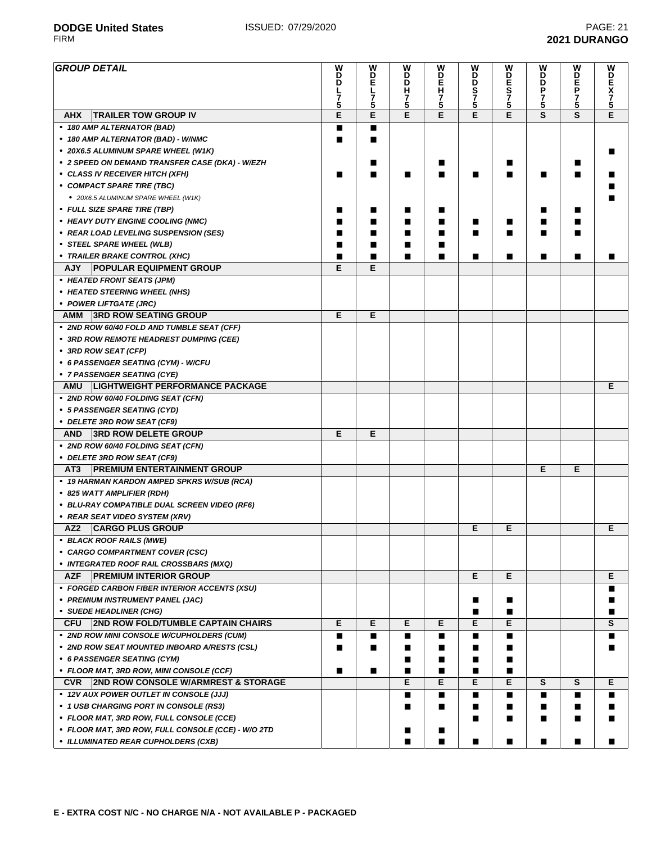#### **GROUP DETAIL D D L 7 5 W D E L 7 5 W D D H 7 5 W D E H 7 5 W D D S 7 5 W D E S 7 5 W D D P 7 5 W D E P 7 5 W D E X 7 5 AHX TRAILER TOW GROUP IV E E E E E E S S E • 180 AMP ALTERNATOR (BAD)** ■ ■ **• 180 AMP ALTERNATOR (BAD) - W/NMC** ■ ■ **• 20X6.5 ALUMINUM SPARE WHEEL (W1K)** ■ **• 2 SPEED ON DEMAND TRANSFER CASE (DKA) - W/EZH** ■ ■ ■ ■ **• CLASS IV RECEIVER HITCH (XFH)** ■ ■ ■ ■ ■ ■ ■ ■ ■ **• COMPACT SPARE TIRE (TBC)** ■ **•** 20X6.5 ALUMINUM SPARE WHEEL (W1K) ■ **• FULL SIZE SPARE TIRE (TBP)** ■ ■ ■ ■ ■ ■ **• HEAVY DUTY ENGINE COOLING (NMC)** ■ ■ ■ ■ ■ ■ ■ ■ **• REAR LOAD LEVELING SUSPENSION (SES)** ■ ■ ■ ■ ■ ■ ■ ■ **• STEEL SPARE WHEEL (WLB)** ■ ■ ■ ■ **• TRAILER BRAKE CONTROL (XHC)** ■ ■ ■ ■ ■ ■ ■ ■ ■ **AJY POPULAR EQUIPMENT GROUP E E • HEATED FRONT SEATS (JPM) • HEATED STEERING WHEEL (NHS) • POWER LIFTGATE (JRC) AMM 3RD ROW SEATING GROUP E E • 2ND ROW 60/40 FOLD AND TUMBLE SEAT (CFF) • 3RD ROW REMOTE HEADREST DUMPING (CEE) • 3RD ROW SEAT (CFP) • 6 PASSENGER SEATING (CYM) - W/CFU • 7 PASSENGER SEATING (CYE) AMU LIGHTWEIGHT PERFORMANCE PACKAGE E • 2ND ROW 60/40 FOLDING SEAT (CFN) • 5 PASSENGER SEATING (CYD) • DELETE 3RD ROW SEAT (CF9) AND 3RD ROW DELETE GROUP E E • 2ND ROW 60/40 FOLDING SEAT (CFN) • DELETE 3RD ROW SEAT (CF9) AT3 PREMIUM ENTERTAINMENT GROUP E E • 19 HARMAN KARDON AMPED SPKRS W/SUB (RCA) • 825 WATT AMPLIFIER (RDH) • BLU-RAY COMPATIBLE DUAL SCREEN VIDEO (RF6) • REAR SEAT VIDEO SYSTEM (XRV) AZ2 CARGO PLUS GROUP E E E • BLACK ROOF RAILS (MWE) • CARGO COMPARTMENT COVER (CSC) • INTEGRATED ROOF RAIL CROSSBARS (MXQ) AZF PREMIUM INTERIOR GROUP E E E • FORGED CARBON FIBER INTERIOR ACCENTS (XSU)** ■ **• PREMIUM INSTRUMENT PANEL (JAC)** ■ ■ ■ **• SUEDE HEADLINER (CHG)** ■ ■ ■ **CFU 2ND ROW FOLD/TUMBLE CAPTAIN CHAIRS E E E E E E S • 2ND ROW MINI CONSOLE W/CUPHOLDERS (CUM)** ■ ■ ■ ■ ■ ■ ■ **• 2ND ROW SEAT MOUNTED INBOARD A/RESTS (CSL)** ■ ■ ■ ■ ■ ■ ■ **• 6 PASSENGER SEATING (CYM)** ■ ■ ■ ■ **• FLOOR MAT, 3RD ROW, MINI CONSOLE (CCF)** ■ ■ ■ ■ ■ ■ **CVR 2ND ROW CONSOLE W/ARMREST & STORAGE E E E E S S E • 12V AUX POWER OUTLET IN CONSOLE (JJJ)** ■ ■ ■ ■ ■ ■ ■ **• 1 USB CHARGING PORT IN CONSOLE (RS3)** ■ ■ ■ ■ ■ ■ ■ **• FLOOR MAT, 3RD ROW, FULL CONSOLE (CCE)** ■ ■ ■ ■ ■ **• FLOOR MAT, 3RD ROW, FULL CONSOLE (CCE) - W/O 2TD** ■ ■

**• ILLUMINATED REAR CUPHOLDERS (CXB)** ■ ■ ■ ■ ■ ■ ■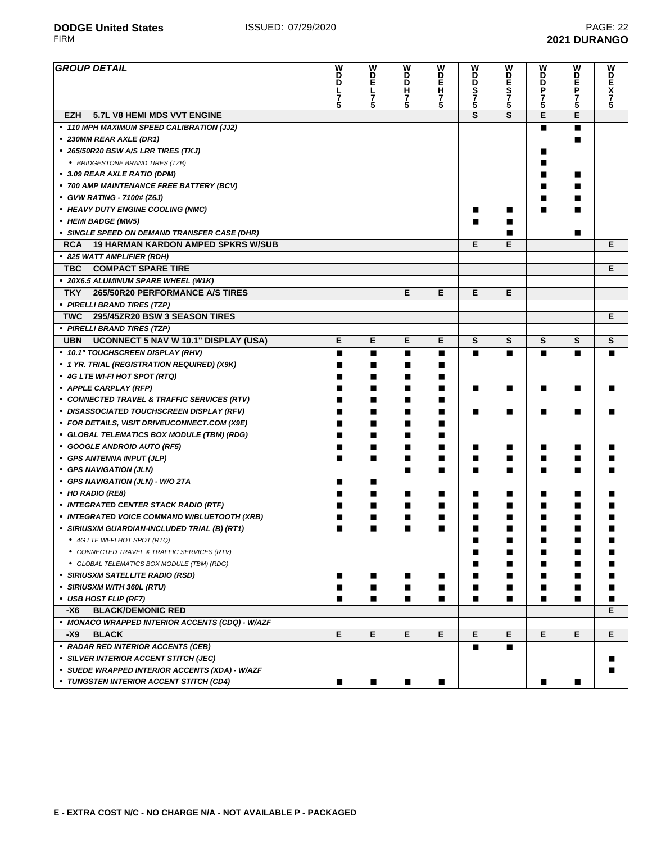| <b>GROUP DETAIL</b>                                | W<br>D      | W<br>D      | W<br>D | W<br>D | W<br>D      | W<br>D      | W<br>D | W<br>D | <b>WDEX75</b> |
|----------------------------------------------------|-------------|-------------|--------|--------|-------------|-------------|--------|--------|---------------|
|                                                    | D           | E           | D      | Ā      |             |             | D      | Ē      |               |
|                                                    | レ<br>7<br>5 | レ<br>7<br>5 | н<br>7 |        | <b>DS75</b> | E<br>S<br>7 | P<br>7 | 7      |               |
|                                                    |             |             | 5      | 7<br>5 |             | 5           | 5      | 5      |               |
| <b>EZH</b><br>5.7L V8 HEMI MDS VVT ENGINE          |             |             |        |        | S           | S           | E      | E      |               |
| • 110 MPH MAXIMUM SPEED CALIBRATION (JJ2)          |             |             |        |        |             |             | п      | ■      |               |
| • 230MM REAR AXLE (DR1)                            |             |             |        |        |             |             |        |        |               |
| • 265/50R20 BSW A/S LRR TIRES (TKJ)                |             |             |        |        |             |             |        |        |               |
| • BRIDGESTONE BRAND TIRES (TZB)                    |             |             |        |        |             |             |        |        |               |
| • 3.09 REAR AXLE RATIO (DPM)                       |             |             |        |        |             |             | ■      | п      |               |
| • 700 AMP MAINTENANCE FREE BATTERY (BCV)           |             |             |        |        |             |             | ■      | ■      |               |
| • GVW RATING - 7100# (Z6J)                         |             |             |        |        |             |             |        |        |               |
| • HEAVY DUTY ENGINE COOLING (NMC)                  |             |             |        |        | ■           | ■           | ■      |        |               |
| • HEMI BADGE (MW5)                                 |             |             |        |        | ■           |             |        |        |               |
| • SINGLE SPEED ON DEMAND TRANSFER CASE (DHR)       |             |             |        |        |             |             |        | ■      |               |
| <b>RCA</b><br>19 HARMAN KARDON AMPED SPKRS W/SUB   |             |             |        |        | Е           | E           |        |        | Е             |
| • 825 WATT AMPLIFIER (RDH)                         |             |             |        |        |             |             |        |        |               |
| <b>TBC</b><br><b>COMPACT SPARE TIRE</b>            |             |             |        |        |             |             |        |        | Е             |
| • 20X6.5 ALUMINUM SPARE WHEEL (W1K)                |             |             |        |        |             |             |        |        |               |
| <b>TKY</b><br>265/50R20 PERFORMANCE A/S TIRES      |             |             | Е      | E      | Е           | Е           |        |        |               |
| • PIRELLI BRAND TIRES (TZP)                        |             |             |        |        |             |             |        |        |               |
| 295/45ZR20 BSW 3 SEASON TIRES<br><b>TWC</b>        |             |             |        |        |             |             |        |        | Е             |
| • PIRELLI BRAND TIRES (TZP)                        |             |             |        |        |             |             |        |        |               |
| <b>UBN</b><br>UCONNECT 5 NAV W 10.1" DISPLAY (USA) | E           | E           | Е      | E      | S           | S           | S      | S      | S             |
| • 10.1" TOUCHSCREEN DISPLAY (RHV)                  | ■           | ■           | ■      | ■      | п           | п           | п      | ■      | ■             |
| • 1 YR. TRIAL (REGISTRATION REQUIRED) (X9K)        | П           | ■           | ■      | ■      |             |             |        |        |               |
| • 4G LTE WI-FI HOT SPOT (RTQ)                      | ■           | ■           | ■      |        |             |             |        |        |               |
| • APPLE CARPLAY (RFP)                              | ■           | ■           | ■      | ■      | ∎           | ■           | ■      | ■      |               |
| • CONNECTED TRAVEL & TRAFFIC SERVICES (RTV)        | ■           | ■           | ■      | ■      |             |             |        |        |               |
| • DISASSOCIATED TOUCHSCREEN DISPLAY (RFV)          | ■           | ■           |        | ■      | ■           | ■           | ■      | п      |               |
| • FOR DETAILS, VISIT DRIVEUCONNECT.COM (X9E)       | ■           | ■           | ■      | ■      |             |             |        |        |               |
| • GLOBAL TELEMATICS BOX MODULE (TBM) (RDG)         | П           | ■           | ■      | ■      |             |             |        |        |               |
| • GOOGLE ANDROID AUTO (RF5)                        | ■           | ■           | ■      |        | ∎           | ■           | ■      | ■      |               |
| • GPS ANTENNA INPUT (JLP)                          | ■           | ■           | ■      | ■      | ∎           | ■           | ■      | ■      |               |
| • GPS NAVIGATION (JLN)                             |             |             | ■      | ■      | ■           | ■           | ■      | ш      |               |
| • GPS NAVIGATION (JLN) - W/O 2TA                   | ■           | ■           |        |        |             |             |        |        |               |
| • HD RADIO (RE8)                                   | ■           | ■           | ■      | ■      | ∎           | ■           | ■      | ■      | ■             |
| • INTEGRATED CENTER STACK RADIO (RTF)              | П           | ■           | ■      | ■      | ■           | ■           | ■      | ■      | п             |
| • INTEGRATED VOICE COMMAND W/BLUETOOTH (XRB)       | ■           | ▬           |        |        | ■           |             |        | ш      |               |
| • SIRIUSXM GUARDIAN-INCLUDED TRIAL (B) (RT1)       | ■           | ■           | ■      | ■      | ∎           | ■           | ■      | ■      | п             |
| • 4G LTE WI-FI HOT SPOT (RTQ)                      |             |             |        |        |             |             |        |        |               |
| • CONNECTED TRAVEL & TRAFFIC SERVICES (RTV)        |             |             |        |        | ■           | ■           |        |        |               |
| • GLOBAL TELEMATICS BOX MODULE (TBM) (RDG)         |             |             |        |        | ■           | ■           |        | ■      |               |
| • SIRIUSXM SATELLITE RADIO (RSD)                   | п           | п           | п      | п      | П           | ■           |        | ■      |               |
| • SIRIUSXM WITH 360L (RTU)                         | ■           | ■           | ■      | ■      | ■           | ■           | п      | ■      | ■             |
| • USB HOST FLIP (RF7)                              | ■           | ■           | ■      | ■      | П           | ■           |        | ■      | ■             |
| -X6<br><b>BLACK/DEMONIC RED</b>                    |             |             |        |        |             |             |        |        | Е.            |
| • MONACO WRAPPED INTERIOR ACCENTS (CDQ) - W/AZF    |             |             |        |        |             |             |        |        |               |
| -X9<br><b>BLACK</b>                                | Е           | Е           | E      | E.     | Е           | Е           | Е      | E.     | E.            |
| • RADAR RED INTERIOR ACCENTS (CEB)                 |             |             |        |        | ■           | П           |        |        |               |
| • SILVER INTERIOR ACCENT STITCH (JEC)              |             |             |        |        |             |             |        |        | ш             |

- **• SUEDE WRAPPED INTERIOR ACCENTS (XDA) W/AZF** ■
- **• TUNGSTEN INTERIOR ACCENT STITCH (CD4)** ■ ■ ■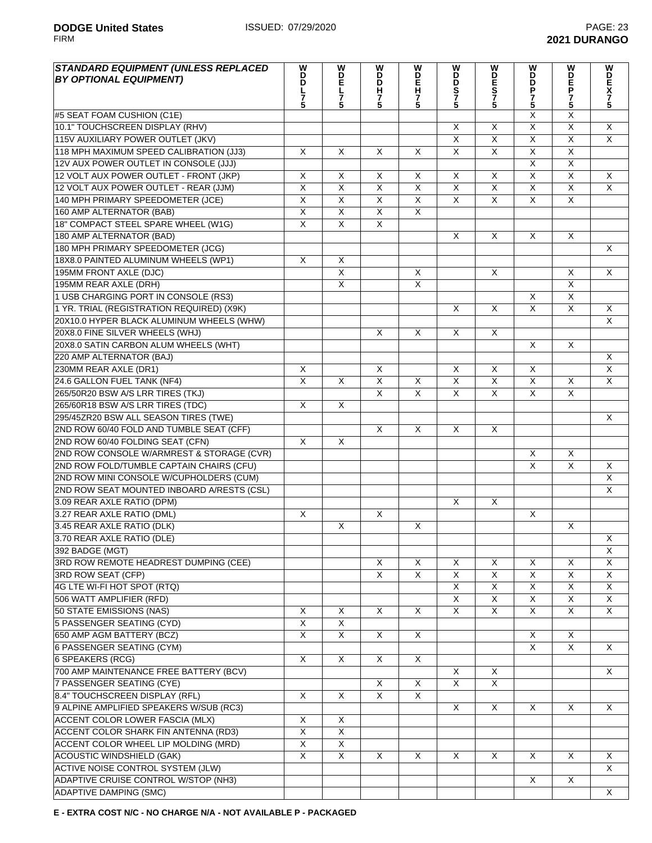| <b>STANDARD EQUIPMENT (UNLESS REPLACED</b>                           | W                       |                         | W                       |                         | W<br>D                  |                              | W                            |                                                    |                         |
|----------------------------------------------------------------------|-------------------------|-------------------------|-------------------------|-------------------------|-------------------------|------------------------------|------------------------------|----------------------------------------------------|-------------------------|
| <b>BY OPTIONAL EQUIPMENT)</b>                                        | D<br>D                  | <b>MDE</b>              | D<br>D                  | MD<br>H                 | D                       | WDES75                       | B                            | P                                                  | SONNKD                  |
|                                                                      | ー<br>7<br>5             | $\frac{7}{5}$           | н                       |                         | s<br>7<br>5             |                              | P                            |                                                    |                         |
|                                                                      |                         |                         | 7<br>5                  | 7<br>5                  |                         |                              | $\frac{7}{5}$                | $\frac{7}{5}$                                      |                         |
| #5 SEAT FOAM CUSHION (C1E)                                           |                         |                         |                         |                         |                         |                              | X                            | X                                                  |                         |
| 10.1" TOUCHSCREEN DISPLAY (RHV)<br>115V AUXILIARY POWER OUTLET (JKV) |                         |                         |                         |                         | X<br>X                  | X<br>$\overline{\mathsf{X}}$ | $\overline{\mathsf{x}}$<br>X | $\overline{\mathsf{x}}$<br>$\overline{\mathsf{x}}$ | X<br>$\overline{X}$     |
| 118 MPH MAXIMUM SPEED CALIBRATION (JJ3)                              | X                       | $\times$                | $\overline{\mathsf{x}}$ | X                       | $\overline{\mathsf{x}}$ | $\overline{\mathsf{x}}$      | $\overline{\mathsf{x}}$      | $\overline{\mathsf{x}}$                            |                         |
| 12V AUX POWER OUTLET IN CONSOLE (JJJ)                                |                         |                         |                         |                         |                         |                              | X                            | $\overline{X}$                                     |                         |
| 12 VOLT AUX POWER OUTLET - FRONT (JKP)                               | X                       | X                       | X                       | X                       | X                       | X                            | $\overline{\mathsf{x}}$      | $\overline{\mathsf{x}}$                            | X                       |
| 12 VOLT AUX POWER OUTLET - REAR (JJM)                                | X                       | $\overline{\mathsf{x}}$ | X                       | $\overline{\mathsf{x}}$ | $\overline{\mathsf{x}}$ | $\overline{\mathsf{x}}$      | X                            | $\overline{\mathsf{x}}$                            | $\overline{\mathsf{x}}$ |
| 140 MPH PRIMARY SPEEDOMETER (JCE)                                    | X                       | $\overline{\mathsf{x}}$ | $\sf X$                 | $\overline{\mathsf{x}}$ | $\overline{X}$          | $\overline{X}$               | X                            | $\overline{X}$                                     |                         |
| 160 AMP ALTERNATOR (BAB)                                             | X                       | X                       | X                       | $\overline{\mathsf{x}}$ |                         |                              |                              |                                                    |                         |
| 18" COMPACT STEEL SPARE WHEEL (W1G)                                  | X                       | X                       | X                       |                         |                         |                              |                              |                                                    |                         |
| 180 AMP ALTERNATOR (BAD)                                             |                         |                         |                         |                         | X                       | X                            | X                            | X                                                  |                         |
| 180 MPH PRIMARY SPEEDOMETER (JCG)                                    |                         |                         |                         |                         |                         |                              |                              |                                                    | X                       |
| 18X8.0 PAINTED ALUMINUM WHEELS (WP1)                                 | $\overline{\mathsf{x}}$ | $\overline{\mathsf{x}}$ |                         |                         |                         |                              |                              |                                                    |                         |
| 195MM FRONT AXLE (DJC)                                               |                         | $\overline{X}$          |                         | X                       |                         | X                            |                              | X                                                  | $\overline{\mathsf{x}}$ |
| 195MM REAR AXLE (DRH)                                                |                         | $\overline{\mathsf{x}}$ |                         | $\overline{\mathsf{x}}$ |                         |                              |                              | $\overline{\mathsf{x}}$                            |                         |
| 1 USB CHARGING PORT IN CONSOLE (RS3)                                 |                         |                         |                         |                         |                         |                              | X                            | $\overline{\mathsf{x}}$                            |                         |
| 1 YR. TRIAL (REGISTRATION REQUIRED) (X9K)                            |                         |                         |                         |                         | X                       | X                            | $\overline{\mathsf{x}}$      | $\overline{\mathsf{x}}$                            | X                       |
| 20X10.0 HYPER BLACK ALUMINUM WHEELS (WHW)                            |                         |                         |                         |                         |                         |                              |                              |                                                    | $\mathsf{X}$            |
| 20X8.0 FINE SILVER WHEELS (WHJ)                                      |                         |                         | X                       | X                       | X                       | X                            |                              |                                                    |                         |
| 20X8.0 SATIN CARBON ALUM WHEELS (WHT)                                |                         |                         |                         |                         |                         |                              | X                            | X                                                  |                         |
| 220 AMP ALTERNATOR (BAJ)                                             |                         |                         |                         |                         |                         |                              |                              |                                                    | Χ                       |
| 230MM REAR AXLE (DR1)                                                | X                       |                         | $\overline{\mathsf{x}}$ |                         | X                       | $\overline{\mathsf{x}}$      | X                            |                                                    | $\overline{\mathsf{x}}$ |
| 24.6 GALLON FUEL TANK (NF4)                                          | $\overline{\mathsf{x}}$ | $\overline{\mathsf{x}}$ | $\overline{\mathsf{x}}$ | $\overline{\mathsf{x}}$ | $\overline{\mathsf{x}}$ | $\overline{\mathsf{x}}$      | $\overline{\mathsf{x}}$      | X                                                  | $\overline{\mathsf{x}}$ |
| 265/50R20 BSW A/S LRR TIRES (TKJ)                                    |                         |                         | $\overline{X}$          | $\overline{\mathsf{x}}$ | $\overline{\mathsf{x}}$ | $\overline{\mathsf{x}}$      | X                            | $\overline{\mathsf{x}}$                            |                         |
| 265/60R18 BSW A/S LRR TIRES (TDC)                                    | X                       | X                       |                         |                         |                         |                              |                              |                                                    |                         |
| 295/45ZR20 BSW ALL SEASON TIRES (TWE)                                |                         |                         |                         |                         |                         |                              |                              |                                                    | X                       |
| 2ND ROW 60/40 FOLD AND TUMBLE SEAT (CFF)                             |                         |                         | $\overline{\mathsf{x}}$ | $\overline{X}$          | X                       | X                            |                              |                                                    |                         |
| 2ND ROW 60/40 FOLDING SEAT (CFN)                                     | $\overline{\mathsf{x}}$ | X                       |                         |                         |                         |                              |                              |                                                    |                         |
| 2ND ROW CONSOLE W/ARMREST & STORAGE (CVR)                            |                         |                         |                         |                         |                         |                              | X                            | X                                                  |                         |
| 2ND ROW FOLD/TUMBLE CAPTAIN CHAIRS (CFU)                             |                         |                         |                         |                         |                         |                              | X                            | X                                                  | X                       |
| 2ND ROW MINI CONSOLE W/CUPHOLDERS (CUM)                              |                         |                         |                         |                         |                         |                              |                              |                                                    | X                       |
| 2ND ROW SEAT MOUNTED INBOARD A/RESTS (CSL)                           |                         |                         |                         |                         |                         |                              |                              |                                                    | $\overline{\mathsf{x}}$ |
| 3.09 REAR AXLE RATIO (DPM)                                           |                         |                         |                         |                         | X                       | X                            |                              |                                                    |                         |
| 3.27 REAR AXLE RATIO (DML)                                           | X                       |                         | X                       |                         |                         |                              | X                            |                                                    |                         |
| 3.45 REAR AXLE RATIO (DLK)                                           |                         | X                       |                         | X                       |                         |                              |                              | X                                                  |                         |
| 3.70 REAR AXLE RATIO (DLE)                                           |                         |                         |                         |                         |                         |                              |                              |                                                    | $\mathsf X$             |
| 392 BADGE (MGT)                                                      |                         |                         |                         |                         |                         |                              |                              |                                                    | X                       |
| 3RD ROW REMOTE HEADREST DUMPING (CEE)                                |                         |                         | X                       | X                       | X                       | X                            | X                            | X                                                  | X                       |
| 3RD ROW SEAT (CFP)                                                   |                         |                         | X                       | $\sf X$                 | X                       | X                            | X                            | X                                                  | X                       |
| 4G LTE WI-FI HOT SPOT (RTQ)                                          |                         |                         |                         |                         | X                       | $\overline{X}$               | X                            | $\overline{X}$                                     | X                       |
| 506 WATT AMPLIFIER (RFD)                                             |                         |                         |                         |                         | X                       | $\overline{\mathsf{X}}$      | X                            | X                                                  | X                       |
| 50 STATE EMISSIONS (NAS)                                             | $\overline{X}$          | X                       | $\overline{\mathsf{x}}$ | $\times$                | $\overline{X}$          | $\overline{\mathsf{x}}$      | $\overline{\mathsf{X}}$      | $\overline{\mathsf{x}}$                            | X                       |
| <b>5 PASSENGER SEATING (CYD)</b>                                     | $\overline{\mathsf{x}}$ | $\overline{\mathsf{x}}$ |                         |                         |                         |                              |                              |                                                    |                         |
| 650 AMP AGM BATTERY (BCZ)                                            | $\overline{X}$          | X                       | X                       | X                       |                         |                              | X                            | X                                                  |                         |
| <b>6 PASSENGER SEATING (CYM)</b>                                     |                         |                         |                         |                         |                         |                              | X                            | X                                                  | X                       |
| 6 SPEAKERS (RCG)                                                     | $\mathsf{X}$            | $\mathsf{X}$            | X                       | X                       |                         |                              |                              |                                                    |                         |
| 700 AMP MAINTENANCE FREE BATTERY (BCV)                               |                         |                         |                         |                         | X                       | X                            |                              |                                                    | X                       |
| 7 PASSENGER SEATING (CYE)                                            |                         |                         | X                       | X                       | X                       | X                            |                              |                                                    |                         |
| 8.4" TOUCHSCREEN DISPLAY (RFL)                                       | X                       | X                       | X                       | X                       |                         |                              |                              |                                                    |                         |
| 9 ALPINE AMPLIFIED SPEAKERS W/SUB (RC3)                              |                         |                         |                         |                         | X                       | X                            | X                            | X                                                  | X                       |
| ACCENT COLOR LOWER FASCIA (MLX)                                      | X                       | X                       |                         |                         |                         |                              |                              |                                                    |                         |
| ACCENT COLOR SHARK FIN ANTENNA (RD3)                                 | $\overline{\mathsf{x}}$ | $\overline{X}$          |                         |                         |                         |                              |                              |                                                    |                         |
| ACCENT COLOR WHEEL LIP MOLDING (MRD)                                 | X                       | X                       |                         |                         |                         |                              |                              |                                                    |                         |
| <b>ACOUSTIC WINDSHIELD (GAK)</b>                                     | X                       | X                       | X                       | X                       | X                       | X                            | X                            | X                                                  | X                       |
| <b>ACTIVE NOISE CONTROL SYSTEM (JLW)</b>                             |                         |                         |                         |                         |                         |                              |                              |                                                    | X                       |
| ADAPTIVE CRUISE CONTROL W/STOP (NH3)                                 |                         |                         |                         |                         |                         |                              | X                            | X                                                  |                         |
| <b>ADAPTIVE DAMPING (SMC)</b>                                        |                         |                         |                         |                         |                         |                              |                              |                                                    | X                       |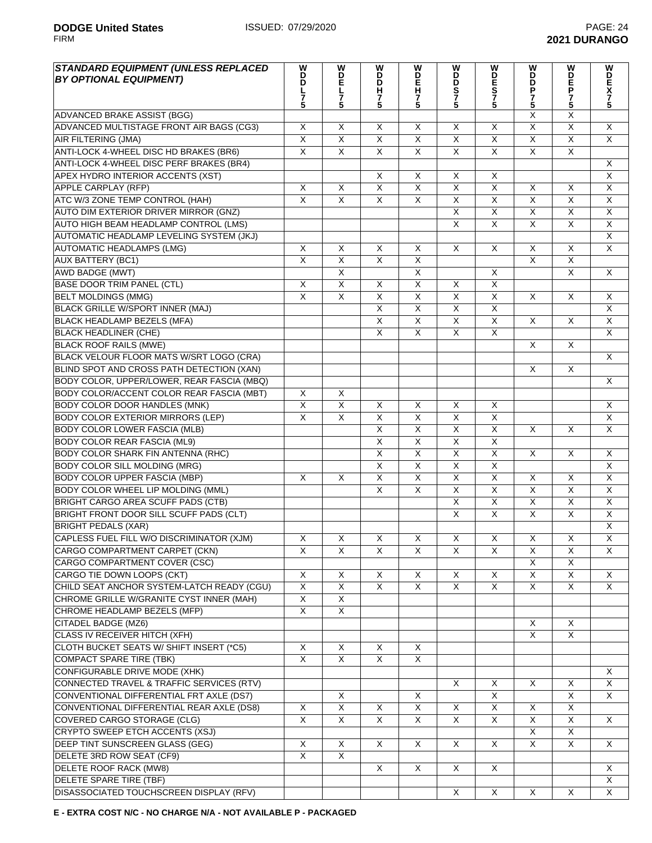| <b>STANDARD EQUIPMENT (UNLESS REPLACED</b> | W                       | W                         | W                       | W                       | W                       | W                       | W<br>D                  | W                       | W                         |
|--------------------------------------------|-------------------------|---------------------------|-------------------------|-------------------------|-------------------------|-------------------------|-------------------------|-------------------------|---------------------------|
| <b>BY OPTIONAL EQUIPMENT)</b>              | <b>DDL75</b>            | D<br>P<br>L<br>7          | $\overline{D}$          | <b>DEH75</b>            | D<br>Ď                  | DES<br>75               | D                       | D<br>P<br>P             | <b>DEX75</b>              |
|                                            |                         |                           | Ĥ<br>$\overline{7}$     |                         | S<br>7<br>5             |                         | P                       |                         |                           |
|                                            |                         | 5                         | 5                       |                         |                         |                         | $\frac{7}{5}$           | 7<br>5                  |                           |
| ADVANCED BRAKE ASSIST (BGG)                |                         |                           |                         |                         |                         |                         | X                       | X                       |                           |
| ADVANCED MULTISTAGE FRONT AIR BAGS (CG3)   | X                       | X                         | X                       | X                       | X                       | X                       | $\overline{\mathsf{X}}$ | $\overline{\mathsf{x}}$ | X                         |
| AIR FILTERING (JMA)                        | $\overline{\mathsf{x}}$ | $\overline{\mathsf{x}}$   | $\overline{\mathsf{x}}$ | $\overline{\mathsf{x}}$ | $\overline{\mathsf{x}}$ | $\overline{\mathsf{x}}$ | $\overline{\mathsf{x}}$ | $\overline{X}$          | $\overline{\mathsf{x}}$   |
| ANTI-LOCK 4-WHEEL DISC HD BRAKES (BR6)     | $\overline{\mathsf{x}}$ | $\overline{\mathsf{x}}$   | $\overline{\mathsf{x}}$ | $\overline{\mathsf{x}}$ | $\overline{\mathsf{x}}$ | $\overline{\mathsf{x}}$ | $\overline{\mathsf{x}}$ | $\overline{\mathsf{x}}$ |                           |
| ANTI-LOCK 4-WHEEL DISC PERF BRAKES (BR4)   |                         |                           |                         |                         |                         |                         |                         |                         | X                         |
| APEX HYDRO INTERIOR ACCENTS (XST)          |                         |                           | X                       | X                       | X                       | X                       |                         |                         | $\overline{\mathsf{x}}$   |
| <b>APPLE CARPLAY (RFP)</b>                 | X                       | $\boldsymbol{\mathsf{X}}$ | X                       | X                       | X                       | Χ                       | X                       | X                       | $\overline{X}$            |
| ATC W/3 ZONE TEMP CONTROL (HAH)            | $\overline{X}$          | $\overline{\mathsf{x}}$   | $\overline{X}$          | $\overline{\mathsf{x}}$ | $\overline{X}$          | $\overline{\mathsf{x}}$ | $\sf X$                 | $\overline{\mathsf{x}}$ | $\overline{\mathsf{x}}$   |
| AUTO DIM EXTERIOR DRIVER MIRROR (GNZ)      |                         |                           |                         |                         | X                       | X                       | X                       | X                       | X                         |
| AUTO HIGH BEAM HEADLAMP CONTROL (LMS)      |                         |                           |                         |                         | X                       | $\overline{\mathsf{x}}$ | X                       | X                       | X                         |
| AUTOMATIC HEADLAMP LEVELING SYSTEM (JKJ)   |                         |                           |                         |                         |                         |                         |                         |                         | $\overline{X}$            |
| AUTOMATIC HEADLAMPS (LMG)                  | X                       | X                         | X                       | X                       | X                       | X                       | X                       | X                       | $\overline{X}$            |
| <b>AUX BATTERY (BC1)</b>                   | $\overline{\mathsf{x}}$ | $\overline{\mathsf{x}}$   | $\overline{\mathsf{x}}$ | $\overline{\mathsf{x}}$ |                         |                         | $\overline{X}$          | $\overline{\mathsf{x}}$ |                           |
| <b>AWD BADGE (MWT)</b>                     |                         | $\overline{\mathsf{x}}$   |                         | $\overline{\mathsf{x}}$ |                         | $\overline{\mathsf{X}}$ |                         | $\overline{\mathsf{x}}$ | $\times$                  |
| <b>BASE DOOR TRIM PANEL (CTL)</b>          | $\sf X$                 | $\overline{\mathsf{x}}$   | X                       | $\overline{\mathsf{x}}$ | X                       | $\overline{\mathsf{x}}$ |                         |                         |                           |
| <b>BELT MOLDINGS (MMG)</b>                 | $\mathsf{X}$            | $\overline{\mathsf{x}}$   | X                       | $\overline{X}$          | X                       | $\overline{\mathsf{X}}$ | X                       | X                       | X                         |
| <b>BLACK GRILLE W/SPORT INNER (MAJ)</b>    |                         |                           | $\sf X$                 | $\overline{\mathsf{x}}$ | $\overline{X}$          | $\overline{\mathsf{x}}$ |                         |                         | $\overline{\mathsf{x}}$   |
| <b>BLACK HEADLAMP BEZELS (MFA)</b>         |                         |                           | X                       | $\overline{X}$          | $\overline{X}$          | $\overline{X}$          | X                       | X                       | X                         |
| <b>BLACK HEADLINER (CHE)</b>               |                         |                           | $\sf X$                 | X                       | X                       | X                       |                         |                         | $\overline{\mathsf{x}}$   |
| <b>BLACK ROOF RAILS (MWE)</b>              |                         |                           |                         |                         |                         |                         | X                       | X                       |                           |
| BLACK VELOUR FLOOR MATS W/SRT LOGO (CRA)   |                         |                           |                         |                         |                         |                         |                         |                         | X                         |
| BLIND SPOT AND CROSS PATH DETECTION (XAN)  |                         |                           |                         |                         |                         |                         | $\times$                | X                       |                           |
| BODY COLOR, UPPER/LOWER, REAR FASCIA (MBQ) |                         |                           |                         |                         |                         |                         |                         |                         | $\boldsymbol{\mathsf{X}}$ |
| BODY COLOR/ACCENT COLOR REAR FASCIA (MBT)  | $\times$                | X                         |                         |                         |                         |                         |                         |                         |                           |
| <b>BODY COLOR DOOR HANDLES (MNK)</b>       | $\sf X$                 | $\overline{X}$            | X                       | X                       | X                       | X                       |                         |                         | X                         |
| <b>BODY COLOR EXTERIOR MIRRORS (LEP)</b>   | $\sf X$                 | X                         | X                       | X                       | X                       | X                       |                         |                         | X                         |
| <b>BODY COLOR LOWER FASCIA (MLB)</b>       |                         |                           | $\overline{\mathsf{x}}$ | $\overline{\mathsf{x}}$ | $\overline{X}$          | $\overline{\mathsf{x}}$ | $\sf X$                 | X                       | $\overline{\mathsf{x}}$   |
| <b>BODY COLOR REAR FASCIA (ML9)</b>        |                         |                           | X                       | $\overline{X}$          | X                       | $\overline{\mathsf{X}}$ |                         |                         |                           |
| <b>BODY COLOR SHARK FIN ANTENNA (RHC)</b>  |                         |                           | $\sf X$                 | X                       | X                       | X                       | X                       | X                       | X                         |
| <b>BODY COLOR SILL MOLDING (MRG)</b>       |                         |                           | X                       | X                       | X                       | X                       |                         |                         | X                         |
| <b>BODY COLOR UPPER FASCIA (MBP)</b>       | X                       | X                         | X                       | $\overline{X}$          | $\overline{\mathsf{X}}$ | $\overline{\mathsf{x}}$ | X                       | X                       | $\overline{\mathsf{x}}$   |
| <b>BODY COLOR WHEEL LIP MOLDING (MML)</b>  |                         |                           | $\overline{\mathsf{x}}$ | $\overline{\mathsf{x}}$ | $\overline{\mathsf{X}}$ | $\overline{\mathsf{x}}$ | $\overline{\mathsf{x}}$ | $\overline{\mathsf{x}}$ | $\overline{\mathsf{x}}$   |
| <b>BRIGHT CARGO AREA SCUFF PADS (CTB)</b>  |                         |                           |                         |                         | $\overline{\mathsf{x}}$ | $\overline{\mathsf{X}}$ | $\overline{\mathsf{x}}$ | $\overline{\mathsf{X}}$ | $\overline{\mathsf{x}}$   |
| BRIGHT FRONT DOOR SILL SCUFF PADS (CLT)    |                         |                           |                         |                         | X                       | $\overline{\mathsf{x}}$ | $\mathsf{X}$            | $\overline{\mathsf{x}}$ | $\overline{\mathsf{x}}$   |
| <b>BRIGHT PEDALS (XAR)</b>                 |                         |                           |                         |                         |                         |                         |                         |                         | $\overline{X}$            |
| CAPLESS FUEL FILL W/O DISCRIMINATOR (XJM)  | $\mathsf X$             | $\overline{X}$            | $\mathsf X$             | $\overline{X}$          | X                       | $\overline{X}$          | $\mathsf X$             | $\mathsf X$             | $\overline{\mathsf{X}}$   |
| CARGO COMPARTMENT CARPET (CKN)             | X                       | X                         | X                       | X                       | X                       | X                       | X                       | X                       | X                         |
| CARGO COMPARTMENT COVER (CSC)              |                         |                           |                         |                         |                         |                         | X                       | X                       |                           |
| CARGO TIE DOWN LOOPS (CKT)                 | X                       | X                         | Χ                       | X                       | X                       | X                       | X                       | X                       | X                         |
| CHILD SEAT ANCHOR SYSTEM-LATCH READY (CGU) | $\overline{X}$          | $\overline{X}$            | $\overline{X}$          | X                       | X                       | X                       | X                       | X                       | X                         |
| CHROME GRILLE W/GRANITE CYST INNER (MAH)   | $\overline{X}$          | $\overline{\mathsf{x}}$   |                         |                         |                         |                         |                         |                         |                           |
| CHROME HEADLAMP BEZELS (MFP)               | $\overline{X}$          | $\overline{X}$            |                         |                         |                         |                         |                         |                         |                           |
| <b>CITADEL BADGE (MZ6)</b>                 |                         |                           |                         |                         |                         |                         | X                       | X                       |                           |
| CLASS IV RECEIVER HITCH (XFH)              |                         |                           |                         |                         |                         |                         | $\mathsf{X}$            | $\mathsf{X}$            |                           |
| CLOTH BUCKET SEATS W/ SHIFT INSERT (*C5)   | X                       | X                         | X                       | X                       |                         |                         |                         |                         |                           |
| COMPACT SPARE TIRE (TBK)                   | X                       | X                         | X                       | X                       |                         |                         |                         |                         |                           |
| <b>CONFIGURABLE DRIVE MODE (XHK)</b>       |                         |                           |                         |                         |                         |                         |                         |                         | Χ                         |
| CONNECTED TRAVEL & TRAFFIC SERVICES (RTV)  |                         |                           |                         |                         | X                       | Χ                       | $\times$                | X                       | X                         |
| CONVENTIONAL DIFFERENTIAL FRT AXLE (DS7)   |                         | X                         |                         | X                       |                         | $\overline{X}$          |                         | X                       | X                         |
| CONVENTIONAL DIFFERENTIAL REAR AXLE (DS8)  | X                       | $\overline{\mathsf{x}}$   | X                       | $\overline{X}$          | X                       | $\overline{X}$          | X                       | $\overline{\mathsf{x}}$ |                           |
| COVERED CARGO STORAGE (CLG)                | $\overline{\mathsf{x}}$ | $\overline{X}$            | $\overline{\mathsf{x}}$ | $\overline{X}$          | $\overline{\mathsf{x}}$ | $\overline{X}$          | $\overline{X}$          | $\overline{X}$          | X                         |
| CRYPTO SWEEP ETCH ACCENTS (XSJ)            |                         |                           |                         |                         |                         |                         | $\overline{X}$          | $\overline{X}$          |                           |
| DEEP TINT SUNSCREEN GLASS (GEG)            | X                       | X                         | X                       | X                       | X                       | X                       | $\mathsf{X}$            | X                       | X                         |
| DELETE 3RD ROW SEAT (CF9)                  | $\overline{X}$          | $\overline{X}$            |                         |                         |                         |                         |                         |                         |                           |
| DELETE ROOF RACK (MW8)                     |                         |                           | X                       | X                       | X                       | X                       |                         |                         | X                         |
| DELETE SPARE TIRE (TBF)                    |                         |                           |                         |                         |                         |                         |                         |                         | X                         |
| DISASSOCIATED TOUCHSCREEN DISPLAY (RFV)    |                         |                           |                         |                         | X                       | X                       | X                       | X                       | X                         |
|                                            |                         |                           |                         |                         |                         |                         |                         |                         |                           |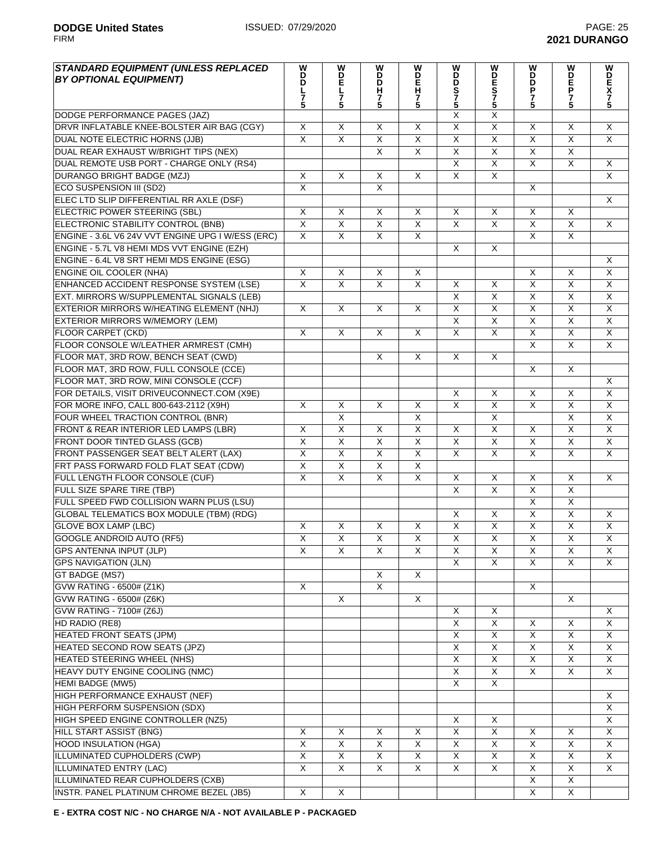| <b>STANDARD EQUIPMENT (UNLESS REPLACED</b><br><b>BY OPTIONAL EQUIPMENT)</b> | W<br>D<br>Ď<br>L<br>$\overline{7}$<br>5 | W<br>D<br>E<br>L<br>$\bar{7}$<br>5 | W<br>D<br>Ď<br>Н<br>$\frac{7}{5}$ | W<br>D<br>H<br>H<br>5   | W<br><b>DDS75</b>       | W<br><b>DES75</b>       | W<br>$\overline{D}$<br>P<br>$\frac{7}{5}$ | W<br>D<br>F<br>P<br>$\frac{7}{5}$ | W<br>DE<br>X<br>7<br>5  |
|-----------------------------------------------------------------------------|-----------------------------------------|------------------------------------|-----------------------------------|-------------------------|-------------------------|-------------------------|-------------------------------------------|-----------------------------------|-------------------------|
| DODGE PERFORMANCE PAGES (JAZ)                                               |                                         |                                    |                                   |                         | $\overline{\mathsf{x}}$ | $\overline{\mathsf{X}}$ |                                           |                                   |                         |
| DRVR INFLATABLE KNEE-BOLSTER AIR BAG (CGY)                                  | X                                       | X                                  | X                                 | X                       | $\overline{\mathsf{X}}$ | $\overline{X}$          | X                                         | X                                 | X                       |
| DUAL NOTE ELECTRIC HORNS (JJB)                                              | $\overline{X}$                          | $\overline{X}$                     | $\overline{\mathsf{x}}$           | $\overline{\mathsf{x}}$ | $\overline{\mathsf{x}}$ | $\overline{\mathsf{x}}$ | $\overline{\mathsf{x}}$                   | $\overline{\mathsf{x}}$           | $\overline{\mathsf{x}}$ |
| DUAL REAR EXHAUST W/BRIGHT TIPS (NEX)                                       |                                         |                                    | $\overline{X}$                    | $\overline{\mathsf{X}}$ | $\overline{X}$          | $\overline{\mathsf{X}}$ | X                                         | X                                 |                         |
| DUAL REMOTE USB PORT - CHARGE ONLY (RS4)                                    |                                         |                                    |                                   |                         | X                       | X                       | X                                         | X                                 | $\mathsf X$             |
| <b>DURANGO BRIGHT BADGE (MZJ)</b>                                           | $\overline{\mathsf{x}}$                 | $\sf X$                            | X                                 | $\overline{X}$          | $\overline{X}$          | $\overline{\mathsf{x}}$ |                                           |                                   | $\overline{X}$          |
| ECO SUSPENSION III (SD2)                                                    | $\overline{X}$                          |                                    | $\overline{X}$                    |                         |                         |                         | X                                         |                                   |                         |
| ELEC LTD SLIP DIFFERENTIAL RR AXLE (DSF)                                    |                                         |                                    |                                   |                         |                         |                         |                                           |                                   | $\mathsf{X}$            |
| ELECTRIC POWER STEERING (SBL)                                               | X                                       | X                                  | X                                 | X                       | X                       | X                       | X                                         | X                                 |                         |
| ELECTRONIC STABILITY CONTROL (BNB)                                          | $\overline{\mathsf{x}}$                 | $\overline{X}$                     | $\overline{X}$                    | $\overline{\mathsf{x}}$ | $\overline{X}$          | X                       | $\overline{\mathsf{x}}$                   | X                                 | $\times$                |
| ENGINE - 3.6L V6 24V VVT ENGINE UPG I W/ESS (ERC)                           | $\overline{X}$                          | $\overline{X}$                     | $\overline{X}$                    | $\overline{X}$          |                         |                         | $\overline{\mathsf{x}}$                   | $\overline{X}$                    |                         |
| ENGINE - 5.7L V8 HEMI MDS VVT ENGINE (EZH)                                  |                                         |                                    |                                   |                         | X                       | $\overline{X}$          |                                           |                                   |                         |
| ENGINE - 6.4L V8 SRT HEMI MDS ENGINE (ESG)                                  |                                         |                                    |                                   |                         |                         |                         |                                           |                                   | X                       |
| <b>ENGINE OIL COOLER (NHA)</b>                                              | X                                       | X                                  | X                                 | X                       |                         |                         | X                                         | X                                 | $\overline{X}$          |
| ENHANCED ACCIDENT RESPONSE SYSTEM (LSE)                                     | $\overline{\mathsf{x}}$                 | $\overline{\mathsf{x}}$            | $\overline{X}$                    | $\overline{X}$          | X                       | X                       | $\overline{\mathsf{x}}$                   | $\overline{\mathsf{x}}$           | X                       |
| EXT. MIRRORS W/SUPPLEMENTAL SIGNALS (LEB)                                   |                                         |                                    |                                   |                         | X                       | $\overline{\mathsf{x}}$ | $\overline{X}$                            | $\overline{X}$                    | $\overline{X}$          |
| EXTERIOR MIRRORS W/HEATING ELEMENT (NHJ)                                    | X                                       | X                                  | X                                 | X                       | $\overline{X}$          | X                       | $\overline{X}$                            | X                                 | $\overline{X}$          |
| <b>EXTERIOR MIRRORS W/MEMORY (LEM)</b>                                      |                                         |                                    |                                   |                         | $\overline{\mathsf{X}}$ | X                       | $\overline{X}$                            | X                                 | X                       |
| <b>FLOOR CARPET (CKD)</b>                                                   | X                                       | X                                  | X                                 | X                       | $\overline{\mathsf{X}}$ | X                       | $\overline{X}$                            | X                                 | $\overline{X}$          |
| FLOOR CONSOLE W/LEATHER ARMREST (CMH)                                       |                                         |                                    |                                   |                         |                         |                         | $\overline{\mathsf{x}}$                   | $\overline{\mathsf{x}}$           | $\overline{\mathsf{x}}$ |
| FLOOR MAT, 3RD ROW, BENCH SEAT (CWD)                                        |                                         |                                    | X                                 | X                       | X                       | $\overline{X}$          |                                           |                                   |                         |
| FLOOR MAT, 3RD ROW, FULL CONSOLE (CCE)                                      |                                         |                                    |                                   |                         |                         |                         | X                                         | $\overline{X}$                    |                         |
| FLOOR MAT, 3RD ROW, MINI CONSOLE (CCF)                                      |                                         |                                    |                                   |                         |                         |                         |                                           |                                   | X                       |
| FOR DETAILS, VISIT DRIVEUCONNECT.COM (X9E)                                  |                                         |                                    |                                   |                         | X                       | X                       | $\mathsf{X}$                              | X                                 | $\overline{X}$          |
| FOR MORE INFO, CALL 800-643-2112 (X9H)                                      | X                                       | X                                  | X                                 | X                       | X                       | X                       | X                                         | X                                 | X                       |
| FOUR WHEEL TRACTION CONTROL (BNR)                                           |                                         | X                                  |                                   | X                       |                         | X                       |                                           | X                                 | X                       |
| FRONT & REAR INTERIOR LED LAMPS (LBR)                                       | X                                       | X                                  | X                                 | X                       | X                       | X                       | X                                         | X                                 | $\mathsf{X}$            |
| FRONT DOOR TINTED GLASS (GCB)                                               | $\overline{X}$                          | $\overline{X}$                     | $\overline{X}$                    | $\overline{\mathsf{X}}$ | $\overline{\mathsf{x}}$ | $\overline{X}$          | $\overline{X}$                            | X                                 | X                       |
| FRONT PASSENGER SEAT BELT ALERT (LAX)                                       | X                                       | $\overline{X}$                     | $\mathsf{X}$                      | $\overline{X}$          | $\overline{X}$          | X                       | X                                         | X                                 | $\pmb{\times}$          |
| FRT PASS FORWARD FOLD FLAT SEAT (CDW)                                       | $\overline{\mathsf{X}}$                 | $\overline{X}$                     | $\overline{X}$                    | $\overline{X}$          |                         |                         |                                           |                                   |                         |
| FULL LENGTH FLOOR CONSOLE (CUF)                                             | $\overline{X}$                          | $\overline{X}$                     | $\overline{X}$                    | $\overline{\mathsf{x}}$ | X                       | X                       | X                                         | X                                 | X                       |
| FULL SIZE SPARE TIRE (TBP)                                                  |                                         |                                    |                                   |                         | $\overline{\mathsf{x}}$ | $\overline{\mathsf{x}}$ | $\overline{\mathsf{x}}$                   | $\overline{X}$                    |                         |
| FULL SPEED FWD COLLISION WARN PLUS (LSU)                                    |                                         |                                    |                                   |                         |                         |                         | $\overline{\mathsf{x}}$                   | $\overline{X}$                    |                         |
| <b>GLOBAL TELEMATICS BOX MODULE (TBM) (RDG)</b>                             |                                         |                                    |                                   |                         | X                       | X                       | $\overline{X}$                            | $\overline{X}$                    | X                       |
| <b>GLOVE BOX LAMP (LBC)</b>                                                 | X                                       | X                                  | X                                 | $\overline{X}$          | $\overline{\mathsf{x}}$ | $\overline{X}$          | $\overline{X}$                            | $\overline{\mathsf{X}}$           | $\overline{X}$          |
| <b>GOOGLE ANDROID AUTO (RF5)</b>                                            | X                                       | X                                  | X                                 | X                       | X                       | $\overline{X}$          | $\overline{X}$                            | $\overline{X}$                    | X                       |
| GPS ANTENNA INPUT (JLP)                                                     | X                                       | X                                  | X                                 | X                       | X<br>$\overline{X}$     | X                       | X<br>X                                    | X                                 | X<br>X                  |
| <b>GPS NAVIGATION (JLN)</b>                                                 |                                         |                                    |                                   | $\overline{\mathsf{x}}$ |                         | X                       |                                           | X                                 |                         |
| GT BADGE (MS7)<br><b>GVW RATING - 6500# (Z1K)</b>                           | X                                       |                                    | X<br>$\overline{X}$               |                         |                         |                         | X                                         |                                   |                         |
| <b>GVW RATING - 6500# (Z6K)</b>                                             |                                         | X                                  |                                   | X                       |                         |                         |                                           | X                                 |                         |
| GVW RATING - 7100# (Z6J)                                                    |                                         |                                    |                                   |                         | $\overline{\mathsf{x}}$ | $\overline{\mathsf{x}}$ |                                           |                                   | X                       |
| HD RADIO (RE8)                                                              |                                         |                                    |                                   |                         | $\overline{\mathsf{x}}$ | X                       | X                                         | $\overline{X}$                    | X                       |
| <b>HEATED FRONT SEATS (JPM)</b>                                             |                                         |                                    |                                   |                         | X                       | X                       | $\overline{\mathsf{x}}$                   | X                                 | X                       |
| HEATED SECOND ROW SEATS (JPZ)                                               |                                         |                                    |                                   |                         | $\overline{\mathsf{x}}$ | X                       | X                                         | X                                 | $\overline{X}$          |
| HEATED STEERING WHEEL (NHS)                                                 |                                         |                                    |                                   |                         | X                       | X                       | X                                         | X                                 | X                       |
| HEAVY DUTY ENGINE COOLING (NMC)                                             |                                         |                                    |                                   |                         | $\overline{X}$          | $\overline{X}$          | $\overline{X}$                            | X                                 | X                       |
| <b>HEMI BADGE (MW5)</b>                                                     |                                         |                                    |                                   |                         | $\overline{\mathsf{x}}$ | $\overline{X}$          |                                           |                                   |                         |
| HIGH PERFORMANCE EXHAUST (NEF)                                              |                                         |                                    |                                   |                         |                         |                         |                                           |                                   | X                       |
| HIGH PERFORM SUSPENSION (SDX)                                               |                                         |                                    |                                   |                         |                         |                         |                                           |                                   | X                       |
| HIGH SPEED ENGINE CONTROLLER (NZ5)                                          |                                         |                                    |                                   |                         | X                       | X                       |                                           |                                   | X                       |
| HILL START ASSIST (BNG)                                                     | X                                       | X                                  | X                                 | X                       | $\overline{\mathsf{x}}$ | X                       | X                                         | X                                 | $\mathsf{X}$            |
| <b>HOOD INSULATION (HGA)</b>                                                | $\mathsf X$                             | X                                  | X                                 | X                       | X                       | X                       | $\mathsf X$                               | X                                 | X                       |
| ILLUMINATED CUPHOLDERS (CWP)                                                | $\overline{X}$                          | X                                  | $\overline{X}$                    | X                       | $\overline{\mathsf{x}}$ | X                       | $\overline{\mathsf{x}}$                   | X                                 | X                       |
| ILLUMINATED ENTRY (LAC)                                                     | X                                       | X                                  | X                                 | X                       | X                       | X                       | X                                         | X                                 | X                       |
| ILLUMINATED REAR CUPHOLDERS (CXB)                                           |                                         |                                    |                                   |                         |                         |                         | $\overline{\mathsf{x}}$                   | X                                 |                         |
| INSTR. PANEL PLATINUM CHROME BEZEL (JB5)                                    | X                                       | X                                  |                                   |                         |                         |                         | X                                         | X                                 |                         |
|                                                                             |                                         |                                    |                                   |                         |                         |                         |                                           |                                   |                         |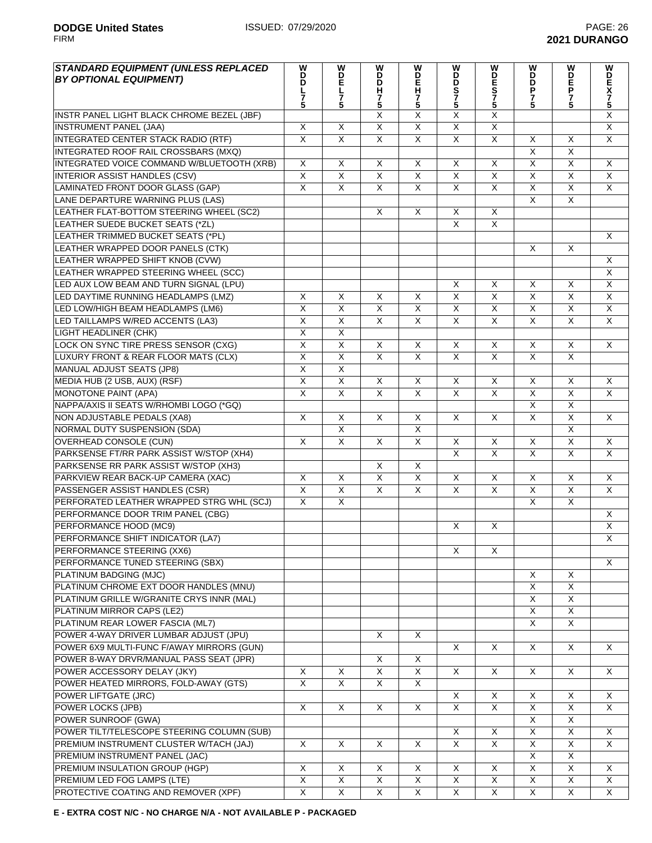FIRM **2021 DURANGO**

| <b>STANDARD EQUIPMENT (UNLESS REPLACED)</b> | W<br>D                  | w                       | W                       | ImD <sub>5</sub>        | w<br>ö                  |                         | W                       |                         |                         |
|---------------------------------------------|-------------------------|-------------------------|-------------------------|-------------------------|-------------------------|-------------------------|-------------------------|-------------------------|-------------------------|
| <b>BY OPTIONAL EQUIPMENT)</b>               | D                       | Ë                       | $\overline{D}$          |                         | D                       |                         |                         |                         |                         |
|                                             | L<br>7                  | L<br>7                  | н                       |                         | S<br>7<br>5             | <b>WDES75</b>           | D<br>D<br>D<br>D<br>5   | <b>WDEP75</b>           | <b>VDEX75</b>           |
|                                             | 5                       | 5                       | $\frac{7}{5}$           | 5                       |                         |                         |                         |                         |                         |
| INSTR PANEL LIGHT BLACK CHROME BEZEL (JBF)  |                         |                         | X                       | X                       | $\overline{\mathsf{x}}$ | Χ                       |                         |                         | $\overline{X}$          |
| <b>INSTRUMENT PANEL (JAA)</b>               | $\sf X$                 | X                       | $\overline{\mathsf{x}}$ | $\overline{\mathsf{x}}$ | $\overline{\mathsf{x}}$ | $\overline{\mathsf{x}}$ |                         |                         | $\overline{X}$          |
| INTEGRATED CENTER STACK RADIO (RTF)         | $\overline{X}$          | $\overline{\mathsf{x}}$ | $\overline{X}$          | $\overline{\mathsf{x}}$ | $\overline{\mathsf{x}}$ | $\overline{\mathsf{x}}$ | X                       | X                       | $\overline{\mathsf{x}}$ |
| INTEGRATED ROOF RAIL CROSSBARS (MXQ)        |                         |                         |                         |                         |                         |                         | $\overline{\mathsf{x}}$ | $\overline{\mathsf{x}}$ |                         |
| INTEGRATED VOICE COMMAND W/BLUETOOTH (XRB)  | X                       | X                       | X                       | X                       | X                       | X                       | $\mathsf{X}$            | X                       | X                       |
| <b>INTERIOR ASSIST HANDLES (CSV)</b>        | $\overline{X}$          | $\overline{X}$          | $\overline{\mathsf{x}}$ | $\overline{\mathsf{x}}$ | $\overline{X}$          | $\overline{\mathsf{x}}$ | $\overline{\mathsf{x}}$ | $\overline{X}$          | X                       |
| LAMINATED FRONT DOOR GLASS (GAP)            | $\overline{\mathsf{x}}$ | $\overline{X}$          | $\overline{X}$          | $\overline{X}$          | $\overline{X}$          | $\sf X$                 | $\overline{X}$          | $\overline{\mathsf{x}}$ | $\mathsf{X}$            |
| LANE DEPARTURE WARNING PLUS (LAS)           |                         |                         |                         |                         |                         |                         | $\sf X$                 | X                       |                         |
| LEATHER FLAT-BOTTOM STEERING WHEEL (SC2)    |                         |                         | X                       | $\sf X$                 | X                       | X                       |                         |                         |                         |
| LEATHER SUEDE BUCKET SEATS (*ZL)            |                         |                         |                         |                         | $\overline{\mathsf{x}}$ | $\overline{\mathsf{x}}$ |                         |                         |                         |
| LEATHER TRIMMED BUCKET SEATS (*PL)          |                         |                         |                         |                         |                         |                         |                         |                         | X                       |
| LEATHER WRAPPED DOOR PANELS (CTK)           |                         |                         |                         |                         |                         |                         | $\times$                | X                       |                         |
| LEATHER WRAPPED SHIFT KNOB (CVW)            |                         |                         |                         |                         |                         |                         |                         |                         | X                       |
| LEATHER WRAPPED STEERING WHEEL (SCC)        |                         |                         |                         |                         |                         |                         |                         |                         | $\overline{\mathsf{x}}$ |
| LED AUX LOW BEAM AND TURN SIGNAL (LPU)      |                         |                         |                         |                         | X                       | $\sf X$                 | X                       | X                       | $\overline{X}$          |
| LED DAYTIME RUNNING HEADLAMPS (LMZ)         | $\sf X$                 | X                       | X                       | X                       | $\overline{\mathsf{x}}$ | $\overline{\mathsf{x}}$ | $\overline{X}$          | $\overline{\mathsf{x}}$ | X                       |
| LED LOW/HIGH BEAM HEADLAMPS (LM6)           | $\overline{X}$          | $\overline{\mathsf{x}}$ | $\overline{\mathsf{x}}$ | $\overline{X}$          | $\overline{X}$          | $\overline{\mathsf{x}}$ | $\overline{\mathsf{x}}$ | $\overline{X}$          | $\overline{\mathsf{x}}$ |
| LED TAILLAMPS W/RED ACCENTS (LA3)           | $\overline{X}$          | $\overline{X}$          | $\overline{X}$          | $\overline{\mathsf{x}}$ | $\overline{\mathsf{x}}$ | $\overline{\mathsf{x}}$ | $\overline{\mathsf{x}}$ | $\overline{\mathsf{x}}$ | $\overline{\mathsf{x}}$ |
| <b>LIGHT HEADLINER (CHK)</b>                | X                       | $\overline{X}$          |                         |                         |                         |                         |                         |                         |                         |
| LOCK ON SYNC TIRE PRESS SENSOR (CXG)        | $\overline{X}$          | $\overline{\mathsf{x}}$ | X                       | X                       | X                       | X                       | X                       | X                       | X                       |
| LUXURY FRONT & REAR FLOOR MATS (CLX)        | $\overline{\mathsf{x}}$ | $\overline{X}$          | $\overline{\mathsf{x}}$ | $\overline{\mathsf{x}}$ | $\overline{X}$          | $\overline{\mathsf{x}}$ | $\overline{X}$          | $\overline{\mathsf{x}}$ |                         |
| <b>MANUAL ADJUST SEATS (JP8)</b>            | $\overline{X}$          | $\overline{\mathsf{x}}$ |                         |                         |                         |                         |                         |                         |                         |
| MEDIA HUB (2 USB, AUX) (RSF)                | $\overline{\mathsf{x}}$ | $\overline{\mathsf{x}}$ | X                       | $\overline{X}$          | X                       | X                       | X                       | X                       | X                       |
| <b>MONOTONE PAINT (APA)</b>                 | $\overline{\mathsf{x}}$ | $\overline{X}$          | $\overline{\mathsf{x}}$ | $\overline{X}$          | $\overline{\mathsf{x}}$ | $\overline{\mathsf{x}}$ | $\overline{X}$          | X                       | X                       |
| NAPPA/AXIS II SEATS W/RHOMBI LOGO (*GQ)     |                         |                         |                         |                         |                         |                         | $\overline{X}$          | $\overline{\mathsf{x}}$ |                         |
| NON ADJUSTABLE PEDALS (XA8)                 | $\overline{\mathsf{x}}$ | $\overline{X}$          | $\times$                | $\overline{X}$          | $\overline{X}$          | $\overline{\mathsf{x}}$ | $\overline{X}$          | $\overline{\mathsf{x}}$ | $\overline{\mathsf{x}}$ |
| NORMAL DUTY SUSPENSION (SDA)                |                         | X                       |                         | $\overline{\mathsf{x}}$ |                         |                         |                         | $\overline{\mathsf{x}}$ |                         |
| <b>OVERHEAD CONSOLE (CUN)</b>               | X                       | X                       | $\times$                | X                       | $\times$                | X                       | $\times$                | X                       | X                       |
| PARKSENSE FT/RR PARK ASSIST W/STOP (XH4)    |                         |                         |                         |                         | $\overline{\mathsf{x}}$ | $\overline{X}$          | $\overline{\mathsf{x}}$ | $\overline{X}$          | X                       |
| PARKSENSE RR PARK ASSIST W/STOP (XH3)       |                         |                         | X                       | $\times$                |                         |                         |                         |                         |                         |
| PARKVIEW REAR BACK-UP CAMERA (XAC)          | $\overline{\mathsf{x}}$ | $\overline{\mathsf{x}}$ | $\overline{X}$          | $\overline{X}$          | $\overline{X}$          | $\overline{\mathsf{x}}$ | X                       | $\overline{X}$          | $\overline{X}$          |
| PASSENGER ASSIST HANDLES (CSR)              | $\overline{\mathsf{x}}$ | $\overline{X}$          | $\overline{X}$          | $\overline{X}$          | $\overline{X}$          | $\overline{X}$          | $\overline{\mathsf{x}}$ | $\overline{\mathsf{x}}$ | $\overline{\mathsf{x}}$ |
| PERFORATED LEATHER WRAPPED STRG WHL (SCJ)   | X                       | $\overline{X}$          |                         |                         |                         |                         | $\times$                | $\overline{\mathsf{x}}$ |                         |
| PERFORMANCE DOOR TRIM PANEL (CBG)           |                         |                         |                         |                         |                         |                         |                         |                         | $\overline{X}$          |
| PERFORMANCE HOOD (MC9)                      |                         |                         |                         |                         | $\times$                | X                       |                         |                         | $\overline{\mathsf{x}}$ |
| PERFORMANCE SHIFT INDICATOR (LA7)           |                         |                         |                         |                         |                         |                         |                         |                         | $\overline{X}$          |
| PERFORMANCE STEERING (XX6)                  |                         |                         |                         |                         | X                       | X                       |                         |                         |                         |
| PERFORMANCE TUNED STEERING (SBX)            |                         |                         |                         |                         |                         |                         |                         |                         | X                       |
| PLATINUM BADGING (MJC)                      |                         |                         |                         |                         |                         |                         | X                       | X                       |                         |
| PLATINUM CHROME EXT DOOR HANDLES (MNU)      |                         |                         |                         |                         |                         |                         | $\overline{X}$          | $\overline{X}$          |                         |
| PLATINUM GRILLE W/GRANITE CRYS INNR (MAL)   |                         |                         |                         |                         |                         |                         | $\overline{X}$          | $\overline{X}$          |                         |
| PLATINUM MIRROR CAPS (LE2)                  |                         |                         |                         |                         |                         |                         | $\overline{X}$          | X                       |                         |
| PLATINUM REAR LOWER FASCIA (ML7)            |                         |                         |                         |                         |                         |                         | X                       | $\overline{\mathsf{x}}$ |                         |
| POWER 4-WAY DRIVER LUMBAR ADJUST (JPU)      |                         |                         | X                       | X                       |                         |                         |                         |                         |                         |
| POWER 6X9 MULTI-FUNC F/AWAY MIRRORS (GUN)   |                         |                         |                         |                         | $\mathsf{X}$            | X                       | X                       | X                       | Χ                       |
| POWER 8-WAY DRVR/MANUAL PASS SEAT (JPR)     |                         |                         | X                       | $\mathsf X$             |                         |                         |                         |                         |                         |
| POWER ACCESSORY DELAY (JKY)                 | X                       | X                       | X                       | X                       | $\mathsf{X}$            | $\mathsf{X}$            | X                       | X                       | X                       |
| POWER HEATED MIRRORS, FOLD-AWAY (GTS)       | $\overline{\mathsf{X}}$ | $\overline{\mathsf{x}}$ | X                       | $\overline{X}$          |                         |                         |                         |                         |                         |
| POWER LIFTGATE (JRC)                        |                         |                         |                         |                         | $\mathsf{X}$            | X                       | X                       | X                       | X                       |
| POWER LOCKS (JPB)                           | $\overline{X}$          | $\overline{\mathsf{x}}$ | $\overline{\mathsf{x}}$ | $\overline{X}$          | $\overline{X}$          | $\overline{\mathsf{x}}$ | $\overline{X}$          | X                       | X                       |
| POWER SUNROOF (GWA)                         |                         |                         |                         |                         |                         |                         | $\overline{X}$          | $\overline{\mathsf{x}}$ |                         |
| POWER TILT/TELESCOPE STEERING COLUMN (SUB)  |                         |                         |                         |                         | X                       | X                       | $\overline{\mathsf{x}}$ | X                       | X                       |
| PREMIUM INSTRUMENT CLUSTER W/TACH (JAJ)     | $\overline{\mathsf{x}}$ | X                       | X                       | X                       | X                       | X                       | X                       | X                       | X                       |
| PREMIUM INSTRUMENT PANEL (JAC)              |                         |                         |                         |                         |                         |                         | X                       | X                       |                         |
| PREMIUM INSULATION GROUP (HGP)              | X                       | $\overline{\mathsf{x}}$ | X                       | X                       | $\sf X$                 | $\overline{\mathsf{x}}$ | X                       | $\overline{\mathsf{x}}$ | X                       |
| PREMIUM LED FOG LAMPS (LTE)                 | $\overline{X}$          | X                       | X                       | X                       | X                       | $\mathsf{X}$            | X                       | X                       | X                       |
| PROTECTIVE COATING AND REMOVER (XPF)        | X                       | X                       | $\overline{X}$          | X                       | $\overline{X}$          | X                       | X                       | X                       | X                       |
|                                             |                         |                         |                         |                         |                         |                         |                         |                         |                         |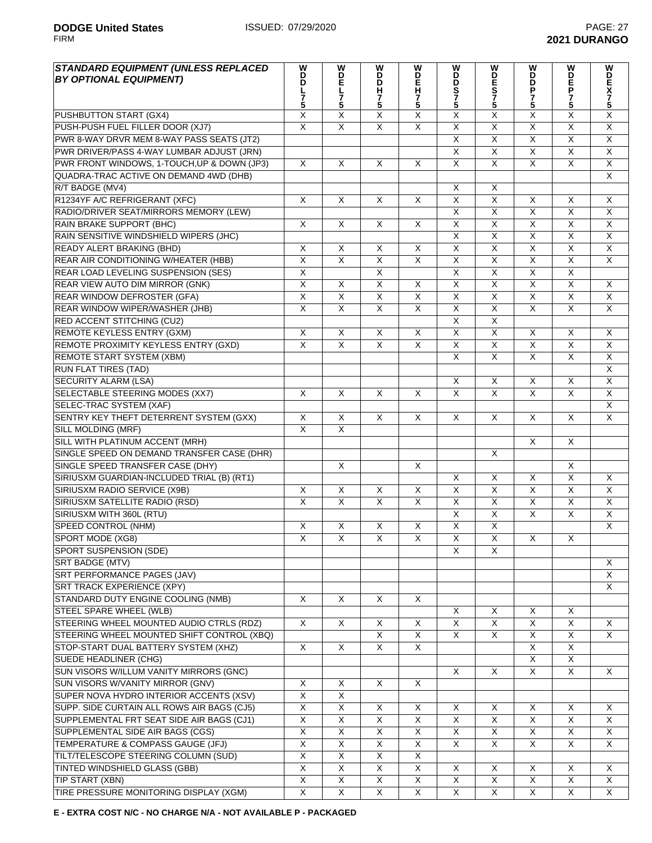| <b>STANDARD EQUIPMENT (UNLESS REPLACED</b><br><b>BY OPTIONAL EQUIPMENT)</b> | W<br>D<br>D<br>L<br>$\frac{7}{5}$ | W<br>D<br>E<br>L<br>5     | W<br>i<br>D<br>H<br>7<br>5 | w<br>D<br>E<br>H<br>7<br>5 | W<br>B<br>S<br>7<br>5   | W<br><b>DES75</b>       | W<br>B<br>P<br>7<br>5   | W<br>D<br>P<br>P<br>7<br>5 | W<br>D<br>K<br>5        |
|-----------------------------------------------------------------------------|-----------------------------------|---------------------------|----------------------------|----------------------------|-------------------------|-------------------------|-------------------------|----------------------------|-------------------------|
| PUSHBUTTON START (GX4)                                                      | X                                 | X                         | $\overline{\mathsf{x}}$    | $\overline{\mathsf{x}}$    | $\overline{X}$          | X                       | X                       | X                          | $\overline{\mathsf{X}}$ |
| PUSH-PUSH FUEL FILLER DOOR (XJ7)                                            | $\overline{X}$                    | $\overline{\mathsf{x}}$   | $\overline{\mathsf{x}}$    | $\overline{\mathsf{x}}$    | $\overline{\mathsf{x}}$ | $\overline{\mathsf{x}}$ | $\overline{\mathsf{X}}$ | $\overline{\mathsf{x}}$    | $\overline{X}$          |
| PWR 8-WAY DRVR MEM 8-WAY PASS SEATS (JT2)                                   |                                   |                           |                            |                            | $\overline{X}$          | $\overline{\mathsf{x}}$ | $\overline{\mathsf{x}}$ | $\overline{\mathsf{x}}$    | $\overline{X}$          |
| PWR DRIVER/PASS 4-WAY LUMBAR ADJUST (JRN)                                   |                                   |                           |                            |                            | X                       | X                       | X                       | X                          | X                       |
| PWR FRONT WINDOWS, 1-TOUCH, UP & DOWN (JP3)                                 | X                                 | X                         | X                          | X                          | X                       | $\overline{X}$          | X                       | X                          | X                       |
| QUADRA-TRAC ACTIVE ON DEMAND 4WD (DHB)                                      |                                   |                           |                            |                            |                         |                         |                         |                            | $\overline{\mathsf{x}}$ |
| R/T BADGE (MV4)                                                             |                                   |                           |                            |                            | X                       | X                       |                         |                            |                         |
| R1234YF A/C REFRIGERANT (XFC)                                               | $\times$                          | $\times$                  | X                          | X                          | X                       | $\overline{\mathsf{x}}$ | X                       | X                          | X                       |
| RADIO/DRIVER SEAT/MIRRORS MEMORY (LEW)                                      |                                   |                           |                            |                            | $\overline{X}$          | $\overline{\mathsf{X}}$ | X                       | X                          | X                       |
| RAIN BRAKE SUPPORT (BHC)                                                    | $\overline{\mathsf{x}}$           | $\times$                  | X                          | X                          | $\overline{X}$          | $\overline{\mathsf{x}}$ | $\overline{\mathsf{x}}$ | $\overline{\mathsf{x}}$    | $\overline{\mathsf{x}}$ |
| RAIN SENSITIVE WINDSHIELD WIPERS (JHC)                                      |                                   |                           |                            |                            | $\overline{\mathsf{x}}$ | $\overline{\mathsf{x}}$ | $\overline{X}$          | $\overline{\mathsf{x}}$    | $\overline{X}$          |
| READY ALERT BRAKING (BHD)                                                   | $\pmb{\times}$                    | $\boldsymbol{\mathsf{X}}$ | X                          | $\overline{X}$             | $\overline{\mathsf{x}}$ | $\overline{\mathsf{x}}$ | $\overline{\mathsf{x}}$ | X                          | $\overline{\mathsf{x}}$ |
| <b>REAR AIR CONDITIONING W/HEATER (HBB)</b>                                 | $\overline{\mathsf{x}}$           | $\overline{\mathsf{x}}$   | $\overline{X}$             | $\overline{\mathsf{x}}$    | $\overline{\mathsf{x}}$ | $\overline{\mathsf{x}}$ | $\overline{\mathsf{x}}$ | $\overline{\mathsf{x}}$    | $\overline{\mathsf{x}}$ |
| REAR LOAD LEVELING SUSPENSION (SES)                                         | $\overline{\mathsf{x}}$           |                           | $\overline{X}$             |                            | $\overline{X}$          | $\overline{\mathsf{X}}$ | $\overline{X}$          | $\overline{\mathsf{x}}$    |                         |
| REAR VIEW AUTO DIM MIRROR (GNK)                                             | $\overline{\mathsf{x}}$           | $\times$                  | $\overline{\mathsf{x}}$    | X                          | $\overline{X}$          | $\overline{\mathsf{x}}$ | $\overline{\mathsf{x}}$ | $\overline{\mathsf{x}}$    | $\sf X$                 |
| <b>REAR WINDOW DEFROSTER (GFA)</b>                                          | X                                 | $\overline{\mathsf{x}}$   | $\overline{X}$             | $\overline{X}$             | $\overline{X}$          | $\overline{X}$          | X                       | $\overline{X}$             | X                       |
| REAR WINDOW WIPER/WASHER (JHB)                                              | $\overline{\mathsf{x}}$           | $\overline{\mathsf{x}}$   | $\overline{\mathsf{x}}$    | $\overline{\mathsf{x}}$    | $\overline{X}$          | $\overline{\mathsf{X}}$ | $\overline{\mathsf{x}}$ | $\overline{\mathsf{x}}$    | $\overline{\mathsf{x}}$ |
| RED ACCENT STITCHING (CU2)                                                  |                                   |                           |                            |                            | $\overline{X}$          | $\overline{\mathsf{X}}$ |                         |                            |                         |
| REMOTE KEYLESS ENTRY (GXM)                                                  | X                                 | X                         | X                          | X                          | $\overline{\mathsf{x}}$ | $\overline{\mathsf{x}}$ | X                       | X                          | X                       |
| REMOTE PROXIMITY KEYLESS ENTRY (GXD)                                        | $\overline{\mathsf{x}}$           | $\overline{\mathsf{x}}$   | $\overline{X}$             | $\overline{\mathsf{x}}$    | $\overline{\mathsf{x}}$ | $\overline{\mathsf{x}}$ | $\overline{\mathsf{x}}$ | $\overline{X}$             | $\overline{\mathsf{x}}$ |
| REMOTE START SYSTEM (XBM)                                                   |                                   |                           |                            |                            | $\overline{\mathsf{x}}$ | $\overline{\mathsf{x}}$ | X                       | $\overline{\mathsf{x}}$    | $\overline{\mathsf{x}}$ |
| <b>RUN FLAT TIRES (TAD)</b>                                                 |                                   |                           |                            |                            |                         |                         |                         |                            | X                       |
| <b>SECURITY ALARM (LSA)</b>                                                 |                                   |                           |                            |                            | Χ                       | X                       | X                       | X                          | X                       |
| SELECTABLE STEERING MODES (XX7)                                             | $\times$                          | $\sf X$                   | $\times$                   | X                          | $\overline{\mathsf{x}}$ | $\overline{X}$          | $\overline{X}$          | $\overline{\mathsf{x}}$    | $\overline{\mathsf{x}}$ |
| SELEC-TRAC SYSTEM (XAF)                                                     |                                   |                           |                            |                            |                         |                         |                         |                            | X                       |
| SENTRY KEY THEFT DETERRENT SYSTEM (GXX)                                     | X                                 | X                         | X                          | X                          | X                       | X                       | X                       | X                          | X                       |
| SILL MOLDING (MRF)                                                          | X                                 | $\times$                  |                            |                            |                         |                         |                         |                            |                         |
| SILL WITH PLATINUM ACCENT (MRH)                                             |                                   |                           |                            |                            |                         |                         | X                       | X                          |                         |
| SINGLE SPEED ON DEMAND TRANSFER CASE (DHR)                                  |                                   |                           |                            |                            |                         | X                       |                         |                            |                         |
| SINGLE SPEED TRANSFER CASE (DHY)                                            |                                   | $\boldsymbol{\mathsf{X}}$ |                            | X                          |                         |                         |                         | X                          |                         |
| SIRIUSXM GUARDIAN-INCLUDED TRIAL (B) (RT1)                                  |                                   |                           |                            |                            | X                       | X                       | X                       | $\overline{\mathsf{x}}$    | X                       |
| SIRIUSXM RADIO SERVICE (X9B)                                                | X                                 | $\boldsymbol{\mathsf{X}}$ | X                          | X                          | $\overline{X}$          | X                       | X                       | X                          | X                       |
| SIRIUSXM SATELLITE RADIO (RSD)                                              | X                                 | $\times$                  | X                          | X                          | X                       | X                       | X                       | X                          | X                       |
| SIRIUSXM WITH 360L (RTU)                                                    |                                   |                           |                            |                            | X                       | $\overline{\mathsf{X}}$ | X                       | X                          | X                       |
| <b>SPEED CONTROL (NHM)</b>                                                  | X                                 | X                         | X                          | X                          | $\overline{X}$          | Χ                       |                         |                            | X                       |
| SPORT MODE (XG8)                                                            | $\overline{X}$                    | $\overline{\mathsf{X}}$   | $\overline{X}$             | $\overline{X}$             | $\overline{X}$          | $\overline{\mathsf{x}}$ | X                       | X                          |                         |
| SPORT SUSPENSION (SDE)                                                      |                                   |                           |                            |                            | Χ                       | Χ                       |                         |                            |                         |
| <b>SRT BADGE (MTV)</b>                                                      |                                   |                           |                            |                            |                         |                         |                         |                            | X                       |
| SRT PERFORMANCE PAGES (JAV)                                                 |                                   |                           |                            |                            |                         |                         |                         |                            | X                       |
| <b>SRT TRACK EXPERIENCE (XPY)</b>                                           |                                   |                           |                            |                            |                         |                         |                         |                            | X                       |
| STANDARD DUTY ENGINE COOLING (NMB)                                          | $\times$                          | $\sf X$                   | $\times$                   | X                          |                         |                         |                         |                            |                         |
| STEEL SPARE WHEEL (WLB)                                                     |                                   |                           |                            |                            | X                       | X                       | X                       | X                          |                         |
| STEERING WHEEL MOUNTED AUDIO CTRLS (RDZ)                                    | $\times$                          | X                         | X                          | X                          | X                       | X                       | X                       | X                          | X                       |
| STEERING WHEEL MOUNTED SHIFT CONTROL (XBQ)                                  |                                   |                           | X                          | $\overline{X}$             | X                       | X                       | X                       | X                          | X                       |
| STOP-START DUAL BATTERY SYSTEM (XHZ)                                        | X                                 | X                         | X                          | X                          |                         |                         | X                       | $\overline{X}$             |                         |
| SUEDE HEADLINER (CHG)                                                       |                                   |                           |                            |                            |                         |                         | X                       | X                          |                         |
| SUN VISORS W/ILLUM VANITY MIRRORS (GNC)                                     |                                   |                           |                            |                            | X                       | X                       | X                       | X                          | X                       |
| SUN VISORS W/VANITY MIRROR (GNV)                                            | X                                 | X                         | X                          | X                          |                         |                         |                         |                            |                         |
| SUPER NOVA HYDRO INTERIOR ACCENTS (XSV)                                     | $\overline{X}$                    | $\overline{X}$            |                            |                            |                         |                         |                         |                            |                         |
| SUPP. SIDE CURTAIN ALL ROWS AIR BAGS (CJ5)                                  | $\overline{\mathsf{x}}$           | $\overline{\mathsf{X}}$   | X                          | X                          | X                       | X                       | X                       | X                          | X                       |
| SUPPLEMENTAL FRT SEAT SIDE AIR BAGS (CJ1)                                   | $\overline{X}$                    | $\overline{X}$            | X                          | $\overline{X}$             | X                       | $\overline{X}$          | X                       | $\overline{X}$             | X                       |
| SUPPLEMENTAL SIDE AIR BAGS (CGS)                                            | X                                 | X                         | X                          | X                          | X                       | $\overline{X}$          | X                       | X                          | X                       |
| TEMPERATURE & COMPASS GAUGE (JFJ)                                           | $\mathsf X$                       | X                         | X                          | X                          | X                       | X                       | X                       | X                          | X                       |
| TILT/TELESCOPE STEERING COLUMN (SUD)                                        | $\overline{\mathsf{x}}$           | $\overline{\mathsf{x}}$   | $\overline{X}$             | $\overline{X}$             |                         |                         |                         |                            |                         |
| TINTED WINDSHIELD GLASS (GBB)                                               | X                                 | X                         | X                          | X                          | Χ                       | X                       | X                       | X                          | X                       |
| <b>TIP START (XBN)</b>                                                      | $\overline{X}$                    | $\overline{\mathsf{x}}$   | $\overline{X}$             | $\overline{X}$             | $\overline{X}$          | $\overline{X}$          | X                       | X                          | X                       |
| TIRE PRESSURE MONITORING DISPLAY (XGM)                                      | X                                 | X                         | X                          | X                          | X                       | X                       | X                       | X                          | X                       |